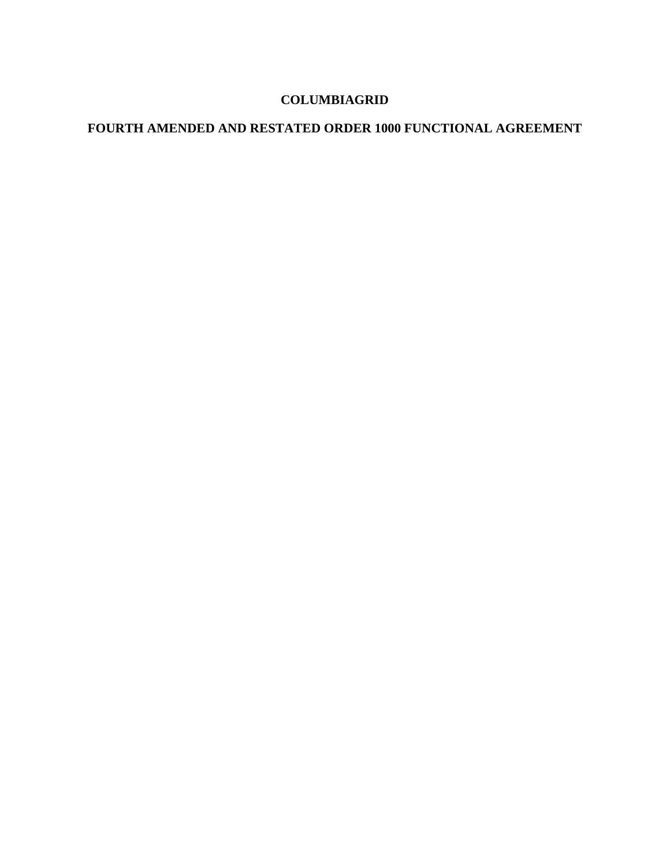# **COLUMBIAGRID**

# **FOURTH AMENDED AND RESTATED ORDER 1000 FUNCTIONAL AGREEMENT**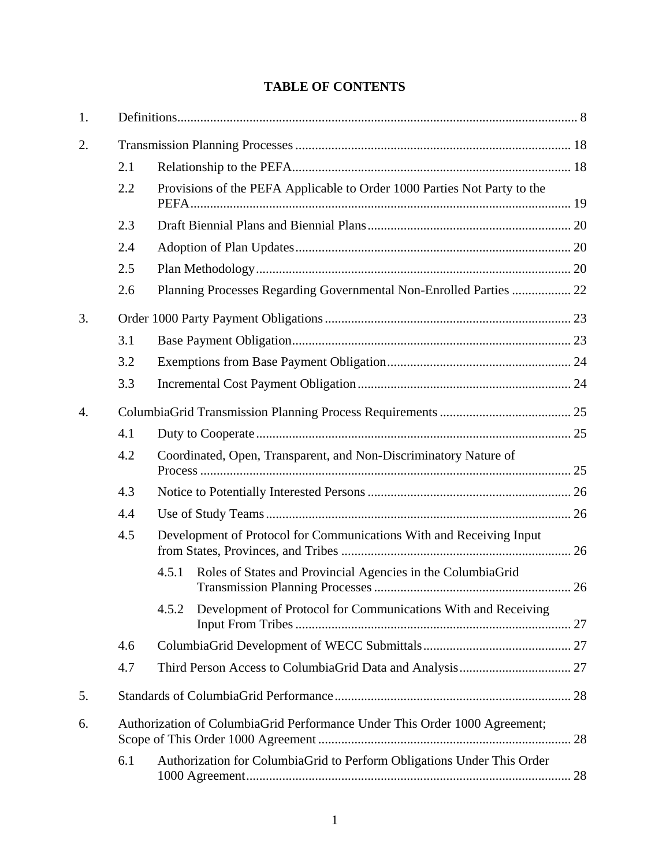# **TABLE OF CONTENTS**

| 1.               |     |                                                                            |  |  |  |  |
|------------------|-----|----------------------------------------------------------------------------|--|--|--|--|
| 2.               |     |                                                                            |  |  |  |  |
|                  | 2.1 |                                                                            |  |  |  |  |
|                  | 2.2 | Provisions of the PEFA Applicable to Order 1000 Parties Not Party to the   |  |  |  |  |
|                  | 2.3 |                                                                            |  |  |  |  |
|                  | 2.4 |                                                                            |  |  |  |  |
|                  | 2.5 |                                                                            |  |  |  |  |
|                  | 2.6 | Planning Processes Regarding Governmental Non-Enrolled Parties  22         |  |  |  |  |
| 3.               |     |                                                                            |  |  |  |  |
|                  | 3.1 |                                                                            |  |  |  |  |
|                  | 3.2 |                                                                            |  |  |  |  |
|                  | 3.3 |                                                                            |  |  |  |  |
| $\overline{4}$ . |     |                                                                            |  |  |  |  |
|                  | 4.1 |                                                                            |  |  |  |  |
|                  | 4.2 | Coordinated, Open, Transparent, and Non-Discriminatory Nature of           |  |  |  |  |
|                  | 4.3 |                                                                            |  |  |  |  |
|                  | 4.4 |                                                                            |  |  |  |  |
|                  | 4.5 | Development of Protocol for Communications With and Receiving Input        |  |  |  |  |
|                  |     | Roles of States and Provincial Agencies in the ColumbiaGrid<br>4.5.1       |  |  |  |  |
|                  |     | 4.5.2 Development of Protocol for Communications With and Receiving        |  |  |  |  |
|                  | 4.6 |                                                                            |  |  |  |  |
|                  | 4.7 |                                                                            |  |  |  |  |
| 5.               |     |                                                                            |  |  |  |  |
| 6.               |     | Authorization of ColumbiaGrid Performance Under This Order 1000 Agreement; |  |  |  |  |
|                  | 6.1 | Authorization for ColumbiaGrid to Perform Obligations Under This Order     |  |  |  |  |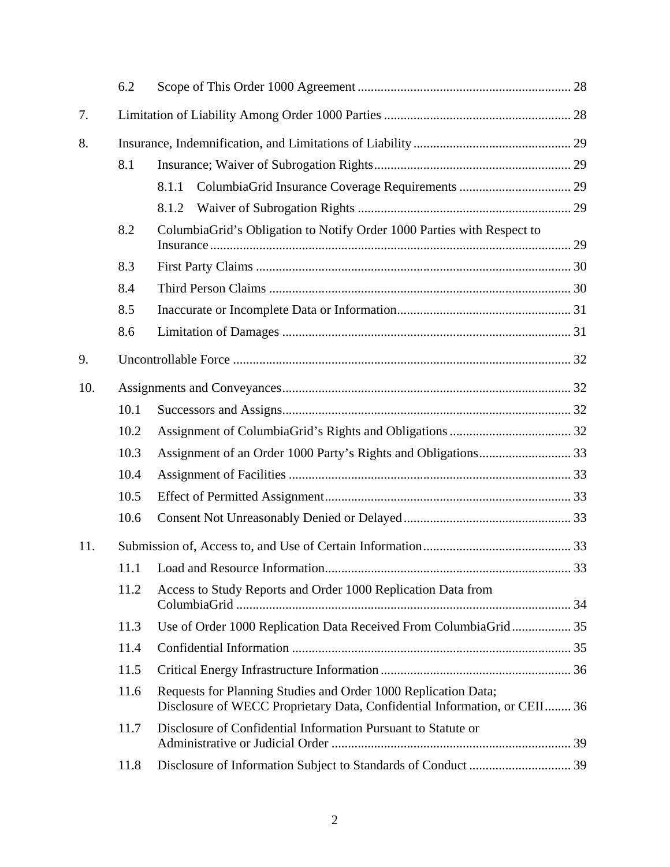|     | 6.2  |                                                                                                                                             |  |
|-----|------|---------------------------------------------------------------------------------------------------------------------------------------------|--|
| 7.  |      |                                                                                                                                             |  |
| 8.  |      |                                                                                                                                             |  |
|     | 8.1  |                                                                                                                                             |  |
|     |      | 8.1.1                                                                                                                                       |  |
|     |      | 8.1.2                                                                                                                                       |  |
|     | 8.2  | Columbia Grid's Obligation to Notify Order 1000 Parties with Respect to                                                                     |  |
|     | 8.3  |                                                                                                                                             |  |
|     | 8.4  |                                                                                                                                             |  |
|     | 8.5  |                                                                                                                                             |  |
|     | 8.6  |                                                                                                                                             |  |
| 9.  |      |                                                                                                                                             |  |
| 10. |      |                                                                                                                                             |  |
|     | 10.1 |                                                                                                                                             |  |
|     | 10.2 |                                                                                                                                             |  |
|     | 10.3 |                                                                                                                                             |  |
|     | 10.4 |                                                                                                                                             |  |
|     | 10.5 |                                                                                                                                             |  |
|     | 10.6 |                                                                                                                                             |  |
| 11. |      |                                                                                                                                             |  |
|     |      |                                                                                                                                             |  |
|     | 11.2 | Access to Study Reports and Order 1000 Replication Data from                                                                                |  |
|     | 11.3 | Use of Order 1000 Replication Data Received From ColumbiaGrid 35                                                                            |  |
|     | 11.4 |                                                                                                                                             |  |
|     | 11.5 |                                                                                                                                             |  |
|     | 11.6 | Requests for Planning Studies and Order 1000 Replication Data;<br>Disclosure of WECC Proprietary Data, Confidential Information, or CEII 36 |  |
|     | 11.7 | Disclosure of Confidential Information Pursuant to Statute or                                                                               |  |
|     | 11.8 |                                                                                                                                             |  |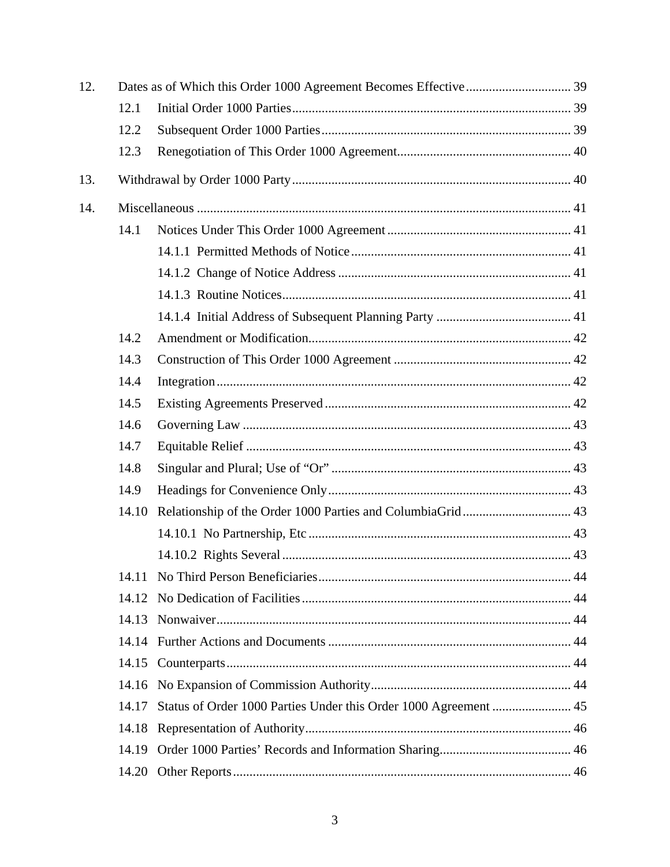| 12. |       |                                                                  |  |  |
|-----|-------|------------------------------------------------------------------|--|--|
|     | 12.1  |                                                                  |  |  |
|     | 12.2  |                                                                  |  |  |
|     | 12.3  |                                                                  |  |  |
| 13. |       |                                                                  |  |  |
| 14. |       |                                                                  |  |  |
|     | 14.1  |                                                                  |  |  |
|     |       |                                                                  |  |  |
|     |       |                                                                  |  |  |
|     |       |                                                                  |  |  |
|     |       |                                                                  |  |  |
|     | 14.2  |                                                                  |  |  |
|     | 14.3  |                                                                  |  |  |
|     | 14.4  |                                                                  |  |  |
|     | 14.5  |                                                                  |  |  |
|     | 14.6  |                                                                  |  |  |
|     | 14.7  |                                                                  |  |  |
|     | 14.8  |                                                                  |  |  |
|     | 14.9  |                                                                  |  |  |
|     | 14.10 |                                                                  |  |  |
|     |       |                                                                  |  |  |
|     |       |                                                                  |  |  |
|     |       |                                                                  |  |  |
|     | 14.12 |                                                                  |  |  |
|     | 14.13 |                                                                  |  |  |
|     |       |                                                                  |  |  |
|     |       |                                                                  |  |  |
|     | 14.16 |                                                                  |  |  |
|     | 14.17 | Status of Order 1000 Parties Under this Order 1000 Agreement  45 |  |  |
|     | 14.18 |                                                                  |  |  |
|     | 14.19 |                                                                  |  |  |
|     | 14.20 |                                                                  |  |  |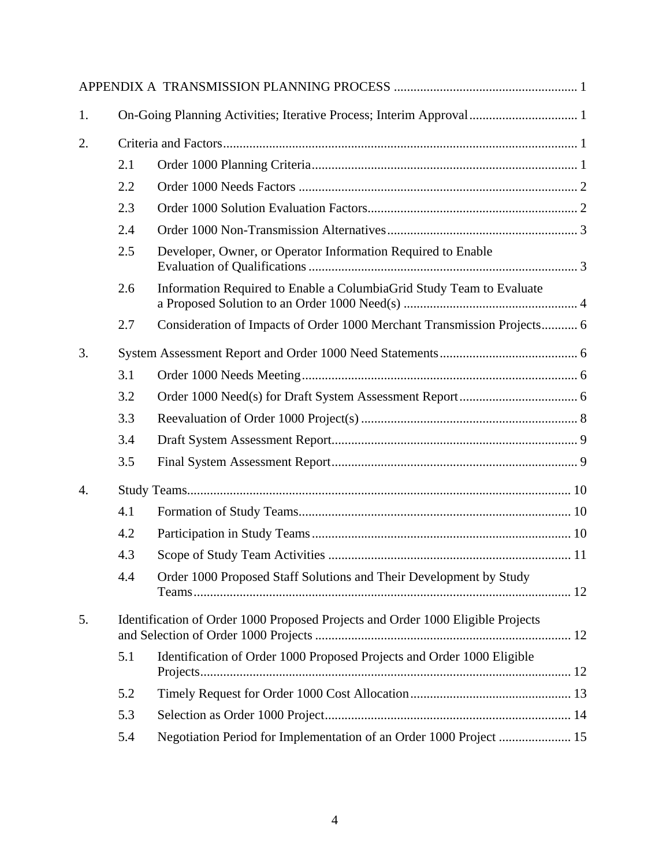| 1.               |                                                                                 | On-Going Planning Activities; Iterative Process; Interim Approval 1     |  |
|------------------|---------------------------------------------------------------------------------|-------------------------------------------------------------------------|--|
| 2.               |                                                                                 |                                                                         |  |
|                  | 2.1                                                                             |                                                                         |  |
|                  | 2.2                                                                             |                                                                         |  |
|                  | 2.3                                                                             |                                                                         |  |
|                  | 2.4                                                                             |                                                                         |  |
|                  | 2.5                                                                             | Developer, Owner, or Operator Information Required to Enable            |  |
|                  | 2.6                                                                             | Information Required to Enable a ColumbiaGrid Study Team to Evaluate    |  |
|                  | 2.7                                                                             | Consideration of Impacts of Order 1000 Merchant Transmission Projects 6 |  |
| 3.               |                                                                                 |                                                                         |  |
|                  | 3.1                                                                             |                                                                         |  |
|                  | 3.2                                                                             |                                                                         |  |
|                  | 3.3                                                                             |                                                                         |  |
|                  | 3.4                                                                             |                                                                         |  |
|                  | 3.5                                                                             |                                                                         |  |
| $\overline{4}$ . |                                                                                 |                                                                         |  |
|                  | 4.1                                                                             |                                                                         |  |
|                  | 4.2                                                                             |                                                                         |  |
|                  | 4.3                                                                             |                                                                         |  |
|                  | 4.4                                                                             | Order 1000 Proposed Staff Solutions and Their Development by Study      |  |
| 5.               | Identification of Order 1000 Proposed Projects and Order 1000 Eligible Projects |                                                                         |  |
|                  | 5.1                                                                             | Identification of Order 1000 Proposed Projects and Order 1000 Eligible  |  |
|                  | 5.2                                                                             |                                                                         |  |
|                  | 5.3                                                                             |                                                                         |  |
|                  | 5.4                                                                             | Negotiation Period for Implementation of an Order 1000 Project  15      |  |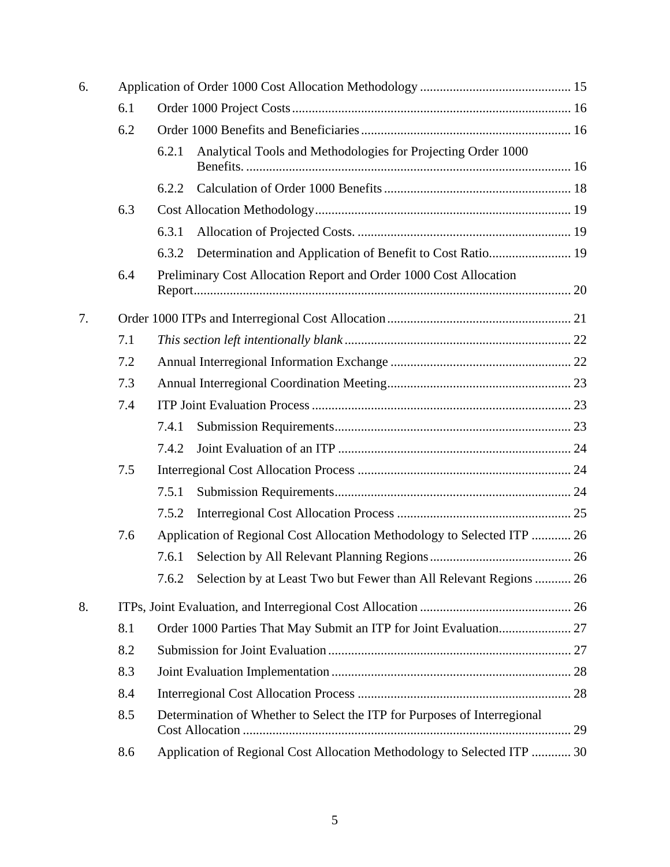| 6. |     |                                                                            |  |  |
|----|-----|----------------------------------------------------------------------------|--|--|
|    | 6.1 |                                                                            |  |  |
|    | 6.2 |                                                                            |  |  |
|    |     | Analytical Tools and Methodologies for Projecting Order 1000<br>6.2.1      |  |  |
|    |     | 6.2.2                                                                      |  |  |
|    | 6.3 |                                                                            |  |  |
|    |     | 6.3.1                                                                      |  |  |
|    |     | Determination and Application of Benefit to Cost Ratio 19<br>6.3.2         |  |  |
|    | 6.4 | Preliminary Cost Allocation Report and Order 1000 Cost Allocation          |  |  |
| 7. |     |                                                                            |  |  |
|    | 7.1 |                                                                            |  |  |
|    | 7.2 |                                                                            |  |  |
|    | 7.3 |                                                                            |  |  |
|    | 7.4 |                                                                            |  |  |
|    |     | 7.4.1                                                                      |  |  |
|    |     | 7.4.2                                                                      |  |  |
|    | 7.5 |                                                                            |  |  |
|    |     | 7.5.1                                                                      |  |  |
|    |     | 7.5.2                                                                      |  |  |
|    | 7.6 | Application of Regional Cost Allocation Methodology to Selected ITP  26    |  |  |
|    |     | 7.6.1                                                                      |  |  |
|    |     | Selection by at Least Two but Fewer than All Relevant Regions  26<br>7.6.2 |  |  |
| 8. |     |                                                                            |  |  |
|    | 8.1 |                                                                            |  |  |
|    | 8.2 |                                                                            |  |  |
|    | 8.3 |                                                                            |  |  |
|    | 8.4 |                                                                            |  |  |
|    | 8.5 | Determination of Whether to Select the ITP for Purposes of Interregional   |  |  |
|    | 8.6 | Application of Regional Cost Allocation Methodology to Selected ITP  30    |  |  |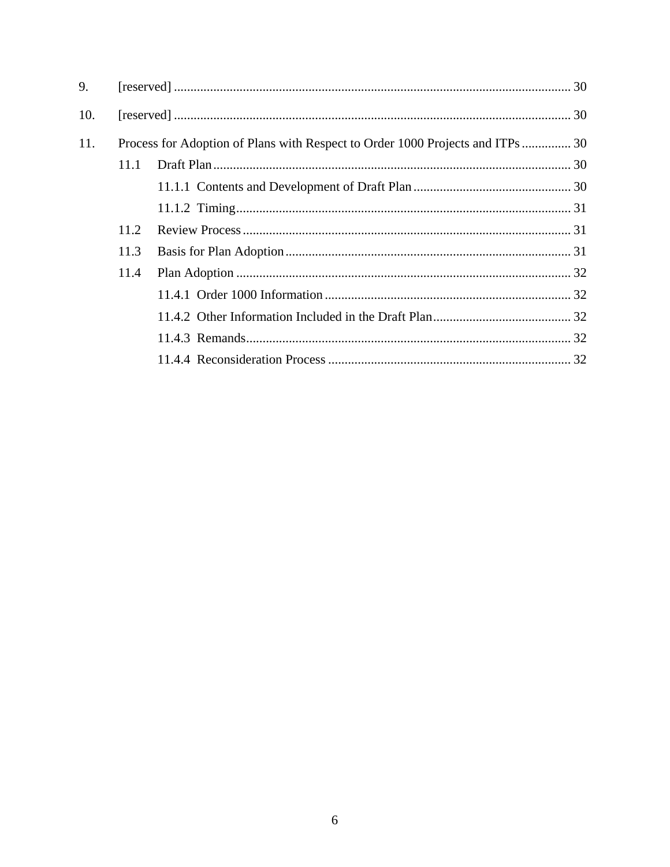| 9.  |                                                                                |  |  |
|-----|--------------------------------------------------------------------------------|--|--|
| 10. |                                                                                |  |  |
| 11. | Process for Adoption of Plans with Respect to Order 1000 Projects and ITPs  30 |  |  |
|     | 11.1                                                                           |  |  |
|     |                                                                                |  |  |
|     |                                                                                |  |  |
|     | 11.2                                                                           |  |  |
|     | 11.3                                                                           |  |  |
|     | 11.4                                                                           |  |  |
|     |                                                                                |  |  |
|     |                                                                                |  |  |
|     |                                                                                |  |  |
|     |                                                                                |  |  |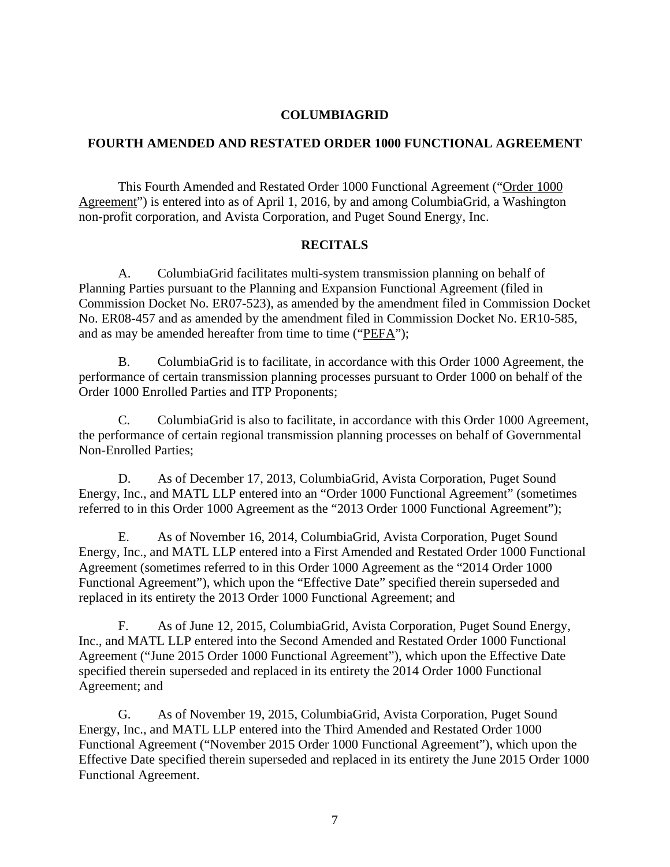#### **COLUMBIAGRID**

### **FOURTH AMENDED AND RESTATED ORDER 1000 FUNCTIONAL AGREEMENT**

This Fourth Amended and Restated Order 1000 Functional Agreement ("Order 1000 Agreement") is entered into as of April 1, 2016, by and among ColumbiaGrid, a Washington non-profit corporation, and Avista Corporation, and Puget Sound Energy, Inc.

#### **RECITALS**

A. ColumbiaGrid facilitates multi-system transmission planning on behalf of Planning Parties pursuant to the Planning and Expansion Functional Agreement (filed in Commission Docket No. ER07-523), as amended by the amendment filed in Commission Docket No. ER08-457 and as amended by the amendment filed in Commission Docket No. ER10-585, and as may be amended hereafter from time to time ("PEFA");

B. ColumbiaGrid is to facilitate, in accordance with this Order 1000 Agreement, the performance of certain transmission planning processes pursuant to Order 1000 on behalf of the Order 1000 Enrolled Parties and ITP Proponents;

C. ColumbiaGrid is also to facilitate, in accordance with this Order 1000 Agreement, the performance of certain regional transmission planning processes on behalf of Governmental Non-Enrolled Parties;

D. As of December 17, 2013, ColumbiaGrid, Avista Corporation, Puget Sound Energy, Inc., and MATL LLP entered into an "Order 1000 Functional Agreement" (sometimes referred to in this Order 1000 Agreement as the "2013 Order 1000 Functional Agreement");

E. As of November 16, 2014, ColumbiaGrid, Avista Corporation, Puget Sound Energy, Inc., and MATL LLP entered into a First Amended and Restated Order 1000 Functional Agreement (sometimes referred to in this Order 1000 Agreement as the "2014 Order 1000 Functional Agreement"), which upon the "Effective Date" specified therein superseded and replaced in its entirety the 2013 Order 1000 Functional Agreement; and

F. As of June 12, 2015, ColumbiaGrid, Avista Corporation, Puget Sound Energy, Inc., and MATL LLP entered into the Second Amended and Restated Order 1000 Functional Agreement ("June 2015 Order 1000 Functional Agreement"), which upon the Effective Date specified therein superseded and replaced in its entirety the 2014 Order 1000 Functional Agreement; and

G. As of November 19, 2015, ColumbiaGrid, Avista Corporation, Puget Sound Energy, Inc., and MATL LLP entered into the Third Amended and Restated Order 1000 Functional Agreement ("November 2015 Order 1000 Functional Agreement"), which upon the Effective Date specified therein superseded and replaced in its entirety the June 2015 Order 1000 Functional Agreement.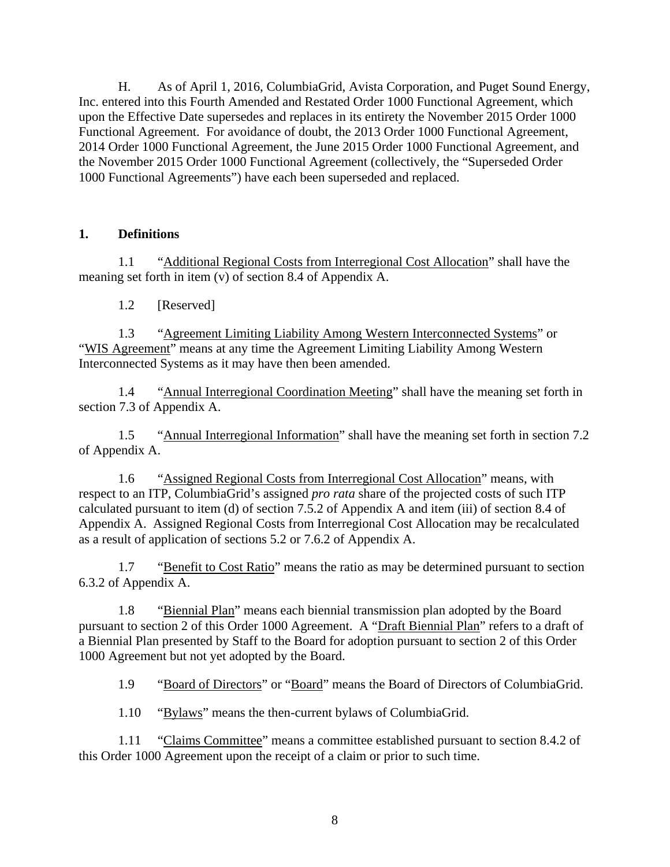H. As of April 1, 2016, ColumbiaGrid, Avista Corporation, and Puget Sound Energy, Inc. entered into this Fourth Amended and Restated Order 1000 Functional Agreement, which upon the Effective Date supersedes and replaces in its entirety the November 2015 Order 1000 Functional Agreement. For avoidance of doubt, the 2013 Order 1000 Functional Agreement, 2014 Order 1000 Functional Agreement, the June 2015 Order 1000 Functional Agreement, and the November 2015 Order 1000 Functional Agreement (collectively, the "Superseded Order 1000 Functional Agreements") have each been superseded and replaced.

# **1. Definitions**

1.1 "Additional Regional Costs from Interregional Cost Allocation" shall have the meaning set forth in item (v) of section 8.4 of Appendix A.

1.2 [Reserved]

1.3 "Agreement Limiting Liability Among Western Interconnected Systems" or "WIS Agreement" means at any time the Agreement Limiting Liability Among Western Interconnected Systems as it may have then been amended.

1.4 "Annual Interregional Coordination Meeting" shall have the meaning set forth in section 7.3 of Appendix A.

1.5 "Annual Interregional Information" shall have the meaning set forth in section 7.2 of Appendix A.

1.6 "Assigned Regional Costs from Interregional Cost Allocation" means, with respect to an ITP, ColumbiaGrid's assigned *pro rata* share of the projected costs of such ITP calculated pursuant to item (d) of section 7.5.2 of Appendix A and item (iii) of section 8.4 of Appendix A. Assigned Regional Costs from Interregional Cost Allocation may be recalculated as a result of application of sections 5.2 or 7.6.2 of Appendix A.

1.7 "Benefit to Cost Ratio" means the ratio as may be determined pursuant to section 6.3.2 of Appendix A.

1.8 "Biennial Plan" means each biennial transmission plan adopted by the Board pursuant to section 2 of this Order 1000 Agreement. A "Draft Biennial Plan" refers to a draft of a Biennial Plan presented by Staff to the Board for adoption pursuant to section 2 of this Order 1000 Agreement but not yet adopted by the Board.

1.9 "Board of Directors" or "Board" means the Board of Directors of ColumbiaGrid.

1.10 "Bylaws" means the then-current bylaws of ColumbiaGrid.

1.11 "Claims Committee" means a committee established pursuant to section 8.4.2 of this Order 1000 Agreement upon the receipt of a claim or prior to such time.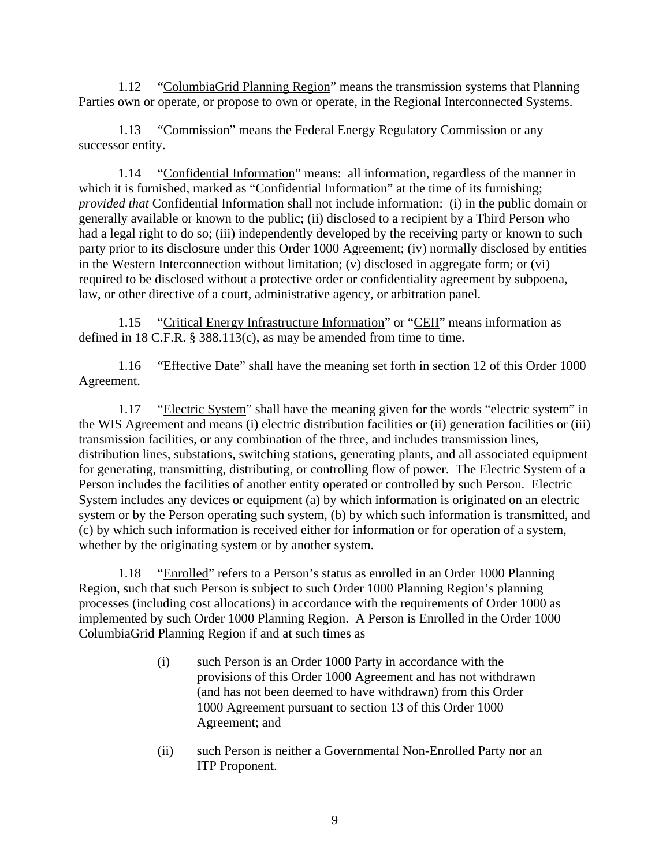1.12 "ColumbiaGrid Planning Region" means the transmission systems that Planning Parties own or operate, or propose to own or operate, in the Regional Interconnected Systems.

1.13 "Commission" means the Federal Energy Regulatory Commission or any successor entity.

1.14 "Confidential Information" means: all information, regardless of the manner in which it is furnished, marked as "Confidential Information" at the time of its furnishing; *provided that* Confidential Information shall not include information: (i) in the public domain or generally available or known to the public; (ii) disclosed to a recipient by a Third Person who had a legal right to do so; (iii) independently developed by the receiving party or known to such party prior to its disclosure under this Order 1000 Agreement; (iv) normally disclosed by entities in the Western Interconnection without limitation; (v) disclosed in aggregate form; or (vi) required to be disclosed without a protective order or confidentiality agreement by subpoena, law, or other directive of a court, administrative agency, or arbitration panel.

1.15 "Critical Energy Infrastructure Information" or "CEII" means information as defined in 18 C.F.R. § 388.113(c), as may be amended from time to time.

1.16 "Effective Date" shall have the meaning set forth in section 12 of this Order 1000 Agreement.

1.17 "Electric System" shall have the meaning given for the words "electric system" in the WIS Agreement and means (i) electric distribution facilities or (ii) generation facilities or (iii) transmission facilities, or any combination of the three, and includes transmission lines, distribution lines, substations, switching stations, generating plants, and all associated equipment for generating, transmitting, distributing, or controlling flow of power. The Electric System of a Person includes the facilities of another entity operated or controlled by such Person. Electric System includes any devices or equipment (a) by which information is originated on an electric system or by the Person operating such system, (b) by which such information is transmitted, and (c) by which such information is received either for information or for operation of a system, whether by the originating system or by another system.

1.18 "Enrolled" refers to a Person's status as enrolled in an Order 1000 Planning Region, such that such Person is subject to such Order 1000 Planning Region's planning processes (including cost allocations) in accordance with the requirements of Order 1000 as implemented by such Order 1000 Planning Region. A Person is Enrolled in the Order 1000 ColumbiaGrid Planning Region if and at such times as

- (i) such Person is an Order 1000 Party in accordance with the provisions of this Order 1000 Agreement and has not withdrawn (and has not been deemed to have withdrawn) from this Order 1000 Agreement pursuant to section 13 of this Order 1000 Agreement; and
- (ii) such Person is neither a Governmental Non-Enrolled Party nor an ITP Proponent.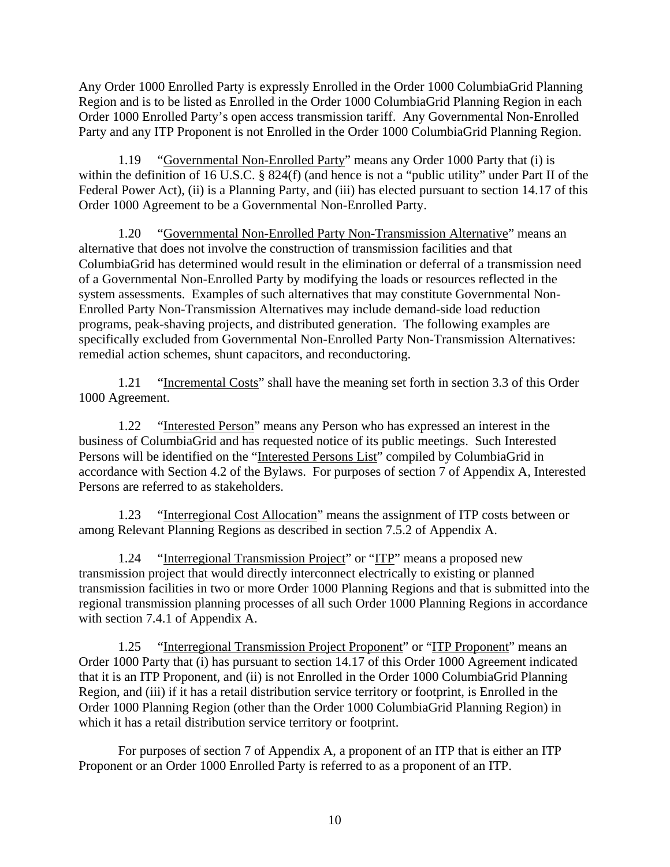Any Order 1000 Enrolled Party is expressly Enrolled in the Order 1000 ColumbiaGrid Planning Region and is to be listed as Enrolled in the Order 1000 ColumbiaGrid Planning Region in each Order 1000 Enrolled Party's open access transmission tariff. Any Governmental Non-Enrolled Party and any ITP Proponent is not Enrolled in the Order 1000 ColumbiaGrid Planning Region.

1.19 "Governmental Non-Enrolled Party" means any Order 1000 Party that (i) is within the definition of 16 U.S.C. § 824(f) (and hence is not a "public utility" under Part II of the Federal Power Act), (ii) is a Planning Party, and (iii) has elected pursuant to section 14.17 of this Order 1000 Agreement to be a Governmental Non-Enrolled Party.

1.20 "Governmental Non-Enrolled Party Non-Transmission Alternative" means an alternative that does not involve the construction of transmission facilities and that ColumbiaGrid has determined would result in the elimination or deferral of a transmission need of a Governmental Non-Enrolled Party by modifying the loads or resources reflected in the system assessments. Examples of such alternatives that may constitute Governmental Non-Enrolled Party Non-Transmission Alternatives may include demand-side load reduction programs, peak-shaving projects, and distributed generation. The following examples are specifically excluded from Governmental Non-Enrolled Party Non-Transmission Alternatives: remedial action schemes, shunt capacitors, and reconductoring.

1.21 "Incremental Costs" shall have the meaning set forth in section 3.3 of this Order 1000 Agreement.

1.22 "Interested Person" means any Person who has expressed an interest in the business of ColumbiaGrid and has requested notice of its public meetings. Such Interested Persons will be identified on the "Interested Persons List" compiled by ColumbiaGrid in accordance with Section 4.2 of the Bylaws. For purposes of section 7 of Appendix A, Interested Persons are referred to as stakeholders.

1.23 "Interregional Cost Allocation" means the assignment of ITP costs between or among Relevant Planning Regions as described in section 7.5.2 of Appendix A.

1.24 "Interregional Transmission Project" or "ITP" means a proposed new transmission project that would directly interconnect electrically to existing or planned transmission facilities in two or more Order 1000 Planning Regions and that is submitted into the regional transmission planning processes of all such Order 1000 Planning Regions in accordance with section 7.4.1 of Appendix A.

1.25 "Interregional Transmission Project Proponent" or "ITP Proponent" means an Order 1000 Party that (i) has pursuant to section 14.17 of this Order 1000 Agreement indicated that it is an ITP Proponent, and (ii) is not Enrolled in the Order 1000 ColumbiaGrid Planning Region, and (iii) if it has a retail distribution service territory or footprint, is Enrolled in the Order 1000 Planning Region (other than the Order 1000 ColumbiaGrid Planning Region) in which it has a retail distribution service territory or footprint.

For purposes of section 7 of Appendix A, a proponent of an ITP that is either an ITP Proponent or an Order 1000 Enrolled Party is referred to as a proponent of an ITP.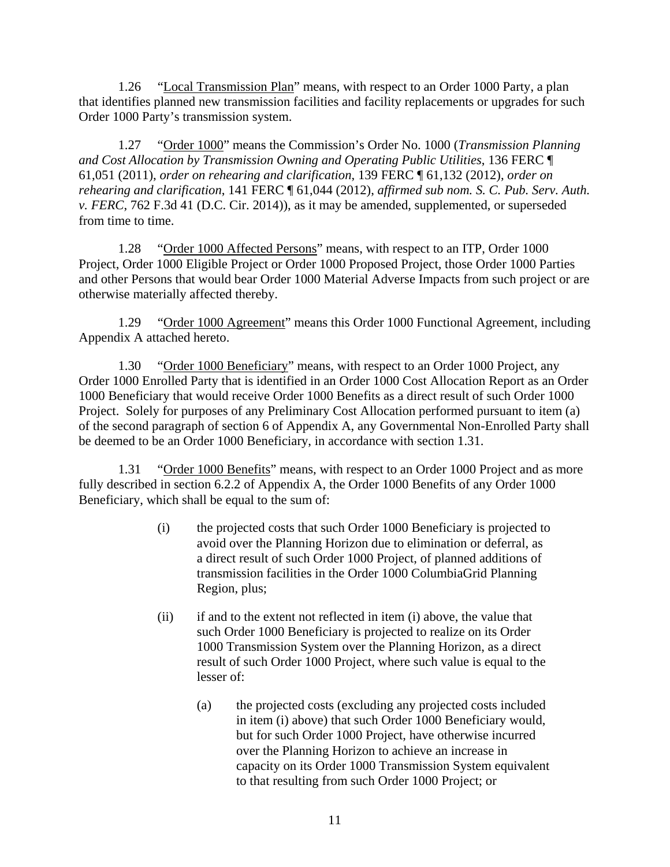1.26 "Local Transmission Plan" means, with respect to an Order 1000 Party, a plan that identifies planned new transmission facilities and facility replacements or upgrades for such Order 1000 Party's transmission system.

1.27 "Order 1000" means the Commission's Order No. 1000 (*Transmission Planning and Cost Allocation by Transmission Owning and Operating Public Utilities*, 136 FERC ¶ 61,051 (2011), *order on rehearing and clarification*, 139 FERC ¶ 61,132 (2012), *order on rehearing and clarification*, 141 FERC ¶ 61,044 (2012), *affirmed sub nom. S. C. Pub. Serv. Auth. v. FERC*, 762 F.3d 41 (D.C. Cir. 2014)), as it may be amended, supplemented, or superseded from time to time.

1.28 "Order 1000 Affected Persons" means, with respect to an ITP, Order 1000 Project, Order 1000 Eligible Project or Order 1000 Proposed Project, those Order 1000 Parties and other Persons that would bear Order 1000 Material Adverse Impacts from such project or are otherwise materially affected thereby.

1.29 "Order 1000 Agreement" means this Order 1000 Functional Agreement, including Appendix A attached hereto.

1.30 "Order 1000 Beneficiary" means, with respect to an Order 1000 Project, any Order 1000 Enrolled Party that is identified in an Order 1000 Cost Allocation Report as an Order 1000 Beneficiary that would receive Order 1000 Benefits as a direct result of such Order 1000 Project. Solely for purposes of any Preliminary Cost Allocation performed pursuant to item (a) of the second paragraph of section 6 of Appendix A, any Governmental Non-Enrolled Party shall be deemed to be an Order 1000 Beneficiary, in accordance with section 1.31.

1.31 "Order 1000 Benefits" means, with respect to an Order 1000 Project and as more fully described in section 6.2.2 of Appendix A, the Order 1000 Benefits of any Order 1000 Beneficiary, which shall be equal to the sum of:

- (i) the projected costs that such Order 1000 Beneficiary is projected to avoid over the Planning Horizon due to elimination or deferral, as a direct result of such Order 1000 Project, of planned additions of transmission facilities in the Order 1000 ColumbiaGrid Planning Region, plus;
- (ii) if and to the extent not reflected in item (i) above, the value that such Order 1000 Beneficiary is projected to realize on its Order 1000 Transmission System over the Planning Horizon, as a direct result of such Order 1000 Project, where such value is equal to the lesser of:
	- (a) the projected costs (excluding any projected costs included in item (i) above) that such Order 1000 Beneficiary would, but for such Order 1000 Project, have otherwise incurred over the Planning Horizon to achieve an increase in capacity on its Order 1000 Transmission System equivalent to that resulting from such Order 1000 Project; or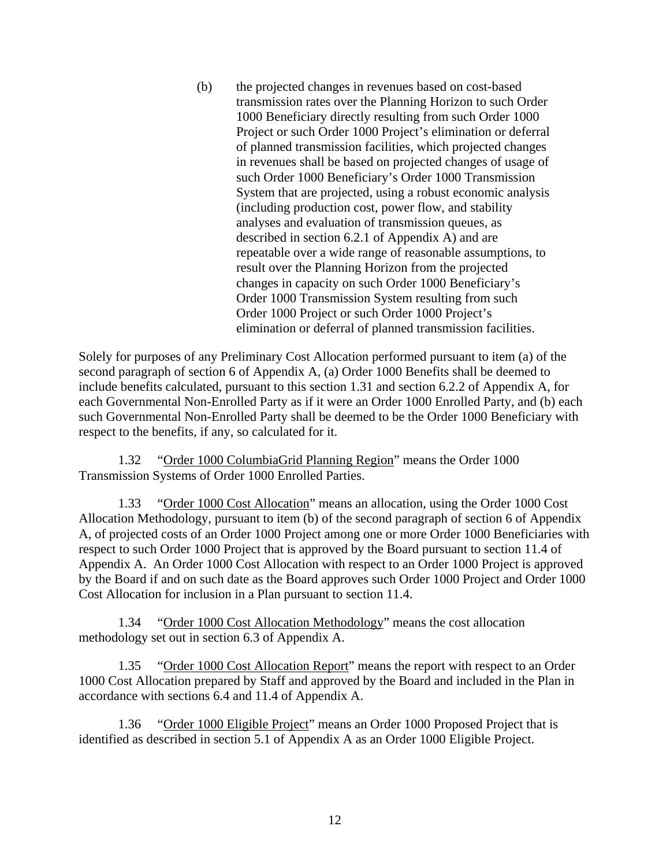(b) the projected changes in revenues based on cost-based transmission rates over the Planning Horizon to such Order 1000 Beneficiary directly resulting from such Order 1000 Project or such Order 1000 Project's elimination or deferral of planned transmission facilities, which projected changes in revenues shall be based on projected changes of usage of such Order 1000 Beneficiary's Order 1000 Transmission System that are projected, using a robust economic analysis (including production cost, power flow, and stability analyses and evaluation of transmission queues, as described in section 6.2.1 of Appendix A) and are repeatable over a wide range of reasonable assumptions, to result over the Planning Horizon from the projected changes in capacity on such Order 1000 Beneficiary's Order 1000 Transmission System resulting from such Order 1000 Project or such Order 1000 Project's elimination or deferral of planned transmission facilities.

Solely for purposes of any Preliminary Cost Allocation performed pursuant to item (a) of the second paragraph of section 6 of Appendix A, (a) Order 1000 Benefits shall be deemed to include benefits calculated, pursuant to this section 1.31 and section 6.2.2 of Appendix A, for each Governmental Non-Enrolled Party as if it were an Order 1000 Enrolled Party, and (b) each such Governmental Non-Enrolled Party shall be deemed to be the Order 1000 Beneficiary with respect to the benefits, if any, so calculated for it.

1.32 "Order 1000 ColumbiaGrid Planning Region" means the Order 1000 Transmission Systems of Order 1000 Enrolled Parties.

1.33 "Order 1000 Cost Allocation" means an allocation, using the Order 1000 Cost Allocation Methodology, pursuant to item (b) of the second paragraph of section 6 of Appendix A, of projected costs of an Order 1000 Project among one or more Order 1000 Beneficiaries with respect to such Order 1000 Project that is approved by the Board pursuant to section 11.4 of Appendix A. An Order 1000 Cost Allocation with respect to an Order 1000 Project is approved by the Board if and on such date as the Board approves such Order 1000 Project and Order 1000 Cost Allocation for inclusion in a Plan pursuant to section 11.4.

1.34 "Order 1000 Cost Allocation Methodology" means the cost allocation methodology set out in section 6.3 of Appendix A.

1.35 "Order 1000 Cost Allocation Report" means the report with respect to an Order 1000 Cost Allocation prepared by Staff and approved by the Board and included in the Plan in accordance with sections 6.4 and 11.4 of Appendix A.

1.36 "Order 1000 Eligible Project" means an Order 1000 Proposed Project that is identified as described in section 5.1 of Appendix A as an Order 1000 Eligible Project.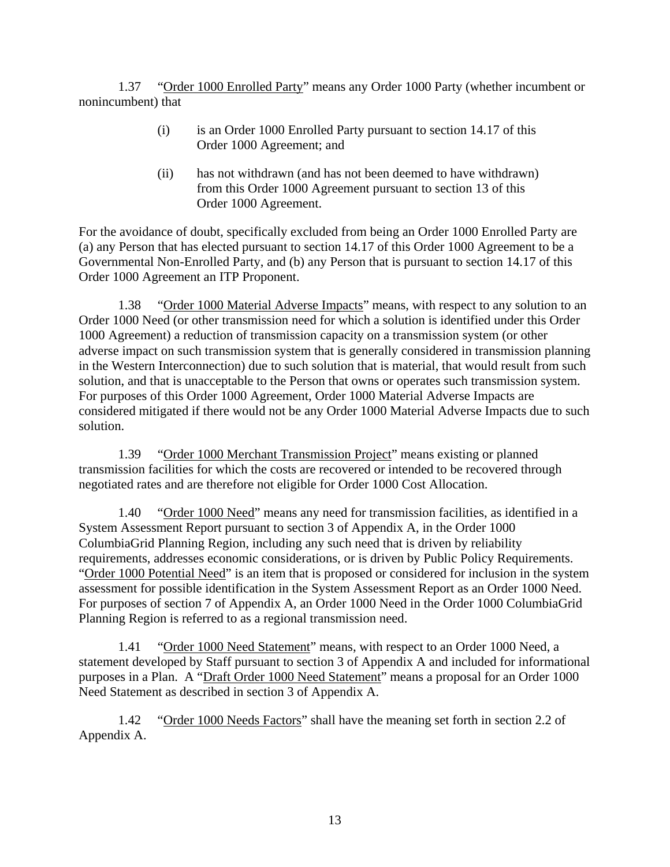1.37 "Order 1000 Enrolled Party" means any Order 1000 Party (whether incumbent or nonincumbent) that

- (i) is an Order 1000 Enrolled Party pursuant to section 14.17 of this Order 1000 Agreement; and
- (ii) has not withdrawn (and has not been deemed to have withdrawn) from this Order 1000 Agreement pursuant to section 13 of this Order 1000 Agreement.

For the avoidance of doubt, specifically excluded from being an Order 1000 Enrolled Party are (a) any Person that has elected pursuant to section 14.17 of this Order 1000 Agreement to be a Governmental Non-Enrolled Party, and (b) any Person that is pursuant to section 14.17 of this Order 1000 Agreement an ITP Proponent.

1.38 "Order 1000 Material Adverse Impacts" means, with respect to any solution to an Order 1000 Need (or other transmission need for which a solution is identified under this Order 1000 Agreement) a reduction of transmission capacity on a transmission system (or other adverse impact on such transmission system that is generally considered in transmission planning in the Western Interconnection) due to such solution that is material, that would result from such solution, and that is unacceptable to the Person that owns or operates such transmission system. For purposes of this Order 1000 Agreement, Order 1000 Material Adverse Impacts are considered mitigated if there would not be any Order 1000 Material Adverse Impacts due to such solution.

1.39 "Order 1000 Merchant Transmission Project" means existing or planned transmission facilities for which the costs are recovered or intended to be recovered through negotiated rates and are therefore not eligible for Order 1000 Cost Allocation.

1.40 "Order 1000 Need" means any need for transmission facilities, as identified in a System Assessment Report pursuant to section 3 of Appendix A, in the Order 1000 ColumbiaGrid Planning Region, including any such need that is driven by reliability requirements, addresses economic considerations, or is driven by Public Policy Requirements. "Order 1000 Potential Need" is an item that is proposed or considered for inclusion in the system assessment for possible identification in the System Assessment Report as an Order 1000 Need. For purposes of section 7 of Appendix A, an Order 1000 Need in the Order 1000 ColumbiaGrid Planning Region is referred to as a regional transmission need.

1.41 "Order 1000 Need Statement" means, with respect to an Order 1000 Need, a statement developed by Staff pursuant to section 3 of Appendix A and included for informational purposes in a Plan. A "Draft Order 1000 Need Statement" means a proposal for an Order 1000 Need Statement as described in section 3 of Appendix A.

1.42 "Order 1000 Needs Factors" shall have the meaning set forth in section 2.2 of Appendix A.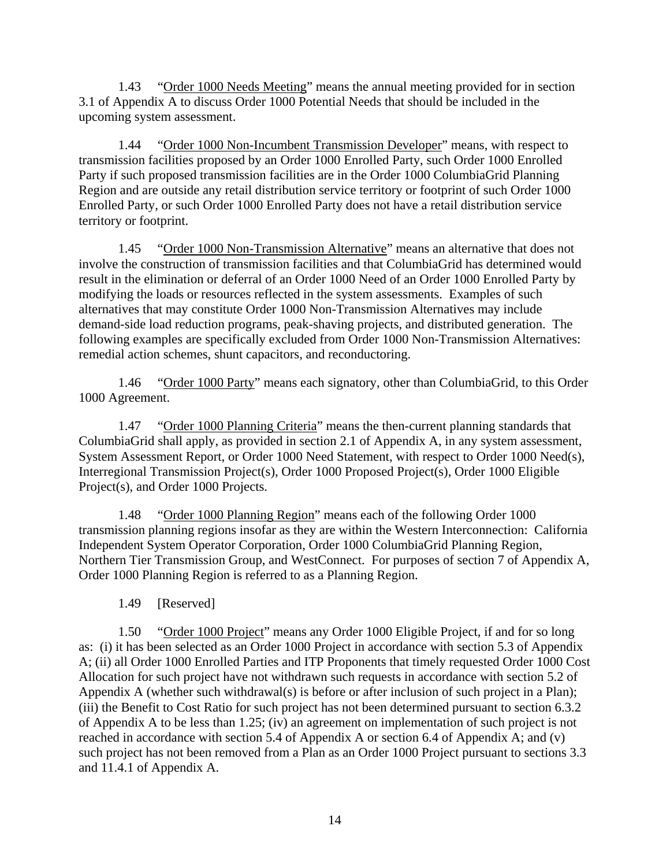1.43 "Order 1000 Needs Meeting" means the annual meeting provided for in section 3.1 of Appendix A to discuss Order 1000 Potential Needs that should be included in the upcoming system assessment.

1.44 "Order 1000 Non-Incumbent Transmission Developer" means, with respect to transmission facilities proposed by an Order 1000 Enrolled Party, such Order 1000 Enrolled Party if such proposed transmission facilities are in the Order 1000 ColumbiaGrid Planning Region and are outside any retail distribution service territory or footprint of such Order 1000 Enrolled Party, or such Order 1000 Enrolled Party does not have a retail distribution service territory or footprint.

1.45 "Order 1000 Non-Transmission Alternative" means an alternative that does not involve the construction of transmission facilities and that ColumbiaGrid has determined would result in the elimination or deferral of an Order 1000 Need of an Order 1000 Enrolled Party by modifying the loads or resources reflected in the system assessments. Examples of such alternatives that may constitute Order 1000 Non-Transmission Alternatives may include demand-side load reduction programs, peak-shaving projects, and distributed generation. The following examples are specifically excluded from Order 1000 Non-Transmission Alternatives: remedial action schemes, shunt capacitors, and reconductoring.

1.46 "Order 1000 Party" means each signatory, other than ColumbiaGrid, to this Order 1000 Agreement.

1.47 "Order 1000 Planning Criteria" means the then-current planning standards that ColumbiaGrid shall apply, as provided in section 2.1 of Appendix A, in any system assessment, System Assessment Report, or Order 1000 Need Statement, with respect to Order 1000 Need(s), Interregional Transmission Project(s), Order 1000 Proposed Project(s), Order 1000 Eligible Project(s), and Order 1000 Projects.

1.48 "Order 1000 Planning Region" means each of the following Order 1000 transmission planning regions insofar as they are within the Western Interconnection: California Independent System Operator Corporation, Order 1000 ColumbiaGrid Planning Region, Northern Tier Transmission Group, and WestConnect. For purposes of section 7 of Appendix A, Order 1000 Planning Region is referred to as a Planning Region.

1.49 [Reserved]

1.50 "Order 1000 Project" means any Order 1000 Eligible Project, if and for so long as: (i) it has been selected as an Order 1000 Project in accordance with section 5.3 of Appendix A; (ii) all Order 1000 Enrolled Parties and ITP Proponents that timely requested Order 1000 Cost Allocation for such project have not withdrawn such requests in accordance with section 5.2 of Appendix A (whether such withdrawal(s) is before or after inclusion of such project in a Plan); (iii) the Benefit to Cost Ratio for such project has not been determined pursuant to section 6.3.2 of Appendix A to be less than 1.25; (iv) an agreement on implementation of such project is not reached in accordance with section 5.4 of Appendix A or section 6.4 of Appendix A; and (v) such project has not been removed from a Plan as an Order 1000 Project pursuant to sections 3.3 and 11.4.1 of Appendix A.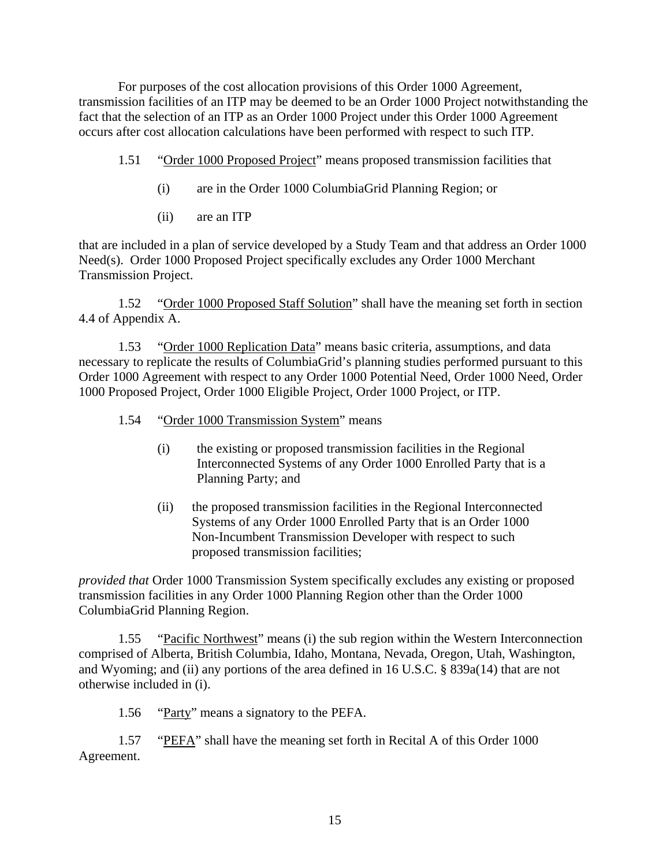For purposes of the cost allocation provisions of this Order 1000 Agreement, transmission facilities of an ITP may be deemed to be an Order 1000 Project notwithstanding the fact that the selection of an ITP as an Order 1000 Project under this Order 1000 Agreement occurs after cost allocation calculations have been performed with respect to such ITP.

- 1.51 "Order 1000 Proposed Project" means proposed transmission facilities that
	- (i) are in the Order 1000 ColumbiaGrid Planning Region; or
	- (ii) are an ITP

that are included in a plan of service developed by a Study Team and that address an Order 1000 Need(s). Order 1000 Proposed Project specifically excludes any Order 1000 Merchant Transmission Project.

1.52 "Order 1000 Proposed Staff Solution" shall have the meaning set forth in section 4.4 of Appendix A.

1.53 "Order 1000 Replication Data" means basic criteria, assumptions, and data necessary to replicate the results of ColumbiaGrid's planning studies performed pursuant to this Order 1000 Agreement with respect to any Order 1000 Potential Need, Order 1000 Need, Order 1000 Proposed Project, Order 1000 Eligible Project, Order 1000 Project, or ITP.

- 1.54 "Order 1000 Transmission System" means
	- (i) the existing or proposed transmission facilities in the Regional Interconnected Systems of any Order 1000 Enrolled Party that is a Planning Party; and
	- (ii) the proposed transmission facilities in the Regional Interconnected Systems of any Order 1000 Enrolled Party that is an Order 1000 Non-Incumbent Transmission Developer with respect to such proposed transmission facilities;

*provided that* Order 1000 Transmission System specifically excludes any existing or proposed transmission facilities in any Order 1000 Planning Region other than the Order 1000 ColumbiaGrid Planning Region.

1.55 "Pacific Northwest" means (i) the sub region within the Western Interconnection comprised of Alberta, British Columbia, Idaho, Montana, Nevada, Oregon, Utah, Washington, and Wyoming; and (ii) any portions of the area defined in 16 U.S.C. § 839a(14) that are not otherwise included in (i).

1.56 "Party" means a signatory to the PEFA.

1.57 "PEFA" shall have the meaning set forth in Recital A of this Order 1000 Agreement.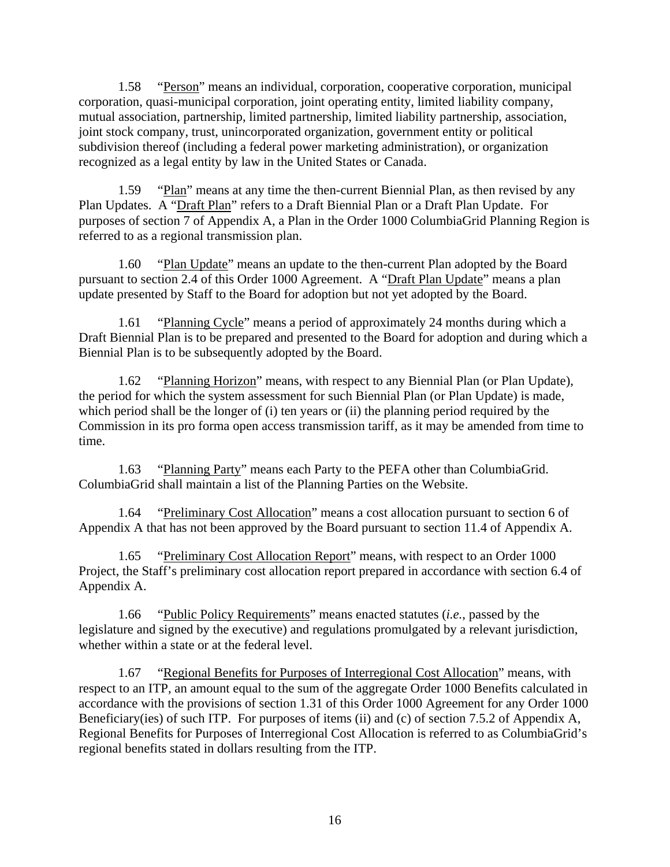1.58 "Person" means an individual, corporation, cooperative corporation, municipal corporation, quasi-municipal corporation, joint operating entity, limited liability company, mutual association, partnership, limited partnership, limited liability partnership, association, joint stock company, trust, unincorporated organization, government entity or political subdivision thereof (including a federal power marketing administration), or organization recognized as a legal entity by law in the United States or Canada.

1.59 "Plan" means at any time the then-current Biennial Plan, as then revised by any Plan Updates. A "Draft Plan" refers to a Draft Biennial Plan or a Draft Plan Update. For purposes of section 7 of Appendix A, a Plan in the Order 1000 ColumbiaGrid Planning Region is referred to as a regional transmission plan.

1.60 "Plan Update" means an update to the then-current Plan adopted by the Board pursuant to section 2.4 of this Order 1000 Agreement. A "Draft Plan Update" means a plan update presented by Staff to the Board for adoption but not yet adopted by the Board.

1.61 "Planning Cycle" means a period of approximately 24 months during which a Draft Biennial Plan is to be prepared and presented to the Board for adoption and during which a Biennial Plan is to be subsequently adopted by the Board.

1.62 "Planning Horizon" means, with respect to any Biennial Plan (or Plan Update), the period for which the system assessment for such Biennial Plan (or Plan Update) is made, which period shall be the longer of (i) ten years or (ii) the planning period required by the Commission in its pro forma open access transmission tariff, as it may be amended from time to time.

1.63 "Planning Party" means each Party to the PEFA other than ColumbiaGrid. ColumbiaGrid shall maintain a list of the Planning Parties on the Website.

1.64 "Preliminary Cost Allocation" means a cost allocation pursuant to section 6 of Appendix A that has not been approved by the Board pursuant to section 11.4 of Appendix A.

1.65 "Preliminary Cost Allocation Report" means, with respect to an Order 1000 Project, the Staff's preliminary cost allocation report prepared in accordance with section 6.4 of Appendix A.

1.66 "Public Policy Requirements" means enacted statutes (*i.e.*, passed by the legislature and signed by the executive) and regulations promulgated by a relevant jurisdiction, whether within a state or at the federal level.

1.67 "Regional Benefits for Purposes of Interregional Cost Allocation" means, with respect to an ITP, an amount equal to the sum of the aggregate Order 1000 Benefits calculated in accordance with the provisions of section 1.31 of this Order 1000 Agreement for any Order 1000 Beneficiary(ies) of such ITP. For purposes of items (ii) and (c) of section 7.5.2 of Appendix A, Regional Benefits for Purposes of Interregional Cost Allocation is referred to as ColumbiaGrid's regional benefits stated in dollars resulting from the ITP.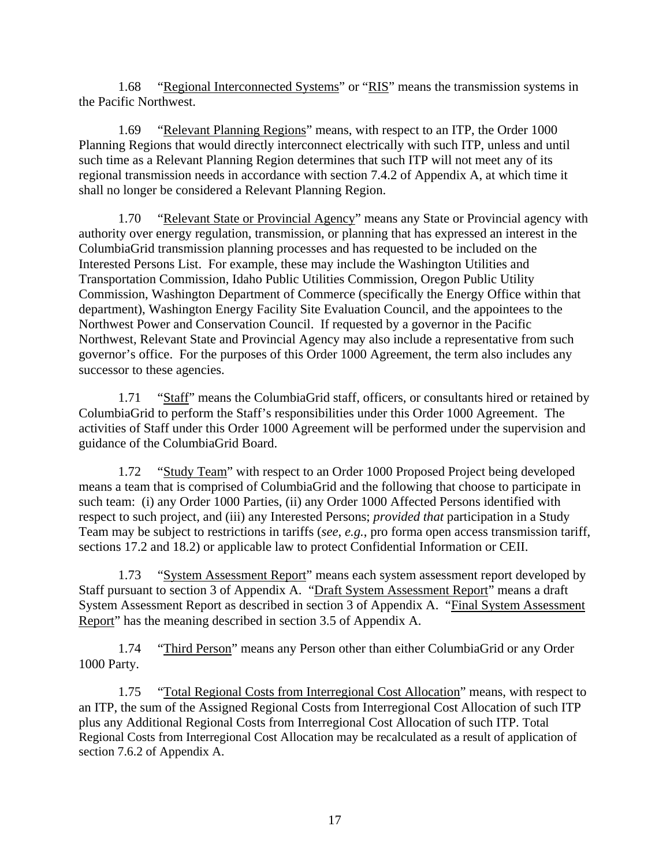1.68 "Regional Interconnected Systems" or "RIS" means the transmission systems in the Pacific Northwest.

1.69 "Relevant Planning Regions" means, with respect to an ITP, the Order 1000 Planning Regions that would directly interconnect electrically with such ITP, unless and until such time as a Relevant Planning Region determines that such ITP will not meet any of its regional transmission needs in accordance with section 7.4.2 of Appendix A, at which time it shall no longer be considered a Relevant Planning Region.

1.70 "Relevant State or Provincial Agency" means any State or Provincial agency with authority over energy regulation, transmission, or planning that has expressed an interest in the ColumbiaGrid transmission planning processes and has requested to be included on the Interested Persons List. For example, these may include the Washington Utilities and Transportation Commission, Idaho Public Utilities Commission, Oregon Public Utility Commission, Washington Department of Commerce (specifically the Energy Office within that department), Washington Energy Facility Site Evaluation Council, and the appointees to the Northwest Power and Conservation Council. If requested by a governor in the Pacific Northwest, Relevant State and Provincial Agency may also include a representative from such governor's office. For the purposes of this Order 1000 Agreement, the term also includes any successor to these agencies.

1.71 "Staff" means the ColumbiaGrid staff, officers, or consultants hired or retained by ColumbiaGrid to perform the Staff's responsibilities under this Order 1000 Agreement. The activities of Staff under this Order 1000 Agreement will be performed under the supervision and guidance of the ColumbiaGrid Board.

1.72 "Study Team" with respect to an Order 1000 Proposed Project being developed means a team that is comprised of ColumbiaGrid and the following that choose to participate in such team: (i) any Order 1000 Parties, (ii) any Order 1000 Affected Persons identified with respect to such project, and (iii) any Interested Persons; *provided that* participation in a Study Team may be subject to restrictions in tariffs (*see*, *e.g.*, pro forma open access transmission tariff, sections 17.2 and 18.2) or applicable law to protect Confidential Information or CEII.

1.73 "System Assessment Report" means each system assessment report developed by Staff pursuant to section 3 of Appendix A. "Draft System Assessment Report" means a draft System Assessment Report as described in section 3 of Appendix A. "Final System Assessment Report" has the meaning described in section 3.5 of Appendix A.

1.74 "Third Person" means any Person other than either ColumbiaGrid or any Order 1000 Party.

1.75 "Total Regional Costs from Interregional Cost Allocation" means, with respect to an ITP, the sum of the Assigned Regional Costs from Interregional Cost Allocation of such ITP plus any Additional Regional Costs from Interregional Cost Allocation of such ITP. Total Regional Costs from Interregional Cost Allocation may be recalculated as a result of application of section 7.6.2 of Appendix A.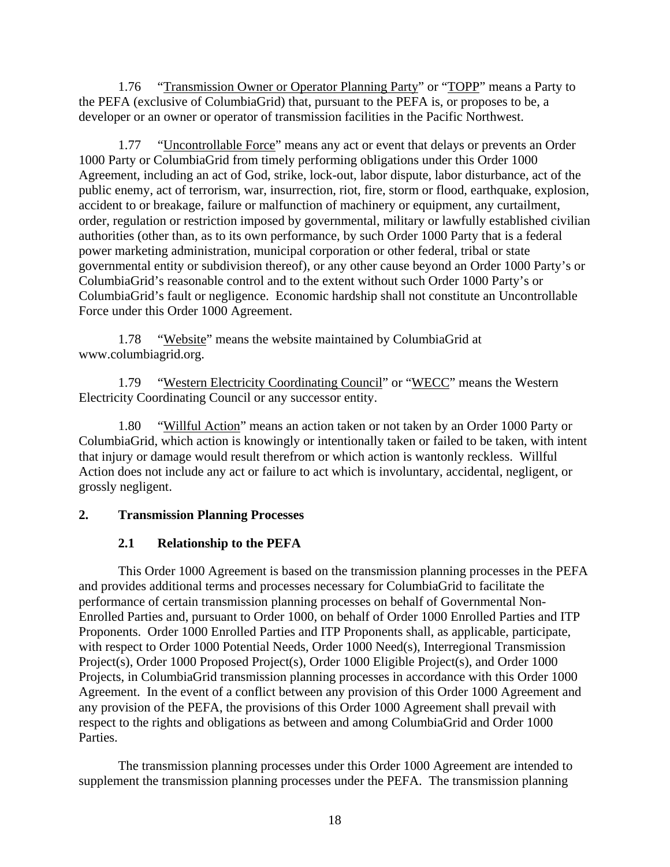1.76 "Transmission Owner or Operator Planning Party" or "TOPP" means a Party to the PEFA (exclusive of ColumbiaGrid) that, pursuant to the PEFA is, or proposes to be, a developer or an owner or operator of transmission facilities in the Pacific Northwest.

1.77 "Uncontrollable Force" means any act or event that delays or prevents an Order 1000 Party or ColumbiaGrid from timely performing obligations under this Order 1000 Agreement, including an act of God, strike, lock-out, labor dispute, labor disturbance, act of the public enemy, act of terrorism, war, insurrection, riot, fire, storm or flood, earthquake, explosion, accident to or breakage, failure or malfunction of machinery or equipment, any curtailment, order, regulation or restriction imposed by governmental, military or lawfully established civilian authorities (other than, as to its own performance, by such Order 1000 Party that is a federal power marketing administration, municipal corporation or other federal, tribal or state governmental entity or subdivision thereof), or any other cause beyond an Order 1000 Party's or ColumbiaGrid's reasonable control and to the extent without such Order 1000 Party's or ColumbiaGrid's fault or negligence. Economic hardship shall not constitute an Uncontrollable Force under this Order 1000 Agreement.

1.78 "Website" means the website maintained by ColumbiaGrid at www.columbiagrid.org.

1.79 "Western Electricity Coordinating Council" or "WECC" means the Western Electricity Coordinating Council or any successor entity.

1.80 "Willful Action" means an action taken or not taken by an Order 1000 Party or ColumbiaGrid, which action is knowingly or intentionally taken or failed to be taken, with intent that injury or damage would result therefrom or which action is wantonly reckless. Willful Action does not include any act or failure to act which is involuntary, accidental, negligent, or grossly negligent.

# **2. Transmission Planning Processes**

# **2.1 Relationship to the PEFA**

This Order 1000 Agreement is based on the transmission planning processes in the PEFA and provides additional terms and processes necessary for ColumbiaGrid to facilitate the performance of certain transmission planning processes on behalf of Governmental Non-Enrolled Parties and, pursuant to Order 1000, on behalf of Order 1000 Enrolled Parties and ITP Proponents. Order 1000 Enrolled Parties and ITP Proponents shall, as applicable, participate, with respect to Order 1000 Potential Needs, Order 1000 Need(s), Interregional Transmission Project(s), Order 1000 Proposed Project(s), Order 1000 Eligible Project(s), and Order 1000 Projects, in ColumbiaGrid transmission planning processes in accordance with this Order 1000 Agreement. In the event of a conflict between any provision of this Order 1000 Agreement and any provision of the PEFA, the provisions of this Order 1000 Agreement shall prevail with respect to the rights and obligations as between and among ColumbiaGrid and Order 1000 Parties.

The transmission planning processes under this Order 1000 Agreement are intended to supplement the transmission planning processes under the PEFA. The transmission planning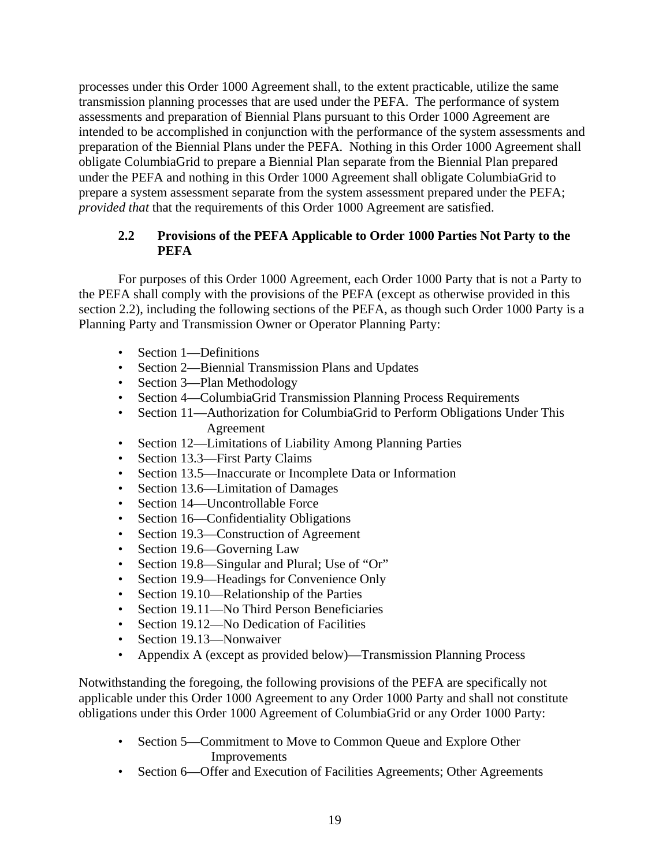processes under this Order 1000 Agreement shall, to the extent practicable, utilize the same transmission planning processes that are used under the PEFA. The performance of system assessments and preparation of Biennial Plans pursuant to this Order 1000 Agreement are intended to be accomplished in conjunction with the performance of the system assessments and preparation of the Biennial Plans under the PEFA. Nothing in this Order 1000 Agreement shall obligate ColumbiaGrid to prepare a Biennial Plan separate from the Biennial Plan prepared under the PEFA and nothing in this Order 1000 Agreement shall obligate ColumbiaGrid to prepare a system assessment separate from the system assessment prepared under the PEFA; *provided that* that the requirements of this Order 1000 Agreement are satisfied.

# **2.2 Provisions of the PEFA Applicable to Order 1000 Parties Not Party to the PEFA**

For purposes of this Order 1000 Agreement, each Order 1000 Party that is not a Party to the PEFA shall comply with the provisions of the PEFA (except as otherwise provided in this section 2.2), including the following sections of the PEFA, as though such Order 1000 Party is a Planning Party and Transmission Owner or Operator Planning Party:

- Section 1—Definitions
- Section 2—Biennial Transmission Plans and Updates
- Section 3—Plan Methodology
- Section 4—ColumbiaGrid Transmission Planning Process Requirements
- Section 11—Authorization for ColumbiaGrid to Perform Obligations Under This Agreement
- Section 12—Limitations of Liability Among Planning Parties
- Section 13.3—First Party Claims
- Section 13.5—Inaccurate or Incomplete Data or Information
- Section 13.6—Limitation of Damages
- Section 14—Uncontrollable Force
- Section 16—Confidentiality Obligations
- Section 19.3—Construction of Agreement
- Section 19.6—Governing Law
- Section 19.8—Singular and Plural; Use of "Or"
- Section 19.9—Headings for Convenience Only
- Section 19.10—Relationship of the Parties
- Section 19.11—No Third Person Beneficiaries
- Section 19.12—No Dedication of Facilities
- Section 19.13—Nonwaiver
- Appendix A (except as provided below)—Transmission Planning Process

Notwithstanding the foregoing, the following provisions of the PEFA are specifically not applicable under this Order 1000 Agreement to any Order 1000 Party and shall not constitute obligations under this Order 1000 Agreement of ColumbiaGrid or any Order 1000 Party:

- Section 5—Commitment to Move to Common Queue and Explore Other Improvements
- Section 6—Offer and Execution of Facilities Agreements; Other Agreements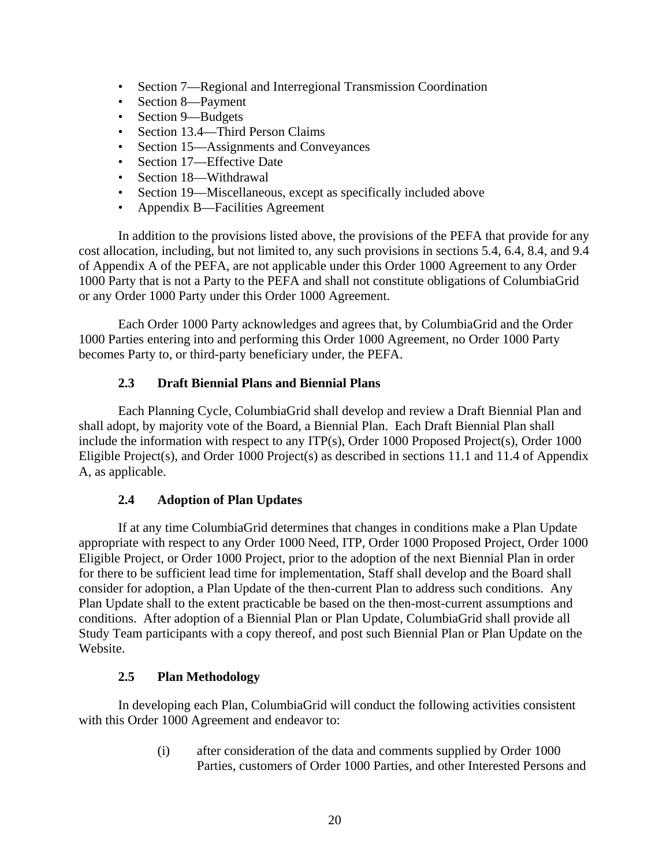- Section 7—Regional and Interregional Transmission Coordination
- Section 8—Payment
- Section 9—Budgets
- Section 13.4—Third Person Claims
- Section 15—Assignments and Conveyances
- Section 17—Effective Date
- Section 18—Withdrawal
- Section 19—Miscellaneous, except as specifically included above
- Appendix B—Facilities Agreement

In addition to the provisions listed above, the provisions of the PEFA that provide for any cost allocation, including, but not limited to, any such provisions in sections 5.4, 6.4, 8.4, and 9.4 of Appendix A of the PEFA, are not applicable under this Order 1000 Agreement to any Order 1000 Party that is not a Party to the PEFA and shall not constitute obligations of ColumbiaGrid or any Order 1000 Party under this Order 1000 Agreement.

Each Order 1000 Party acknowledges and agrees that, by ColumbiaGrid and the Order 1000 Parties entering into and performing this Order 1000 Agreement, no Order 1000 Party becomes Party to, or third-party beneficiary under, the PEFA.

# **2.3 Draft Biennial Plans and Biennial Plans**

Each Planning Cycle, ColumbiaGrid shall develop and review a Draft Biennial Plan and shall adopt, by majority vote of the Board, a Biennial Plan. Each Draft Biennial Plan shall include the information with respect to any ITP(s), Order 1000 Proposed Project(s), Order 1000 Eligible Project(s), and Order 1000 Project(s) as described in sections 11.1 and 11.4 of Appendix A, as applicable.

# **2.4 Adoption of Plan Updates**

If at any time ColumbiaGrid determines that changes in conditions make a Plan Update appropriate with respect to any Order 1000 Need, ITP, Order 1000 Proposed Project, Order 1000 Eligible Project, or Order 1000 Project, prior to the adoption of the next Biennial Plan in order for there to be sufficient lead time for implementation, Staff shall develop and the Board shall consider for adoption, a Plan Update of the then-current Plan to address such conditions. Any Plan Update shall to the extent practicable be based on the then-most-current assumptions and conditions. After adoption of a Biennial Plan or Plan Update, ColumbiaGrid shall provide all Study Team participants with a copy thereof, and post such Biennial Plan or Plan Update on the Website.

# **2.5 Plan Methodology**

In developing each Plan, ColumbiaGrid will conduct the following activities consistent with this Order 1000 Agreement and endeavor to:

> (i) after consideration of the data and comments supplied by Order 1000 Parties, customers of Order 1000 Parties, and other Interested Persons and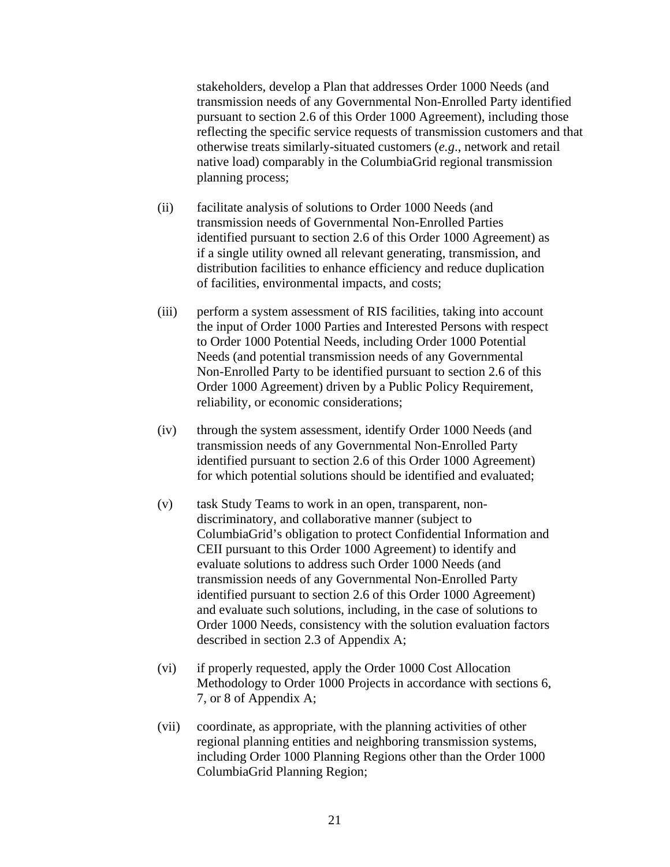stakeholders, develop a Plan that addresses Order 1000 Needs (and transmission needs of any Governmental Non-Enrolled Party identified pursuant to section 2.6 of this Order 1000 Agreement), including those reflecting the specific service requests of transmission customers and that otherwise treats similarly-situated customers (*e.g*., network and retail native load) comparably in the ColumbiaGrid regional transmission planning process;

- (ii) facilitate analysis of solutions to Order 1000 Needs (and transmission needs of Governmental Non-Enrolled Parties identified pursuant to section 2.6 of this Order 1000 Agreement) as if a single utility owned all relevant generating, transmission, and distribution facilities to enhance efficiency and reduce duplication of facilities, environmental impacts, and costs;
- (iii) perform a system assessment of RIS facilities, taking into account the input of Order 1000 Parties and Interested Persons with respect to Order 1000 Potential Needs, including Order 1000 Potential Needs (and potential transmission needs of any Governmental Non-Enrolled Party to be identified pursuant to section 2.6 of this Order 1000 Agreement) driven by a Public Policy Requirement, reliability, or economic considerations;
- (iv) through the system assessment, identify Order 1000 Needs (and transmission needs of any Governmental Non-Enrolled Party identified pursuant to section 2.6 of this Order 1000 Agreement) for which potential solutions should be identified and evaluated;
- (v) task Study Teams to work in an open, transparent, nondiscriminatory, and collaborative manner (subject to ColumbiaGrid's obligation to protect Confidential Information and CEII pursuant to this Order 1000 Agreement) to identify and evaluate solutions to address such Order 1000 Needs (and transmission needs of any Governmental Non-Enrolled Party identified pursuant to section 2.6 of this Order 1000 Agreement) and evaluate such solutions, including, in the case of solutions to Order 1000 Needs, consistency with the solution evaluation factors described in section 2.3 of Appendix A;
- (vi) if properly requested, apply the Order 1000 Cost Allocation Methodology to Order 1000 Projects in accordance with sections 6, 7, or 8 of Appendix A;
- (vii) coordinate, as appropriate, with the planning activities of other regional planning entities and neighboring transmission systems, including Order 1000 Planning Regions other than the Order 1000 ColumbiaGrid Planning Region;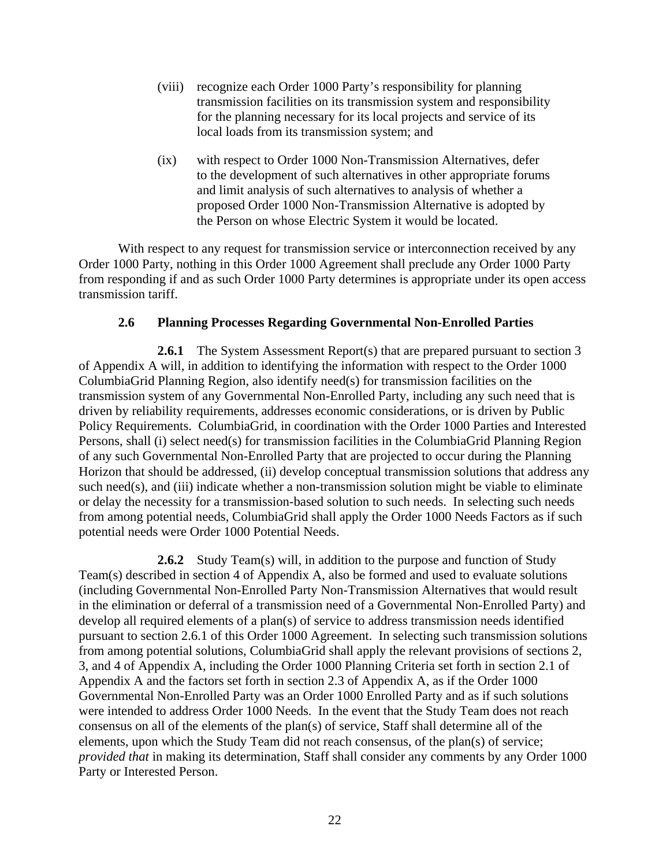- (viii) recognize each Order 1000 Party's responsibility for planning transmission facilities on its transmission system and responsibility for the planning necessary for its local projects and service of its local loads from its transmission system; and
- (ix) with respect to Order 1000 Non-Transmission Alternatives, defer to the development of such alternatives in other appropriate forums and limit analysis of such alternatives to analysis of whether a proposed Order 1000 Non-Transmission Alternative is adopted by the Person on whose Electric System it would be located.

With respect to any request for transmission service or interconnection received by any Order 1000 Party, nothing in this Order 1000 Agreement shall preclude any Order 1000 Party from responding if and as such Order 1000 Party determines is appropriate under its open access transmission tariff.

#### **2.6 Planning Processes Regarding Governmental Non-Enrolled Parties**

**2.6.1** The System Assessment Report(s) that are prepared pursuant to section 3 of Appendix A will, in addition to identifying the information with respect to the Order 1000 ColumbiaGrid Planning Region, also identify need(s) for transmission facilities on the transmission system of any Governmental Non-Enrolled Party, including any such need that is driven by reliability requirements, addresses economic considerations, or is driven by Public Policy Requirements. ColumbiaGrid, in coordination with the Order 1000 Parties and Interested Persons, shall (i) select need(s) for transmission facilities in the ColumbiaGrid Planning Region of any such Governmental Non-Enrolled Party that are projected to occur during the Planning Horizon that should be addressed, (ii) develop conceptual transmission solutions that address any such need(s), and (iii) indicate whether a non-transmission solution might be viable to eliminate or delay the necessity for a transmission-based solution to such needs. In selecting such needs from among potential needs, ColumbiaGrid shall apply the Order 1000 Needs Factors as if such potential needs were Order 1000 Potential Needs.

**2.6.2** Study Team(s) will, in addition to the purpose and function of Study Team(s) described in section 4 of Appendix A, also be formed and used to evaluate solutions (including Governmental Non-Enrolled Party Non-Transmission Alternatives that would result in the elimination or deferral of a transmission need of a Governmental Non-Enrolled Party) and develop all required elements of a plan(s) of service to address transmission needs identified pursuant to section 2.6.1 of this Order 1000 Agreement. In selecting such transmission solutions from among potential solutions, ColumbiaGrid shall apply the relevant provisions of sections 2, 3, and 4 of Appendix A, including the Order 1000 Planning Criteria set forth in section 2.1 of Appendix A and the factors set forth in section 2.3 of Appendix A, as if the Order 1000 Governmental Non-Enrolled Party was an Order 1000 Enrolled Party and as if such solutions were intended to address Order 1000 Needs. In the event that the Study Team does not reach consensus on all of the elements of the plan(s) of service, Staff shall determine all of the elements, upon which the Study Team did not reach consensus, of the plan(s) of service; *provided that* in making its determination, Staff shall consider any comments by any Order 1000 Party or Interested Person.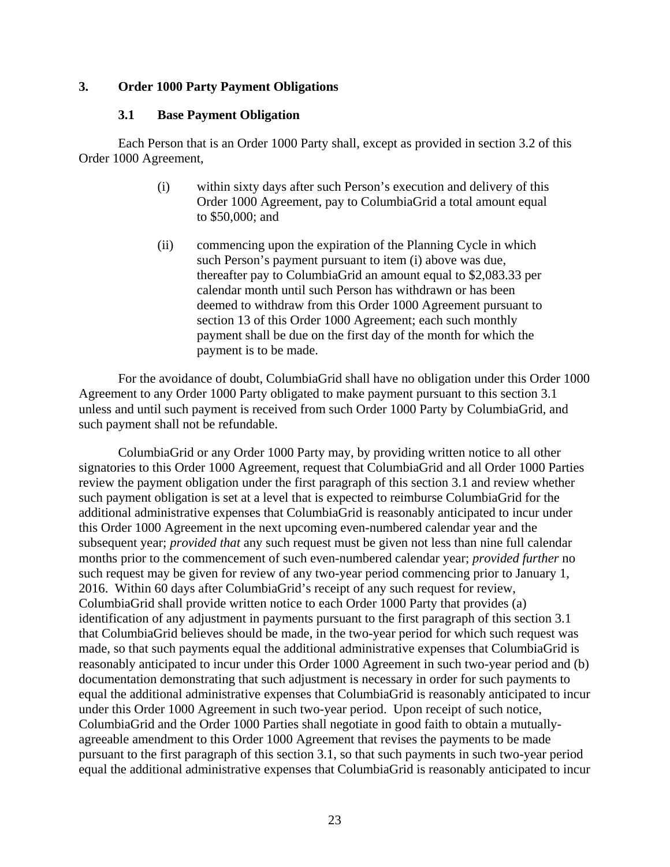#### **3. Order 1000 Party Payment Obligations**

#### **3.1 Base Payment Obligation**

Each Person that is an Order 1000 Party shall, except as provided in section 3.2 of this Order 1000 Agreement,

- (i) within sixty days after such Person's execution and delivery of this Order 1000 Agreement, pay to ColumbiaGrid a total amount equal to \$50,000; and
- (ii) commencing upon the expiration of the Planning Cycle in which such Person's payment pursuant to item (i) above was due, thereafter pay to ColumbiaGrid an amount equal to \$2,083.33 per calendar month until such Person has withdrawn or has been deemed to withdraw from this Order 1000 Agreement pursuant to section 13 of this Order 1000 Agreement; each such monthly payment shall be due on the first day of the month for which the payment is to be made.

For the avoidance of doubt, ColumbiaGrid shall have no obligation under this Order 1000 Agreement to any Order 1000 Party obligated to make payment pursuant to this section 3.1 unless and until such payment is received from such Order 1000 Party by ColumbiaGrid, and such payment shall not be refundable.

ColumbiaGrid or any Order 1000 Party may, by providing written notice to all other signatories to this Order 1000 Agreement, request that ColumbiaGrid and all Order 1000 Parties review the payment obligation under the first paragraph of this section 3.1 and review whether such payment obligation is set at a level that is expected to reimburse ColumbiaGrid for the additional administrative expenses that ColumbiaGrid is reasonably anticipated to incur under this Order 1000 Agreement in the next upcoming even-numbered calendar year and the subsequent year; *provided that* any such request must be given not less than nine full calendar months prior to the commencement of such even-numbered calendar year; *provided further* no such request may be given for review of any two-year period commencing prior to January 1, 2016. Within 60 days after ColumbiaGrid's receipt of any such request for review, ColumbiaGrid shall provide written notice to each Order 1000 Party that provides (a) identification of any adjustment in payments pursuant to the first paragraph of this section 3.1 that ColumbiaGrid believes should be made, in the two-year period for which such request was made, so that such payments equal the additional administrative expenses that ColumbiaGrid is reasonably anticipated to incur under this Order 1000 Agreement in such two-year period and (b) documentation demonstrating that such adjustment is necessary in order for such payments to equal the additional administrative expenses that ColumbiaGrid is reasonably anticipated to incur under this Order 1000 Agreement in such two-year period. Upon receipt of such notice, ColumbiaGrid and the Order 1000 Parties shall negotiate in good faith to obtain a mutuallyagreeable amendment to this Order 1000 Agreement that revises the payments to be made pursuant to the first paragraph of this section 3.1, so that such payments in such two-year period equal the additional administrative expenses that ColumbiaGrid is reasonably anticipated to incur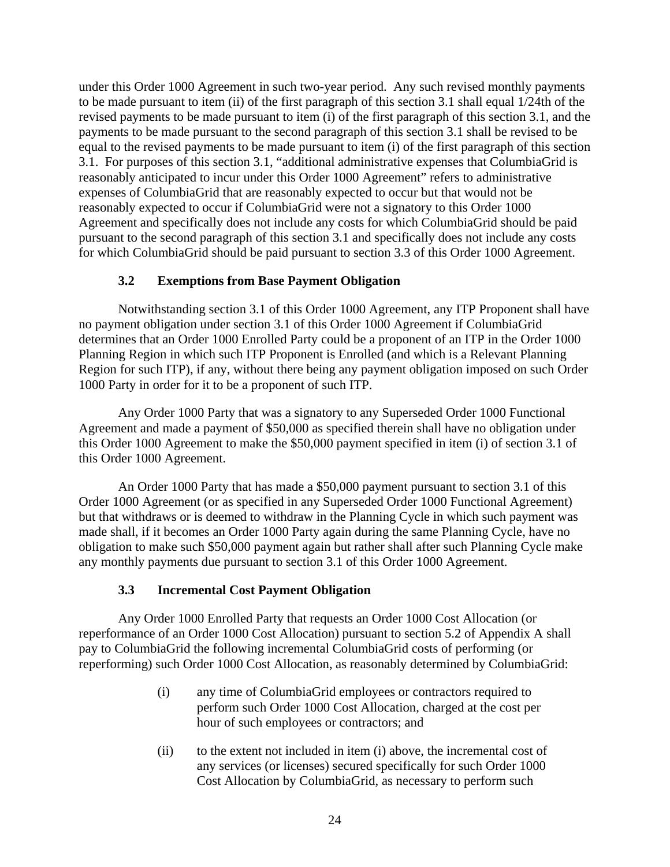under this Order 1000 Agreement in such two-year period. Any such revised monthly payments to be made pursuant to item (ii) of the first paragraph of this section 3.1 shall equal 1/24th of the revised payments to be made pursuant to item (i) of the first paragraph of this section 3.1, and the payments to be made pursuant to the second paragraph of this section 3.1 shall be revised to be equal to the revised payments to be made pursuant to item (i) of the first paragraph of this section 3.1. For purposes of this section 3.1, "additional administrative expenses that ColumbiaGrid is reasonably anticipated to incur under this Order 1000 Agreement" refers to administrative expenses of ColumbiaGrid that are reasonably expected to occur but that would not be reasonably expected to occur if ColumbiaGrid were not a signatory to this Order 1000 Agreement and specifically does not include any costs for which ColumbiaGrid should be paid pursuant to the second paragraph of this section 3.1 and specifically does not include any costs for which ColumbiaGrid should be paid pursuant to section 3.3 of this Order 1000 Agreement.

# **3.2 Exemptions from Base Payment Obligation**

Notwithstanding section 3.1 of this Order 1000 Agreement, any ITP Proponent shall have no payment obligation under section 3.1 of this Order 1000 Agreement if ColumbiaGrid determines that an Order 1000 Enrolled Party could be a proponent of an ITP in the Order 1000 Planning Region in which such ITP Proponent is Enrolled (and which is a Relevant Planning Region for such ITP), if any, without there being any payment obligation imposed on such Order 1000 Party in order for it to be a proponent of such ITP.

Any Order 1000 Party that was a signatory to any Superseded Order 1000 Functional Agreement and made a payment of \$50,000 as specified therein shall have no obligation under this Order 1000 Agreement to make the \$50,000 payment specified in item (i) of section 3.1 of this Order 1000 Agreement.

An Order 1000 Party that has made a \$50,000 payment pursuant to section 3.1 of this Order 1000 Agreement (or as specified in any Superseded Order 1000 Functional Agreement) but that withdraws or is deemed to withdraw in the Planning Cycle in which such payment was made shall, if it becomes an Order 1000 Party again during the same Planning Cycle, have no obligation to make such \$50,000 payment again but rather shall after such Planning Cycle make any monthly payments due pursuant to section 3.1 of this Order 1000 Agreement.

# **3.3 Incremental Cost Payment Obligation**

Any Order 1000 Enrolled Party that requests an Order 1000 Cost Allocation (or reperformance of an Order 1000 Cost Allocation) pursuant to section 5.2 of Appendix A shall pay to ColumbiaGrid the following incremental ColumbiaGrid costs of performing (or reperforming) such Order 1000 Cost Allocation, as reasonably determined by ColumbiaGrid:

- (i) any time of ColumbiaGrid employees or contractors required to perform such Order 1000 Cost Allocation, charged at the cost per hour of such employees or contractors; and
- (ii) to the extent not included in item (i) above, the incremental cost of any services (or licenses) secured specifically for such Order 1000 Cost Allocation by ColumbiaGrid, as necessary to perform such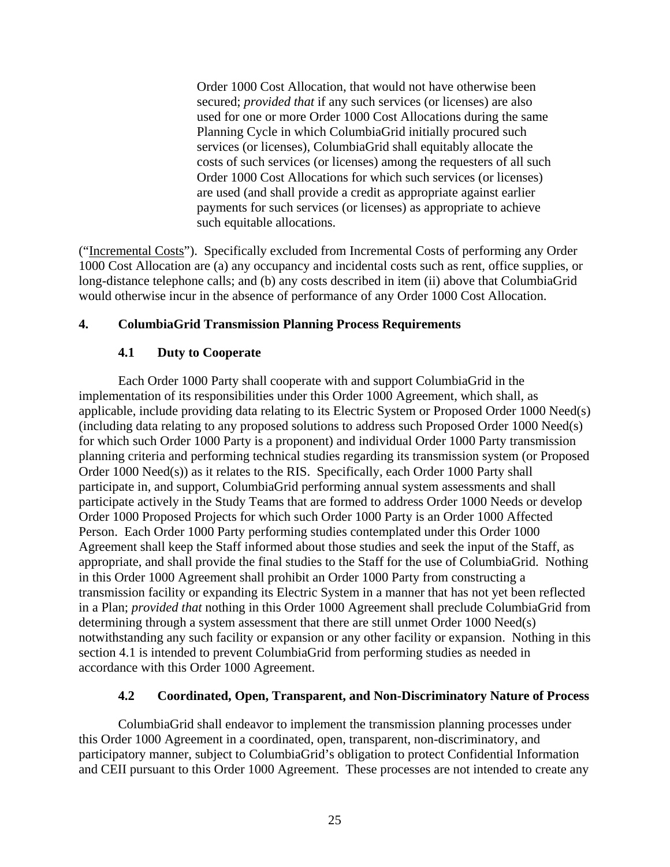Order 1000 Cost Allocation, that would not have otherwise been secured; *provided that* if any such services (or licenses) are also used for one or more Order 1000 Cost Allocations during the same Planning Cycle in which ColumbiaGrid initially procured such services (or licenses), ColumbiaGrid shall equitably allocate the costs of such services (or licenses) among the requesters of all such Order 1000 Cost Allocations for which such services (or licenses) are used (and shall provide a credit as appropriate against earlier payments for such services (or licenses) as appropriate to achieve such equitable allocations.

("Incremental Costs"). Specifically excluded from Incremental Costs of performing any Order 1000 Cost Allocation are (a) any occupancy and incidental costs such as rent, office supplies, or long-distance telephone calls; and (b) any costs described in item (ii) above that ColumbiaGrid would otherwise incur in the absence of performance of any Order 1000 Cost Allocation.

#### **4. ColumbiaGrid Transmission Planning Process Requirements**

# **4.1 Duty to Cooperate**

Each Order 1000 Party shall cooperate with and support ColumbiaGrid in the implementation of its responsibilities under this Order 1000 Agreement, which shall, as applicable, include providing data relating to its Electric System or Proposed Order 1000 Need(s) (including data relating to any proposed solutions to address such Proposed Order 1000 Need(s) for which such Order 1000 Party is a proponent) and individual Order 1000 Party transmission planning criteria and performing technical studies regarding its transmission system (or Proposed Order 1000 Need(s)) as it relates to the RIS. Specifically, each Order 1000 Party shall participate in, and support, ColumbiaGrid performing annual system assessments and shall participate actively in the Study Teams that are formed to address Order 1000 Needs or develop Order 1000 Proposed Projects for which such Order 1000 Party is an Order 1000 Affected Person. Each Order 1000 Party performing studies contemplated under this Order 1000 Agreement shall keep the Staff informed about those studies and seek the input of the Staff, as appropriate, and shall provide the final studies to the Staff for the use of ColumbiaGrid. Nothing in this Order 1000 Agreement shall prohibit an Order 1000 Party from constructing a transmission facility or expanding its Electric System in a manner that has not yet been reflected in a Plan; *provided that* nothing in this Order 1000 Agreement shall preclude ColumbiaGrid from determining through a system assessment that there are still unmet Order 1000 Need(s) notwithstanding any such facility or expansion or any other facility or expansion. Nothing in this section 4.1 is intended to prevent ColumbiaGrid from performing studies as needed in accordance with this Order 1000 Agreement.

# **4.2 Coordinated, Open, Transparent, and Non-Discriminatory Nature of Process**

ColumbiaGrid shall endeavor to implement the transmission planning processes under this Order 1000 Agreement in a coordinated, open, transparent, non-discriminatory, and participatory manner, subject to ColumbiaGrid's obligation to protect Confidential Information and CEII pursuant to this Order 1000 Agreement. These processes are not intended to create any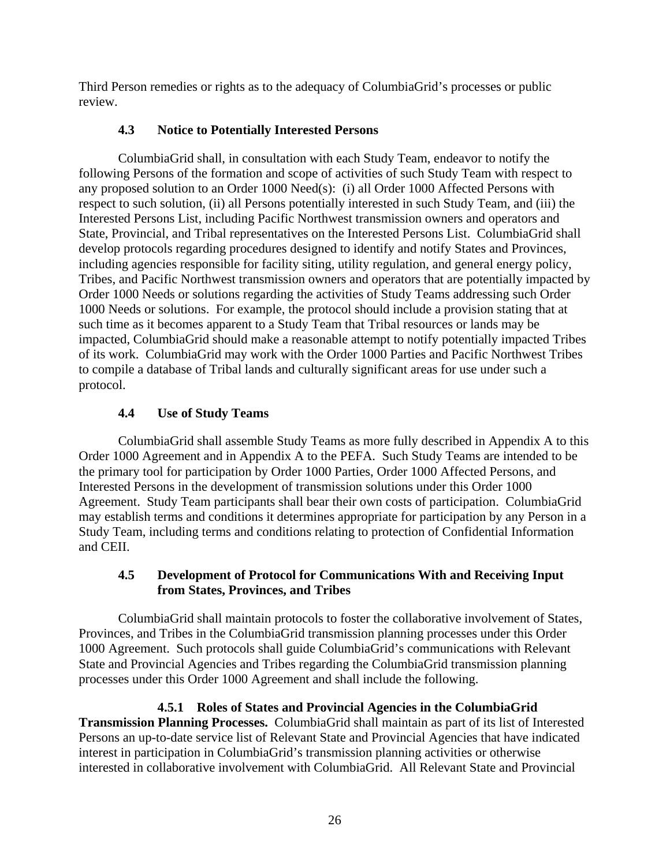Third Person remedies or rights as to the adequacy of ColumbiaGrid's processes or public review.

# **4.3 Notice to Potentially Interested Persons**

ColumbiaGrid shall, in consultation with each Study Team, endeavor to notify the following Persons of the formation and scope of activities of such Study Team with respect to any proposed solution to an Order 1000 Need(s): (i) all Order 1000 Affected Persons with respect to such solution, (ii) all Persons potentially interested in such Study Team, and (iii) the Interested Persons List, including Pacific Northwest transmission owners and operators and State, Provincial, and Tribal representatives on the Interested Persons List. ColumbiaGrid shall develop protocols regarding procedures designed to identify and notify States and Provinces, including agencies responsible for facility siting, utility regulation, and general energy policy, Tribes, and Pacific Northwest transmission owners and operators that are potentially impacted by Order 1000 Needs or solutions regarding the activities of Study Teams addressing such Order 1000 Needs or solutions. For example, the protocol should include a provision stating that at such time as it becomes apparent to a Study Team that Tribal resources or lands may be impacted, ColumbiaGrid should make a reasonable attempt to notify potentially impacted Tribes of its work. ColumbiaGrid may work with the Order 1000 Parties and Pacific Northwest Tribes to compile a database of Tribal lands and culturally significant areas for use under such a protocol.

# **4.4 Use of Study Teams**

ColumbiaGrid shall assemble Study Teams as more fully described in Appendix A to this Order 1000 Agreement and in Appendix A to the PEFA. Such Study Teams are intended to be the primary tool for participation by Order 1000 Parties, Order 1000 Affected Persons, and Interested Persons in the development of transmission solutions under this Order 1000 Agreement. Study Team participants shall bear their own costs of participation. ColumbiaGrid may establish terms and conditions it determines appropriate for participation by any Person in a Study Team, including terms and conditions relating to protection of Confidential Information and CEII.

# **4.5 Development of Protocol for Communications With and Receiving Input from States, Provinces, and Tribes**

ColumbiaGrid shall maintain protocols to foster the collaborative involvement of States, Provinces, and Tribes in the ColumbiaGrid transmission planning processes under this Order 1000 Agreement. Such protocols shall guide ColumbiaGrid's communications with Relevant State and Provincial Agencies and Tribes regarding the ColumbiaGrid transmission planning processes under this Order 1000 Agreement and shall include the following.

 **4.5.1 Roles of States and Provincial Agencies in the ColumbiaGrid Transmission Planning Processes.** ColumbiaGrid shall maintain as part of its list of Interested Persons an up-to-date service list of Relevant State and Provincial Agencies that have indicated interest in participation in ColumbiaGrid's transmission planning activities or otherwise interested in collaborative involvement with ColumbiaGrid. All Relevant State and Provincial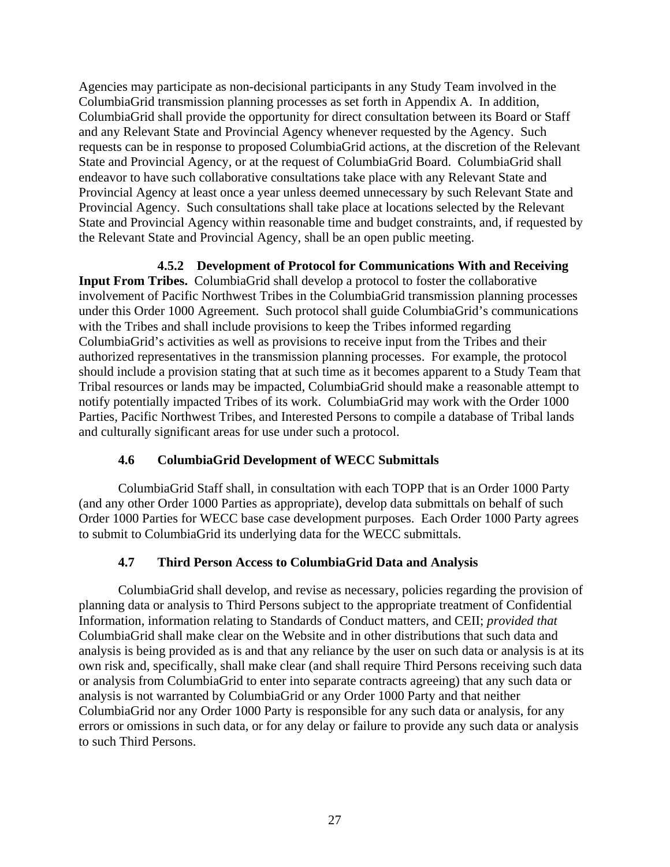Agencies may participate as non-decisional participants in any Study Team involved in the ColumbiaGrid transmission planning processes as set forth in Appendix A. In addition, ColumbiaGrid shall provide the opportunity for direct consultation between its Board or Staff and any Relevant State and Provincial Agency whenever requested by the Agency. Such requests can be in response to proposed ColumbiaGrid actions, at the discretion of the Relevant State and Provincial Agency, or at the request of ColumbiaGrid Board. ColumbiaGrid shall endeavor to have such collaborative consultations take place with any Relevant State and Provincial Agency at least once a year unless deemed unnecessary by such Relevant State and Provincial Agency. Such consultations shall take place at locations selected by the Relevant State and Provincial Agency within reasonable time and budget constraints, and, if requested by the Relevant State and Provincial Agency, shall be an open public meeting.

 **4.5.2 Development of Protocol for Communications With and Receiving** 

**Input From Tribes.** ColumbiaGrid shall develop a protocol to foster the collaborative involvement of Pacific Northwest Tribes in the ColumbiaGrid transmission planning processes under this Order 1000 Agreement. Such protocol shall guide ColumbiaGrid's communications with the Tribes and shall include provisions to keep the Tribes informed regarding ColumbiaGrid's activities as well as provisions to receive input from the Tribes and their authorized representatives in the transmission planning processes. For example, the protocol should include a provision stating that at such time as it becomes apparent to a Study Team that Tribal resources or lands may be impacted, ColumbiaGrid should make a reasonable attempt to notify potentially impacted Tribes of its work. ColumbiaGrid may work with the Order 1000 Parties, Pacific Northwest Tribes, and Interested Persons to compile a database of Tribal lands and culturally significant areas for use under such a protocol.

# **4.6 ColumbiaGrid Development of WECC Submittals**

ColumbiaGrid Staff shall, in consultation with each TOPP that is an Order 1000 Party (and any other Order 1000 Parties as appropriate), develop data submittals on behalf of such Order 1000 Parties for WECC base case development purposes. Each Order 1000 Party agrees to submit to ColumbiaGrid its underlying data for the WECC submittals.

# **4.7 Third Person Access to ColumbiaGrid Data and Analysis**

ColumbiaGrid shall develop, and revise as necessary, policies regarding the provision of planning data or analysis to Third Persons subject to the appropriate treatment of Confidential Information, information relating to Standards of Conduct matters, and CEII; *provided that*  ColumbiaGrid shall make clear on the Website and in other distributions that such data and analysis is being provided as is and that any reliance by the user on such data or analysis is at its own risk and, specifically, shall make clear (and shall require Third Persons receiving such data or analysis from ColumbiaGrid to enter into separate contracts agreeing) that any such data or analysis is not warranted by ColumbiaGrid or any Order 1000 Party and that neither ColumbiaGrid nor any Order 1000 Party is responsible for any such data or analysis, for any errors or omissions in such data, or for any delay or failure to provide any such data or analysis to such Third Persons.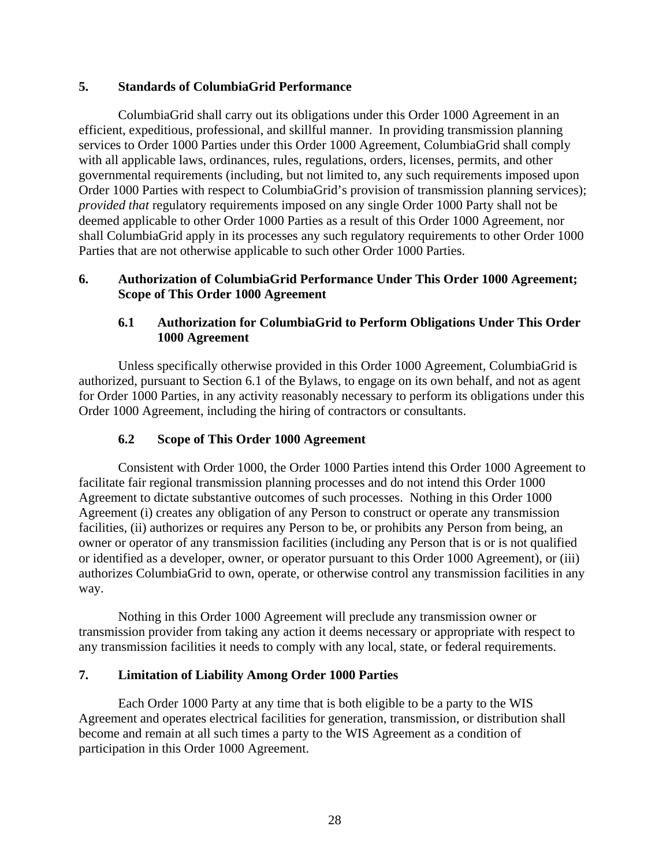# **5. Standards of ColumbiaGrid Performance**

ColumbiaGrid shall carry out its obligations under this Order 1000 Agreement in an efficient, expeditious, professional, and skillful manner. In providing transmission planning services to Order 1000 Parties under this Order 1000 Agreement, ColumbiaGrid shall comply with all applicable laws, ordinances, rules, regulations, orders, licenses, permits, and other governmental requirements (including, but not limited to, any such requirements imposed upon Order 1000 Parties with respect to ColumbiaGrid's provision of transmission planning services); *provided that* regulatory requirements imposed on any single Order 1000 Party shall not be deemed applicable to other Order 1000 Parties as a result of this Order 1000 Agreement, nor shall ColumbiaGrid apply in its processes any such regulatory requirements to other Order 1000 Parties that are not otherwise applicable to such other Order 1000 Parties.

#### **6. Authorization of ColumbiaGrid Performance Under This Order 1000 Agreement; Scope of This Order 1000 Agreement**

# **6.1 Authorization for ColumbiaGrid to Perform Obligations Under This Order 1000 Agreement**

Unless specifically otherwise provided in this Order 1000 Agreement, ColumbiaGrid is authorized, pursuant to Section 6.1 of the Bylaws, to engage on its own behalf, and not as agent for Order 1000 Parties, in any activity reasonably necessary to perform its obligations under this Order 1000 Agreement, including the hiring of contractors or consultants.

# **6.2 Scope of This Order 1000 Agreement**

Consistent with Order 1000, the Order 1000 Parties intend this Order 1000 Agreement to facilitate fair regional transmission planning processes and do not intend this Order 1000 Agreement to dictate substantive outcomes of such processes. Nothing in this Order 1000 Agreement (i) creates any obligation of any Person to construct or operate any transmission facilities, (ii) authorizes or requires any Person to be, or prohibits any Person from being, an owner or operator of any transmission facilities (including any Person that is or is not qualified or identified as a developer, owner, or operator pursuant to this Order 1000 Agreement), or (iii) authorizes ColumbiaGrid to own, operate, or otherwise control any transmission facilities in any way.

Nothing in this Order 1000 Agreement will preclude any transmission owner or transmission provider from taking any action it deems necessary or appropriate with respect to any transmission facilities it needs to comply with any local, state, or federal requirements.

# **7. Limitation of Liability Among Order 1000 Parties**

Each Order 1000 Party at any time that is both eligible to be a party to the WIS Agreement and operates electrical facilities for generation, transmission, or distribution shall become and remain at all such times a party to the WIS Agreement as a condition of participation in this Order 1000 Agreement.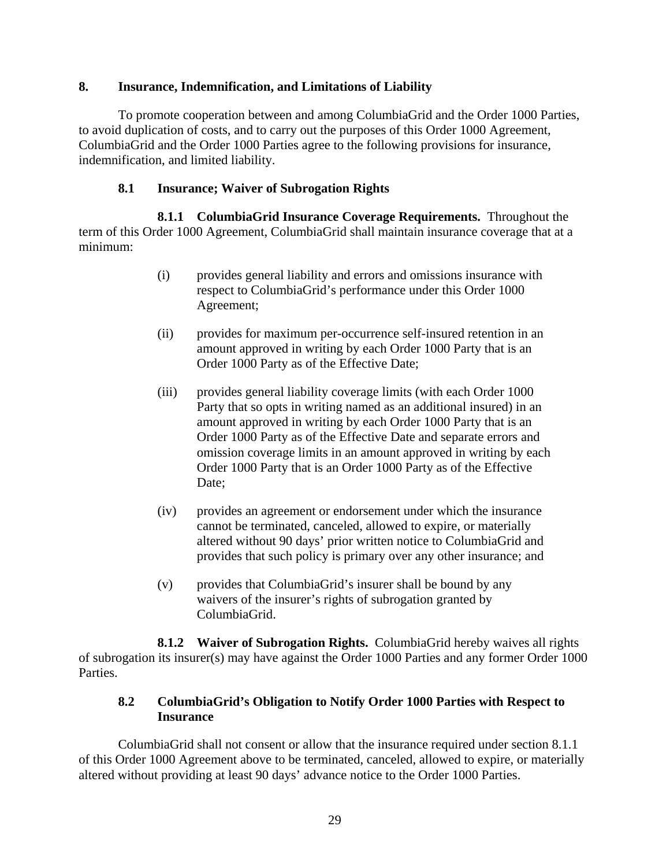### **8. Insurance, Indemnification, and Limitations of Liability**

To promote cooperation between and among ColumbiaGrid and the Order 1000 Parties, to avoid duplication of costs, and to carry out the purposes of this Order 1000 Agreement, ColumbiaGrid and the Order 1000 Parties agree to the following provisions for insurance, indemnification, and limited liability.

### **8.1 Insurance; Waiver of Subrogation Rights**

**8.1.1 ColumbiaGrid Insurance Coverage Requirements.** Throughout the term of this Order 1000 Agreement, ColumbiaGrid shall maintain insurance coverage that at a minimum:

- (i) provides general liability and errors and omissions insurance with respect to ColumbiaGrid's performance under this Order 1000 Agreement;
- (ii) provides for maximum per-occurrence self-insured retention in an amount approved in writing by each Order 1000 Party that is an Order 1000 Party as of the Effective Date;
- (iii) provides general liability coverage limits (with each Order 1000 Party that so opts in writing named as an additional insured) in an amount approved in writing by each Order 1000 Party that is an Order 1000 Party as of the Effective Date and separate errors and omission coverage limits in an amount approved in writing by each Order 1000 Party that is an Order 1000 Party as of the Effective Date:
- (iv) provides an agreement or endorsement under which the insurance cannot be terminated, canceled, allowed to expire, or materially altered without 90 days' prior written notice to ColumbiaGrid and provides that such policy is primary over any other insurance; and
- (v) provides that ColumbiaGrid's insurer shall be bound by any waivers of the insurer's rights of subrogation granted by ColumbiaGrid.

**8.1.2 Waiver of Subrogation Rights.** ColumbiaGrid hereby waives all rights of subrogation its insurer(s) may have against the Order 1000 Parties and any former Order 1000 Parties.

# **8.2 ColumbiaGrid's Obligation to Notify Order 1000 Parties with Respect to Insurance**

ColumbiaGrid shall not consent or allow that the insurance required under section 8.1.1 of this Order 1000 Agreement above to be terminated, canceled, allowed to expire, or materially altered without providing at least 90 days' advance notice to the Order 1000 Parties.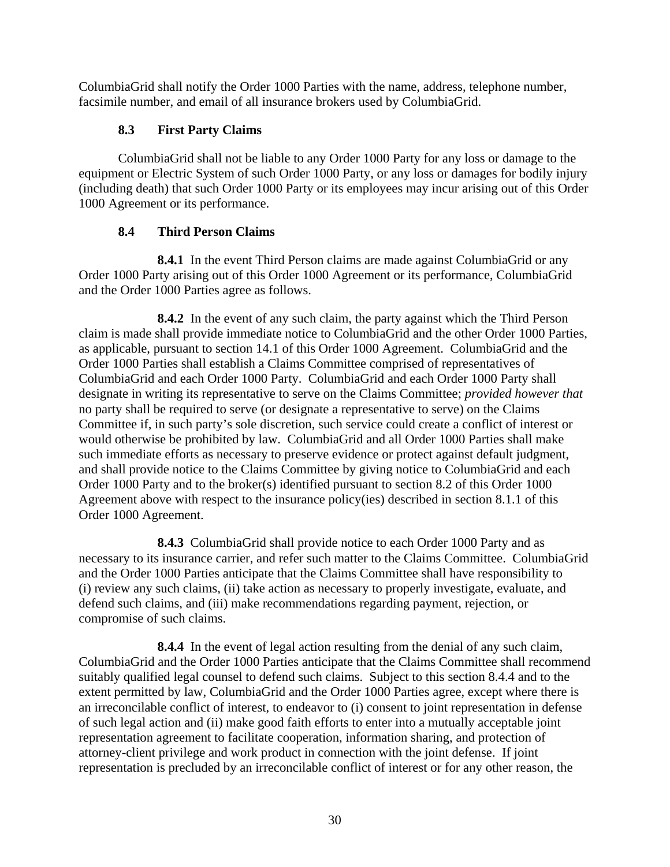ColumbiaGrid shall notify the Order 1000 Parties with the name, address, telephone number, facsimile number, and email of all insurance brokers used by ColumbiaGrid.

# **8.3 First Party Claims**

ColumbiaGrid shall not be liable to any Order 1000 Party for any loss or damage to the equipment or Electric System of such Order 1000 Party, or any loss or damages for bodily injury (including death) that such Order 1000 Party or its employees may incur arising out of this Order 1000 Agreement or its performance.

# **8.4 Third Person Claims**

 **8.4.1** In the event Third Person claims are made against ColumbiaGrid or any Order 1000 Party arising out of this Order 1000 Agreement or its performance, ColumbiaGrid and the Order 1000 Parties agree as follows.

 **8.4.2** In the event of any such claim, the party against which the Third Person claim is made shall provide immediate notice to ColumbiaGrid and the other Order 1000 Parties, as applicable, pursuant to section 14.1 of this Order 1000 Agreement. ColumbiaGrid and the Order 1000 Parties shall establish a Claims Committee comprised of representatives of ColumbiaGrid and each Order 1000 Party. ColumbiaGrid and each Order 1000 Party shall designate in writing its representative to serve on the Claims Committee; *provided however that* no party shall be required to serve (or designate a representative to serve) on the Claims Committee if, in such party's sole discretion, such service could create a conflict of interest or would otherwise be prohibited by law. ColumbiaGrid and all Order 1000 Parties shall make such immediate efforts as necessary to preserve evidence or protect against default judgment, and shall provide notice to the Claims Committee by giving notice to ColumbiaGrid and each Order 1000 Party and to the broker(s) identified pursuant to section 8.2 of this Order 1000 Agreement above with respect to the insurance policy(ies) described in section 8.1.1 of this Order 1000 Agreement.

 **8.4.3** ColumbiaGrid shall provide notice to each Order 1000 Party and as necessary to its insurance carrier, and refer such matter to the Claims Committee. ColumbiaGrid and the Order 1000 Parties anticipate that the Claims Committee shall have responsibility to (i) review any such claims, (ii) take action as necessary to properly investigate, evaluate, and defend such claims, and (iii) make recommendations regarding payment, rejection, or compromise of such claims.

 **8.4.4** In the event of legal action resulting from the denial of any such claim, ColumbiaGrid and the Order 1000 Parties anticipate that the Claims Committee shall recommend suitably qualified legal counsel to defend such claims. Subject to this section 8.4.4 and to the extent permitted by law, ColumbiaGrid and the Order 1000 Parties agree, except where there is an irreconcilable conflict of interest, to endeavor to (i) consent to joint representation in defense of such legal action and (ii) make good faith efforts to enter into a mutually acceptable joint representation agreement to facilitate cooperation, information sharing, and protection of attorney-client privilege and work product in connection with the joint defense. If joint representation is precluded by an irreconcilable conflict of interest or for any other reason, the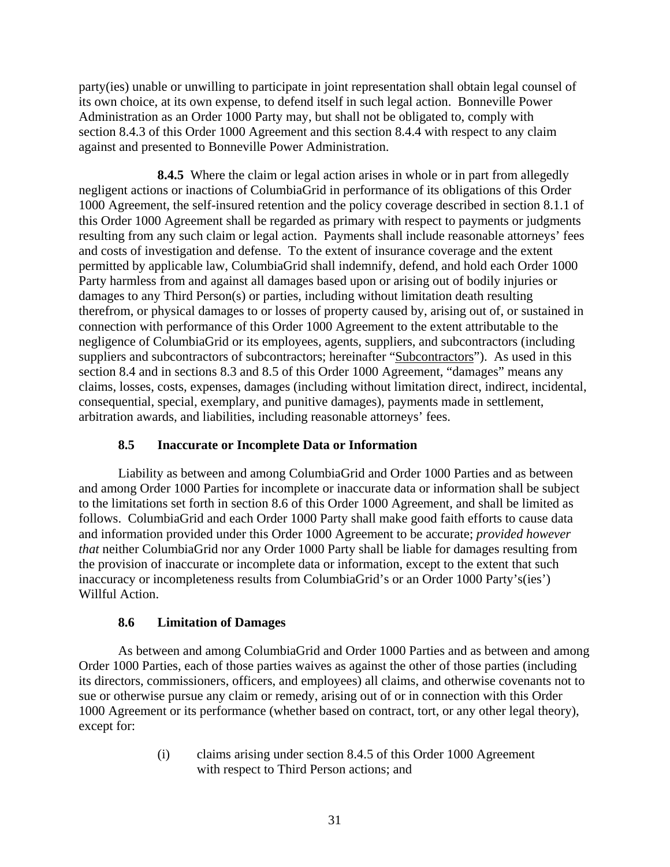party(ies) unable or unwilling to participate in joint representation shall obtain legal counsel of its own choice, at its own expense, to defend itself in such legal action. Bonneville Power Administration as an Order 1000 Party may, but shall not be obligated to, comply with section 8.4.3 of this Order 1000 Agreement and this section 8.4.4 with respect to any claim against and presented to Bonneville Power Administration.

 **8.4.5** Where the claim or legal action arises in whole or in part from allegedly negligent actions or inactions of ColumbiaGrid in performance of its obligations of this Order 1000 Agreement, the self-insured retention and the policy coverage described in section 8.1.1 of this Order 1000 Agreement shall be regarded as primary with respect to payments or judgments resulting from any such claim or legal action. Payments shall include reasonable attorneys' fees and costs of investigation and defense. To the extent of insurance coverage and the extent permitted by applicable law, ColumbiaGrid shall indemnify, defend, and hold each Order 1000 Party harmless from and against all damages based upon or arising out of bodily injuries or damages to any Third Person(s) or parties, including without limitation death resulting therefrom, or physical damages to or losses of property caused by, arising out of, or sustained in connection with performance of this Order 1000 Agreement to the extent attributable to the negligence of ColumbiaGrid or its employees, agents, suppliers, and subcontractors (including suppliers and subcontractors of subcontractors; hereinafter "Subcontractors"). As used in this section 8.4 and in sections 8.3 and 8.5 of this Order 1000 Agreement, "damages" means any claims, losses, costs, expenses, damages (including without limitation direct, indirect, incidental, consequential, special, exemplary, and punitive damages), payments made in settlement, arbitration awards, and liabilities, including reasonable attorneys' fees.

# **8.5 Inaccurate or Incomplete Data or Information**

Liability as between and among ColumbiaGrid and Order 1000 Parties and as between and among Order 1000 Parties for incomplete or inaccurate data or information shall be subject to the limitations set forth in section 8.6 of this Order 1000 Agreement, and shall be limited as follows. ColumbiaGrid and each Order 1000 Party shall make good faith efforts to cause data and information provided under this Order 1000 Agreement to be accurate; *provided however that* neither ColumbiaGrid nor any Order 1000 Party shall be liable for damages resulting from the provision of inaccurate or incomplete data or information, except to the extent that such inaccuracy or incompleteness results from ColumbiaGrid's or an Order 1000 Party's(ies') Willful Action.

# **8.6 Limitation of Damages**

As between and among ColumbiaGrid and Order 1000 Parties and as between and among Order 1000 Parties, each of those parties waives as against the other of those parties (including its directors, commissioners, officers, and employees) all claims, and otherwise covenants not to sue or otherwise pursue any claim or remedy, arising out of or in connection with this Order 1000 Agreement or its performance (whether based on contract, tort, or any other legal theory), except for:

> (i) claims arising under section 8.4.5 of this Order 1000 Agreement with respect to Third Person actions; and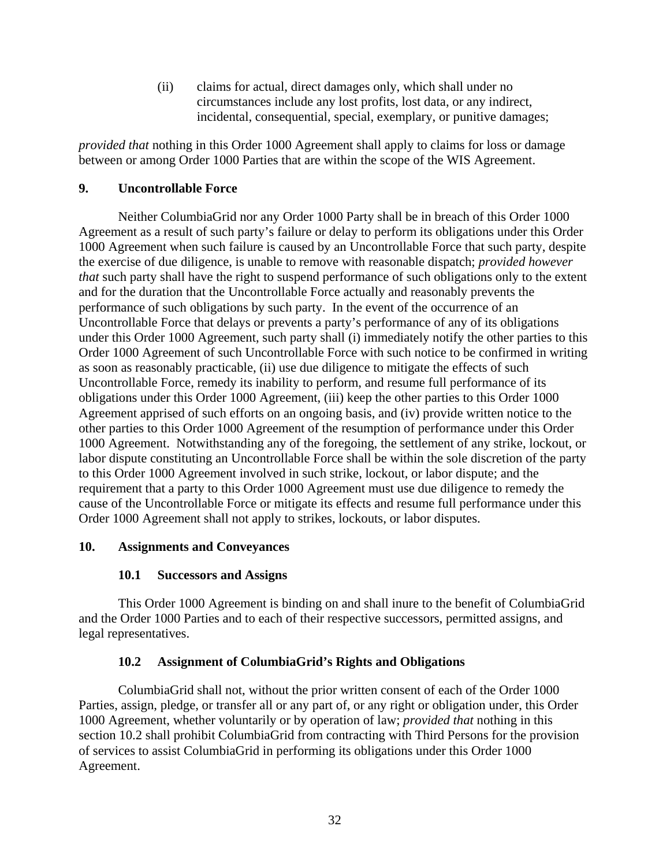(ii) claims for actual, direct damages only, which shall under no circumstances include any lost profits, lost data, or any indirect, incidental, consequential, special, exemplary, or punitive damages;

*provided that* nothing in this Order 1000 Agreement shall apply to claims for loss or damage between or among Order 1000 Parties that are within the scope of the WIS Agreement.

# **9. Uncontrollable Force**

Neither ColumbiaGrid nor any Order 1000 Party shall be in breach of this Order 1000 Agreement as a result of such party's failure or delay to perform its obligations under this Order 1000 Agreement when such failure is caused by an Uncontrollable Force that such party, despite the exercise of due diligence, is unable to remove with reasonable dispatch; *provided however that* such party shall have the right to suspend performance of such obligations only to the extent and for the duration that the Uncontrollable Force actually and reasonably prevents the performance of such obligations by such party. In the event of the occurrence of an Uncontrollable Force that delays or prevents a party's performance of any of its obligations under this Order 1000 Agreement, such party shall (i) immediately notify the other parties to this Order 1000 Agreement of such Uncontrollable Force with such notice to be confirmed in writing as soon as reasonably practicable, (ii) use due diligence to mitigate the effects of such Uncontrollable Force, remedy its inability to perform, and resume full performance of its obligations under this Order 1000 Agreement, (iii) keep the other parties to this Order 1000 Agreement apprised of such efforts on an ongoing basis, and (iv) provide written notice to the other parties to this Order 1000 Agreement of the resumption of performance under this Order 1000 Agreement. Notwithstanding any of the foregoing, the settlement of any strike, lockout, or labor dispute constituting an Uncontrollable Force shall be within the sole discretion of the party to this Order 1000 Agreement involved in such strike, lockout, or labor dispute; and the requirement that a party to this Order 1000 Agreement must use due diligence to remedy the cause of the Uncontrollable Force or mitigate its effects and resume full performance under this Order 1000 Agreement shall not apply to strikes, lockouts, or labor disputes.

# **10. Assignments and Conveyances**

# **10.1 Successors and Assigns**

This Order 1000 Agreement is binding on and shall inure to the benefit of ColumbiaGrid and the Order 1000 Parties and to each of their respective successors, permitted assigns, and legal representatives.

# **10.2 Assignment of ColumbiaGrid's Rights and Obligations**

ColumbiaGrid shall not, without the prior written consent of each of the Order 1000 Parties, assign, pledge, or transfer all or any part of, or any right or obligation under, this Order 1000 Agreement, whether voluntarily or by operation of law; *provided that* nothing in this section 10.2 shall prohibit ColumbiaGrid from contracting with Third Persons for the provision of services to assist ColumbiaGrid in performing its obligations under this Order 1000 Agreement.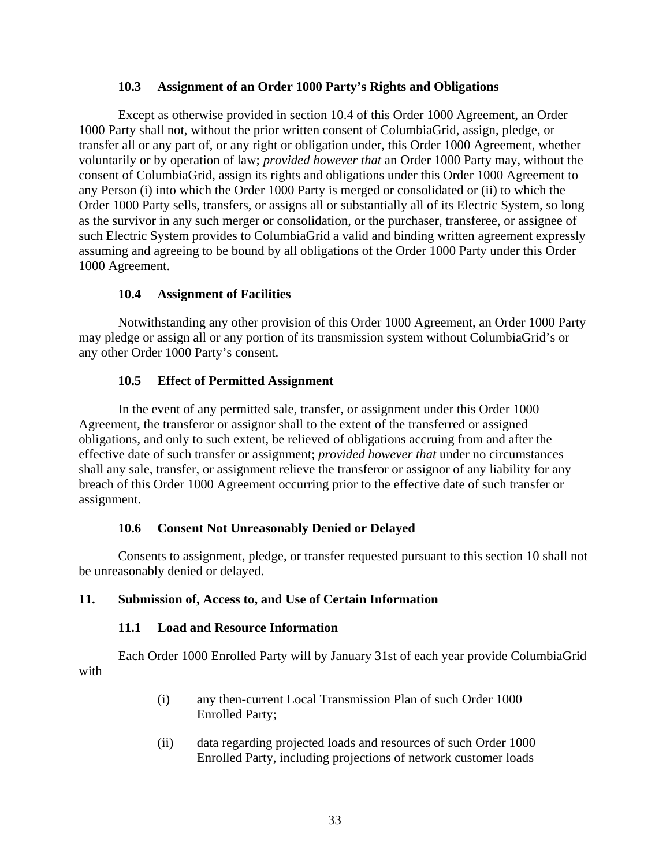#### **10.3 Assignment of an Order 1000 Party's Rights and Obligations**

Except as otherwise provided in section 10.4 of this Order 1000 Agreement, an Order 1000 Party shall not, without the prior written consent of ColumbiaGrid, assign, pledge, or transfer all or any part of, or any right or obligation under, this Order 1000 Agreement, whether voluntarily or by operation of law; *provided however that* an Order 1000 Party may, without the consent of ColumbiaGrid, assign its rights and obligations under this Order 1000 Agreement to any Person (i) into which the Order 1000 Party is merged or consolidated or (ii) to which the Order 1000 Party sells, transfers, or assigns all or substantially all of its Electric System, so long as the survivor in any such merger or consolidation, or the purchaser, transferee, or assignee of such Electric System provides to ColumbiaGrid a valid and binding written agreement expressly assuming and agreeing to be bound by all obligations of the Order 1000 Party under this Order 1000 Agreement.

# **10.4 Assignment of Facilities**

Notwithstanding any other provision of this Order 1000 Agreement, an Order 1000 Party may pledge or assign all or any portion of its transmission system without ColumbiaGrid's or any other Order 1000 Party's consent.

# **10.5 Effect of Permitted Assignment**

In the event of any permitted sale, transfer, or assignment under this Order 1000 Agreement, the transferor or assignor shall to the extent of the transferred or assigned obligations, and only to such extent, be relieved of obligations accruing from and after the effective date of such transfer or assignment; *provided however that* under no circumstances shall any sale, transfer, or assignment relieve the transferor or assignor of any liability for any breach of this Order 1000 Agreement occurring prior to the effective date of such transfer or assignment.

# **10.6 Consent Not Unreasonably Denied or Delayed**

Consents to assignment, pledge, or transfer requested pursuant to this section 10 shall not be unreasonably denied or delayed.

# **11. Submission of, Access to, and Use of Certain Information**

# **11.1 Load and Resource Information**

Each Order 1000 Enrolled Party will by January 31st of each year provide ColumbiaGrid with

- (i) any then-current Local Transmission Plan of such Order 1000 Enrolled Party;
- (ii) data regarding projected loads and resources of such Order 1000 Enrolled Party, including projections of network customer loads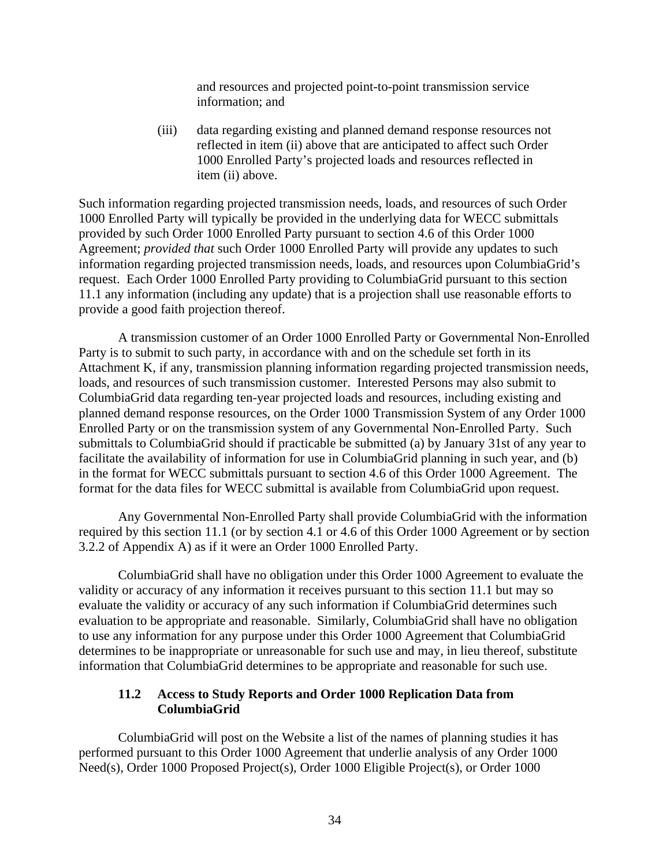and resources and projected point-to-point transmission service information; and

(iii) data regarding existing and planned demand response resources not reflected in item (ii) above that are anticipated to affect such Order 1000 Enrolled Party's projected loads and resources reflected in item (ii) above.

Such information regarding projected transmission needs, loads, and resources of such Order 1000 Enrolled Party will typically be provided in the underlying data for WECC submittals provided by such Order 1000 Enrolled Party pursuant to section 4.6 of this Order 1000 Agreement; *provided that* such Order 1000 Enrolled Party will provide any updates to such information regarding projected transmission needs, loads, and resources upon ColumbiaGrid's request. Each Order 1000 Enrolled Party providing to ColumbiaGrid pursuant to this section 11.1 any information (including any update) that is a projection shall use reasonable efforts to provide a good faith projection thereof.

A transmission customer of an Order 1000 Enrolled Party or Governmental Non-Enrolled Party is to submit to such party, in accordance with and on the schedule set forth in its Attachment K, if any, transmission planning information regarding projected transmission needs, loads, and resources of such transmission customer. Interested Persons may also submit to ColumbiaGrid data regarding ten-year projected loads and resources, including existing and planned demand response resources, on the Order 1000 Transmission System of any Order 1000 Enrolled Party or on the transmission system of any Governmental Non-Enrolled Party. Such submittals to ColumbiaGrid should if practicable be submitted (a) by January 31st of any year to facilitate the availability of information for use in ColumbiaGrid planning in such year, and (b) in the format for WECC submittals pursuant to section 4.6 of this Order 1000 Agreement. The format for the data files for WECC submittal is available from ColumbiaGrid upon request.

Any Governmental Non-Enrolled Party shall provide ColumbiaGrid with the information required by this section 11.1 (or by section 4.1 or 4.6 of this Order 1000 Agreement or by section 3.2.2 of Appendix A) as if it were an Order 1000 Enrolled Party.

ColumbiaGrid shall have no obligation under this Order 1000 Agreement to evaluate the validity or accuracy of any information it receives pursuant to this section 11.1 but may so evaluate the validity or accuracy of any such information if ColumbiaGrid determines such evaluation to be appropriate and reasonable. Similarly, ColumbiaGrid shall have no obligation to use any information for any purpose under this Order 1000 Agreement that ColumbiaGrid determines to be inappropriate or unreasonable for such use and may, in lieu thereof, substitute information that ColumbiaGrid determines to be appropriate and reasonable for such use.

#### **11.2 Access to Study Reports and Order 1000 Replication Data from ColumbiaGrid**

ColumbiaGrid will post on the Website a list of the names of planning studies it has performed pursuant to this Order 1000 Agreement that underlie analysis of any Order 1000 Need(s), Order 1000 Proposed Project(s), Order 1000 Eligible Project(s), or Order 1000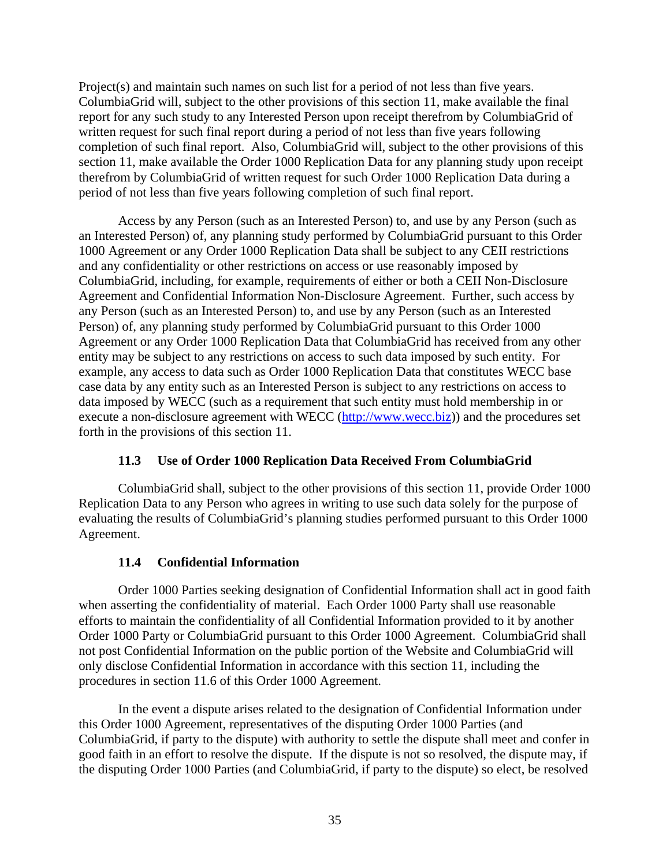Project(s) and maintain such names on such list for a period of not less than five years. ColumbiaGrid will, subject to the other provisions of this section 11, make available the final report for any such study to any Interested Person upon receipt therefrom by ColumbiaGrid of written request for such final report during a period of not less than five years following completion of such final report. Also, ColumbiaGrid will, subject to the other provisions of this section 11, make available the Order 1000 Replication Data for any planning study upon receipt therefrom by ColumbiaGrid of written request for such Order 1000 Replication Data during a period of not less than five years following completion of such final report.

Access by any Person (such as an Interested Person) to, and use by any Person (such as an Interested Person) of, any planning study performed by ColumbiaGrid pursuant to this Order 1000 Agreement or any Order 1000 Replication Data shall be subject to any CEII restrictions and any confidentiality or other restrictions on access or use reasonably imposed by ColumbiaGrid, including, for example, requirements of either or both a CEII Non-Disclosure Agreement and Confidential Information Non-Disclosure Agreement. Further, such access by any Person (such as an Interested Person) to, and use by any Person (such as an Interested Person) of, any planning study performed by ColumbiaGrid pursuant to this Order 1000 Agreement or any Order 1000 Replication Data that ColumbiaGrid has received from any other entity may be subject to any restrictions on access to such data imposed by such entity. For example, any access to data such as Order 1000 Replication Data that constitutes WECC base case data by any entity such as an Interested Person is subject to any restrictions on access to data imposed by WECC (such as a requirement that such entity must hold membership in or execute a non-disclosure agreement with WECC (http://www.wecc.biz)) and the procedures set forth in the provisions of this section 11.

# **11.3 Use of Order 1000 Replication Data Received From ColumbiaGrid**

ColumbiaGrid shall, subject to the other provisions of this section 11, provide Order 1000 Replication Data to any Person who agrees in writing to use such data solely for the purpose of evaluating the results of ColumbiaGrid's planning studies performed pursuant to this Order 1000 Agreement.

# **11.4 Confidential Information**

Order 1000 Parties seeking designation of Confidential Information shall act in good faith when asserting the confidentiality of material. Each Order 1000 Party shall use reasonable efforts to maintain the confidentiality of all Confidential Information provided to it by another Order 1000 Party or ColumbiaGrid pursuant to this Order 1000 Agreement. ColumbiaGrid shall not post Confidential Information on the public portion of the Website and ColumbiaGrid will only disclose Confidential Information in accordance with this section 11, including the procedures in section 11.6 of this Order 1000 Agreement.

In the event a dispute arises related to the designation of Confidential Information under this Order 1000 Agreement, representatives of the disputing Order 1000 Parties (and ColumbiaGrid, if party to the dispute) with authority to settle the dispute shall meet and confer in good faith in an effort to resolve the dispute. If the dispute is not so resolved, the dispute may, if the disputing Order 1000 Parties (and ColumbiaGrid, if party to the dispute) so elect, be resolved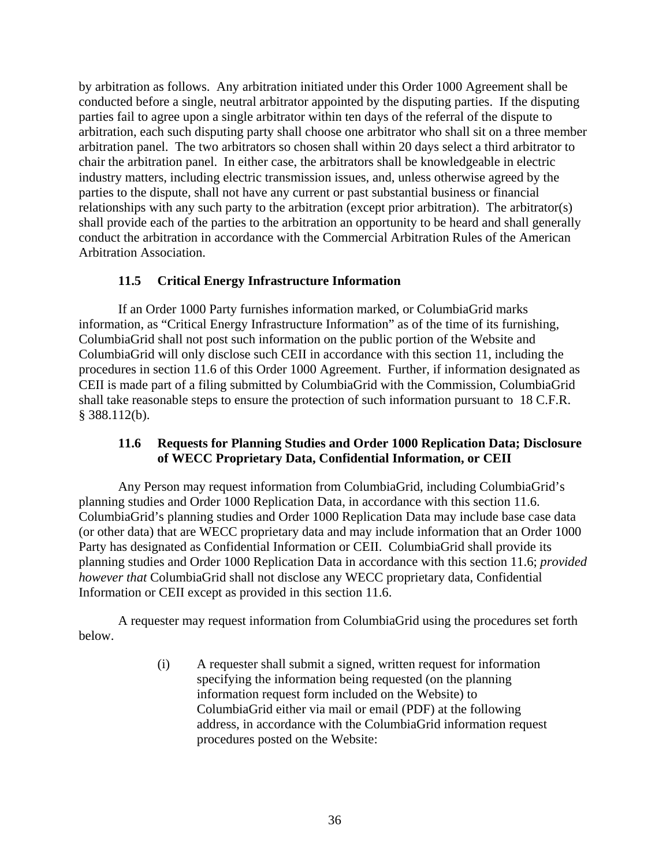by arbitration as follows. Any arbitration initiated under this Order 1000 Agreement shall be conducted before a single, neutral arbitrator appointed by the disputing parties. If the disputing parties fail to agree upon a single arbitrator within ten days of the referral of the dispute to arbitration, each such disputing party shall choose one arbitrator who shall sit on a three member arbitration panel. The two arbitrators so chosen shall within 20 days select a third arbitrator to chair the arbitration panel. In either case, the arbitrators shall be knowledgeable in electric industry matters, including electric transmission issues, and, unless otherwise agreed by the parties to the dispute, shall not have any current or past substantial business or financial relationships with any such party to the arbitration (except prior arbitration). The arbitrator(s) shall provide each of the parties to the arbitration an opportunity to be heard and shall generally conduct the arbitration in accordance with the Commercial Arbitration Rules of the American Arbitration Association.

## **11.5 Critical Energy Infrastructure Information**

If an Order 1000 Party furnishes information marked, or ColumbiaGrid marks information, as "Critical Energy Infrastructure Information" as of the time of its furnishing, ColumbiaGrid shall not post such information on the public portion of the Website and ColumbiaGrid will only disclose such CEII in accordance with this section 11, including the procedures in section 11.6 of this Order 1000 Agreement. Further, if information designated as CEII is made part of a filing submitted by ColumbiaGrid with the Commission, ColumbiaGrid shall take reasonable steps to ensure the protection of such information pursuant to 18 C.F.R. § 388.112(b).

### **11.6 Requests for Planning Studies and Order 1000 Replication Data; Disclosure of WECC Proprietary Data, Confidential Information, or CEII**

Any Person may request information from ColumbiaGrid, including ColumbiaGrid's planning studies and Order 1000 Replication Data, in accordance with this section 11.6. ColumbiaGrid's planning studies and Order 1000 Replication Data may include base case data (or other data) that are WECC proprietary data and may include information that an Order 1000 Party has designated as Confidential Information or CEII. ColumbiaGrid shall provide its planning studies and Order 1000 Replication Data in accordance with this section 11.6; *provided however that* ColumbiaGrid shall not disclose any WECC proprietary data, Confidential Information or CEII except as provided in this section 11.6.

A requester may request information from ColumbiaGrid using the procedures set forth below.

> (i) A requester shall submit a signed, written request for information specifying the information being requested (on the planning information request form included on the Website) to ColumbiaGrid either via mail or email (PDF) at the following address, in accordance with the ColumbiaGrid information request procedures posted on the Website: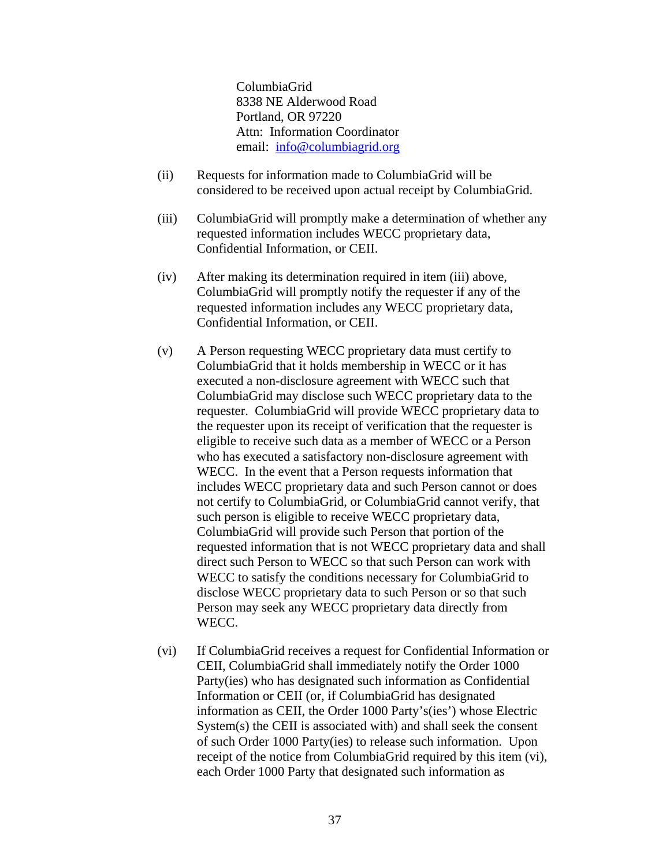ColumbiaGrid 8338 NE Alderwood Road Portland, OR 97220 Attn: Information Coordinator email: info@columbiagrid.org

- (ii) Requests for information made to ColumbiaGrid will be considered to be received upon actual receipt by ColumbiaGrid.
- (iii) ColumbiaGrid will promptly make a determination of whether any requested information includes WECC proprietary data, Confidential Information, or CEII.
- (iv) After making its determination required in item (iii) above, ColumbiaGrid will promptly notify the requester if any of the requested information includes any WECC proprietary data, Confidential Information, or CEII.
- (v) A Person requesting WECC proprietary data must certify to ColumbiaGrid that it holds membership in WECC or it has executed a non-disclosure agreement with WECC such that ColumbiaGrid may disclose such WECC proprietary data to the requester. ColumbiaGrid will provide WECC proprietary data to the requester upon its receipt of verification that the requester is eligible to receive such data as a member of WECC or a Person who has executed a satisfactory non-disclosure agreement with WECC. In the event that a Person requests information that includes WECC proprietary data and such Person cannot or does not certify to ColumbiaGrid, or ColumbiaGrid cannot verify, that such person is eligible to receive WECC proprietary data, ColumbiaGrid will provide such Person that portion of the requested information that is not WECC proprietary data and shall direct such Person to WECC so that such Person can work with WECC to satisfy the conditions necessary for ColumbiaGrid to disclose WECC proprietary data to such Person or so that such Person may seek any WECC proprietary data directly from WECC.
- (vi) If ColumbiaGrid receives a request for Confidential Information or CEII, ColumbiaGrid shall immediately notify the Order 1000 Party(ies) who has designated such information as Confidential Information or CEII (or, if ColumbiaGrid has designated information as CEII, the Order 1000 Party's(ies') whose Electric System(s) the CEII is associated with) and shall seek the consent of such Order 1000 Party(ies) to release such information. Upon receipt of the notice from ColumbiaGrid required by this item (vi), each Order 1000 Party that designated such information as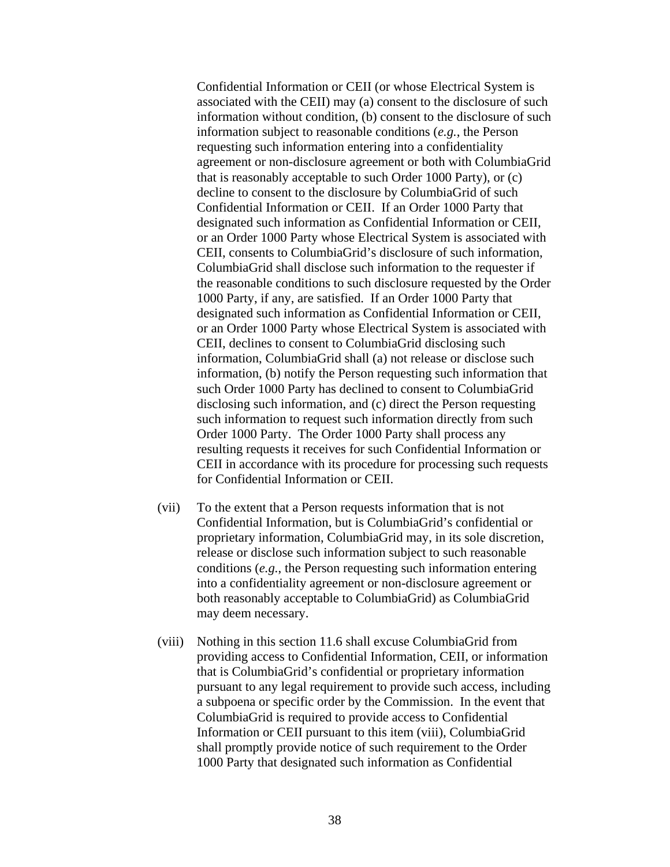Confidential Information or CEII (or whose Electrical System is associated with the CEII) may (a) consent to the disclosure of such information without condition, (b) consent to the disclosure of such information subject to reasonable conditions (*e.g.*, the Person requesting such information entering into a confidentiality agreement or non-disclosure agreement or both with ColumbiaGrid that is reasonably acceptable to such Order 1000 Party), or (c) decline to consent to the disclosure by ColumbiaGrid of such Confidential Information or CEII. If an Order 1000 Party that designated such information as Confidential Information or CEII, or an Order 1000 Party whose Electrical System is associated with CEII, consents to ColumbiaGrid's disclosure of such information, ColumbiaGrid shall disclose such information to the requester if the reasonable conditions to such disclosure requested by the Order 1000 Party, if any, are satisfied. If an Order 1000 Party that designated such information as Confidential Information or CEII, or an Order 1000 Party whose Electrical System is associated with CEII, declines to consent to ColumbiaGrid disclosing such information, ColumbiaGrid shall (a) not release or disclose such information, (b) notify the Person requesting such information that such Order 1000 Party has declined to consent to ColumbiaGrid disclosing such information, and (c) direct the Person requesting such information to request such information directly from such Order 1000 Party. The Order 1000 Party shall process any resulting requests it receives for such Confidential Information or CEII in accordance with its procedure for processing such requests for Confidential Information or CEII.

- (vii) To the extent that a Person requests information that is not Confidential Information, but is ColumbiaGrid's confidential or proprietary information, ColumbiaGrid may, in its sole discretion, release or disclose such information subject to such reasonable conditions (*e.g.*, the Person requesting such information entering into a confidentiality agreement or non-disclosure agreement or both reasonably acceptable to ColumbiaGrid) as ColumbiaGrid may deem necessary.
- (viii) Nothing in this section 11.6 shall excuse ColumbiaGrid from providing access to Confidential Information, CEII, or information that is ColumbiaGrid's confidential or proprietary information pursuant to any legal requirement to provide such access, including a subpoena or specific order by the Commission. In the event that ColumbiaGrid is required to provide access to Confidential Information or CEII pursuant to this item (viii), ColumbiaGrid shall promptly provide notice of such requirement to the Order 1000 Party that designated such information as Confidential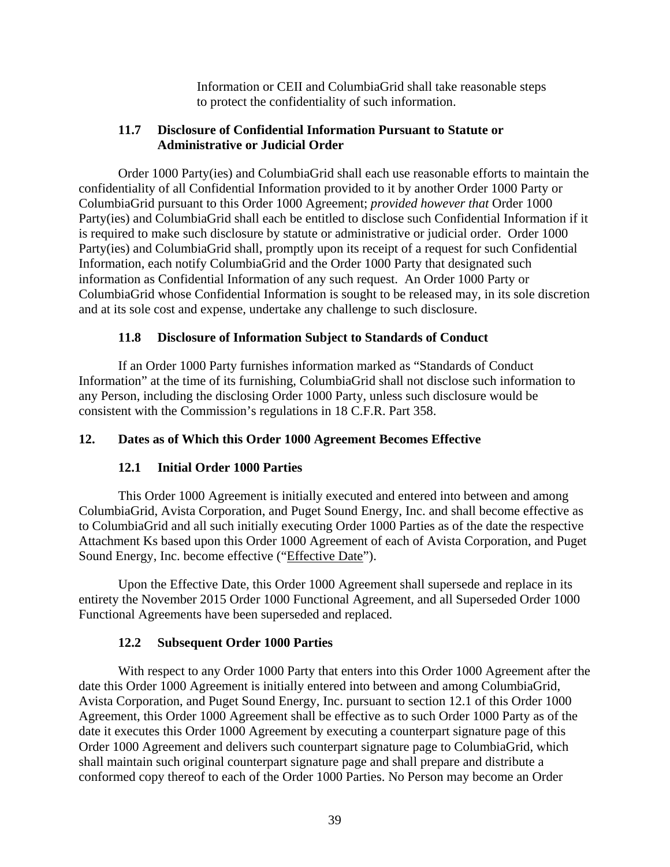Information or CEII and ColumbiaGrid shall take reasonable steps to protect the confidentiality of such information.

#### **11.7 Disclosure of Confidential Information Pursuant to Statute or Administrative or Judicial Order**

Order 1000 Party(ies) and ColumbiaGrid shall each use reasonable efforts to maintain the confidentiality of all Confidential Information provided to it by another Order 1000 Party or ColumbiaGrid pursuant to this Order 1000 Agreement; *provided however that* Order 1000 Party(ies) and ColumbiaGrid shall each be entitled to disclose such Confidential Information if it is required to make such disclosure by statute or administrative or judicial order. Order 1000 Party(ies) and ColumbiaGrid shall, promptly upon its receipt of a request for such Confidential Information, each notify ColumbiaGrid and the Order 1000 Party that designated such information as Confidential Information of any such request. An Order 1000 Party or ColumbiaGrid whose Confidential Information is sought to be released may, in its sole discretion and at its sole cost and expense, undertake any challenge to such disclosure.

## **11.8 Disclosure of Information Subject to Standards of Conduct**

If an Order 1000 Party furnishes information marked as "Standards of Conduct Information" at the time of its furnishing, ColumbiaGrid shall not disclose such information to any Person, including the disclosing Order 1000 Party, unless such disclosure would be consistent with the Commission's regulations in 18 C.F.R. Part 358.

## **12. Dates as of Which this Order 1000 Agreement Becomes Effective**

### **12.1 Initial Order 1000 Parties**

This Order 1000 Agreement is initially executed and entered into between and among ColumbiaGrid, Avista Corporation, and Puget Sound Energy, Inc. and shall become effective as to ColumbiaGrid and all such initially executing Order 1000 Parties as of the date the respective Attachment Ks based upon this Order 1000 Agreement of each of Avista Corporation, and Puget Sound Energy, Inc. become effective ("Effective Date").

Upon the Effective Date, this Order 1000 Agreement shall supersede and replace in its entirety the November 2015 Order 1000 Functional Agreement, and all Superseded Order 1000 Functional Agreements have been superseded and replaced.

### **12.2 Subsequent Order 1000 Parties**

With respect to any Order 1000 Party that enters into this Order 1000 Agreement after the date this Order 1000 Agreement is initially entered into between and among ColumbiaGrid, Avista Corporation, and Puget Sound Energy, Inc. pursuant to section 12.1 of this Order 1000 Agreement, this Order 1000 Agreement shall be effective as to such Order 1000 Party as of the date it executes this Order 1000 Agreement by executing a counterpart signature page of this Order 1000 Agreement and delivers such counterpart signature page to ColumbiaGrid, which shall maintain such original counterpart signature page and shall prepare and distribute a conformed copy thereof to each of the Order 1000 Parties. No Person may become an Order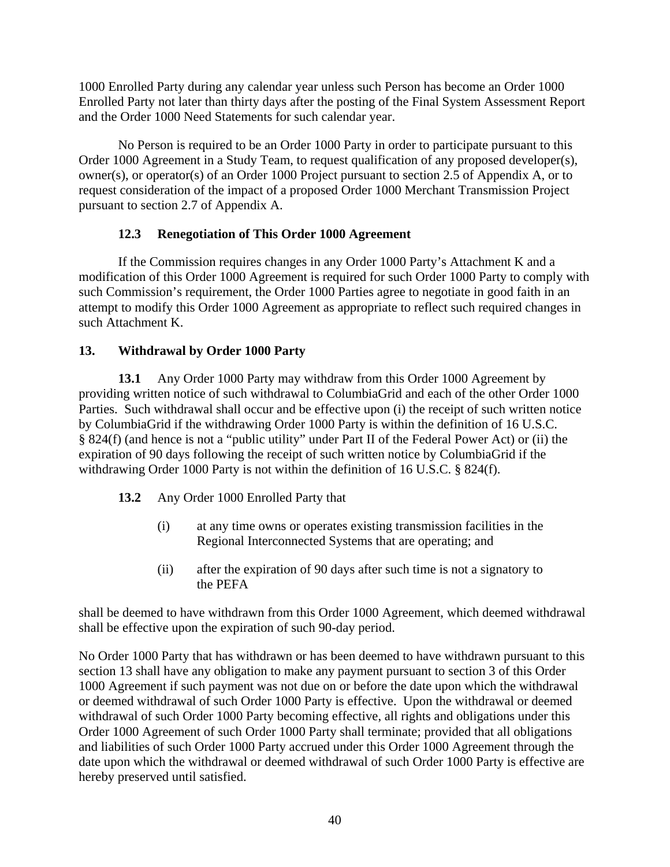1000 Enrolled Party during any calendar year unless such Person has become an Order 1000 Enrolled Party not later than thirty days after the posting of the Final System Assessment Report and the Order 1000 Need Statements for such calendar year.

No Person is required to be an Order 1000 Party in order to participate pursuant to this Order 1000 Agreement in a Study Team, to request qualification of any proposed developer(s), owner(s), or operator(s) of an Order 1000 Project pursuant to section 2.5 of Appendix A, or to request consideration of the impact of a proposed Order 1000 Merchant Transmission Project pursuant to section 2.7 of Appendix A.

# **12.3 Renegotiation of This Order 1000 Agreement**

If the Commission requires changes in any Order 1000 Party's Attachment K and a modification of this Order 1000 Agreement is required for such Order 1000 Party to comply with such Commission's requirement, the Order 1000 Parties agree to negotiate in good faith in an attempt to modify this Order 1000 Agreement as appropriate to reflect such required changes in such Attachment K.

# **13. Withdrawal by Order 1000 Party**

**13.1** Any Order 1000 Party may withdraw from this Order 1000 Agreement by providing written notice of such withdrawal to ColumbiaGrid and each of the other Order 1000 Parties. Such withdrawal shall occur and be effective upon (i) the receipt of such written notice by ColumbiaGrid if the withdrawing Order 1000 Party is within the definition of 16 U.S.C. § 824(f) (and hence is not a "public utility" under Part II of the Federal Power Act) or (ii) the expiration of 90 days following the receipt of such written notice by ColumbiaGrid if the withdrawing Order 1000 Party is not within the definition of 16 U.S.C. § 824(f).

- **13.2** Any Order 1000 Enrolled Party that
	- (i) at any time owns or operates existing transmission facilities in the Regional Interconnected Systems that are operating; and
	- (ii) after the expiration of 90 days after such time is not a signatory to the PEFA

shall be deemed to have withdrawn from this Order 1000 Agreement, which deemed withdrawal shall be effective upon the expiration of such 90-day period.

No Order 1000 Party that has withdrawn or has been deemed to have withdrawn pursuant to this section 13 shall have any obligation to make any payment pursuant to section 3 of this Order 1000 Agreement if such payment was not due on or before the date upon which the withdrawal or deemed withdrawal of such Order 1000 Party is effective. Upon the withdrawal or deemed withdrawal of such Order 1000 Party becoming effective, all rights and obligations under this Order 1000 Agreement of such Order 1000 Party shall terminate; provided that all obligations and liabilities of such Order 1000 Party accrued under this Order 1000 Agreement through the date upon which the withdrawal or deemed withdrawal of such Order 1000 Party is effective are hereby preserved until satisfied.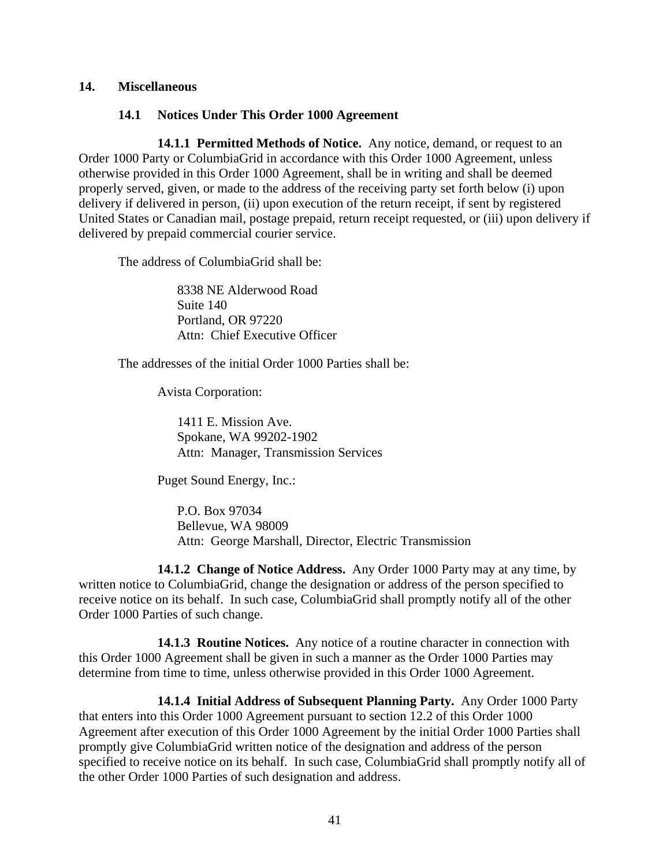#### **14. Miscellaneous**

#### **14.1 Notices Under This Order 1000 Agreement**

**14.1.1 Permitted Methods of Notice.** Any notice, demand, or request to an Order 1000 Party or ColumbiaGrid in accordance with this Order 1000 Agreement, unless otherwise provided in this Order 1000 Agreement, shall be in writing and shall be deemed properly served, given, or made to the address of the receiving party set forth below (i) upon delivery if delivered in person, (ii) upon execution of the return receipt, if sent by registered United States or Canadian mail, postage prepaid, return receipt requested, or (iii) upon delivery if delivered by prepaid commercial courier service.

The address of ColumbiaGrid shall be:

8338 NE Alderwood Road Suite 140 Portland, OR 97220 Attn: Chief Executive Officer

The addresses of the initial Order 1000 Parties shall be:

Avista Corporation:

1411 E. Mission Ave. Spokane, WA 99202-1902 Attn: Manager, Transmission Services

Puget Sound Energy, Inc.:

P.O. Box 97034 Bellevue, WA 98009 Attn: George Marshall, Director, Electric Transmission

**14.1.2 Change of Notice Address.** Any Order 1000 Party may at any time, by written notice to ColumbiaGrid, change the designation or address of the person specified to receive notice on its behalf. In such case, ColumbiaGrid shall promptly notify all of the other Order 1000 Parties of such change.

**14.1.3 Routine Notices.** Any notice of a routine character in connection with this Order 1000 Agreement shall be given in such a manner as the Order 1000 Parties may determine from time to time, unless otherwise provided in this Order 1000 Agreement.

**14.1.4 Initial Address of Subsequent Planning Party.** Any Order 1000 Party that enters into this Order 1000 Agreement pursuant to section 12.2 of this Order 1000 Agreement after execution of this Order 1000 Agreement by the initial Order 1000 Parties shall promptly give ColumbiaGrid written notice of the designation and address of the person specified to receive notice on its behalf. In such case, ColumbiaGrid shall promptly notify all of the other Order 1000 Parties of such designation and address.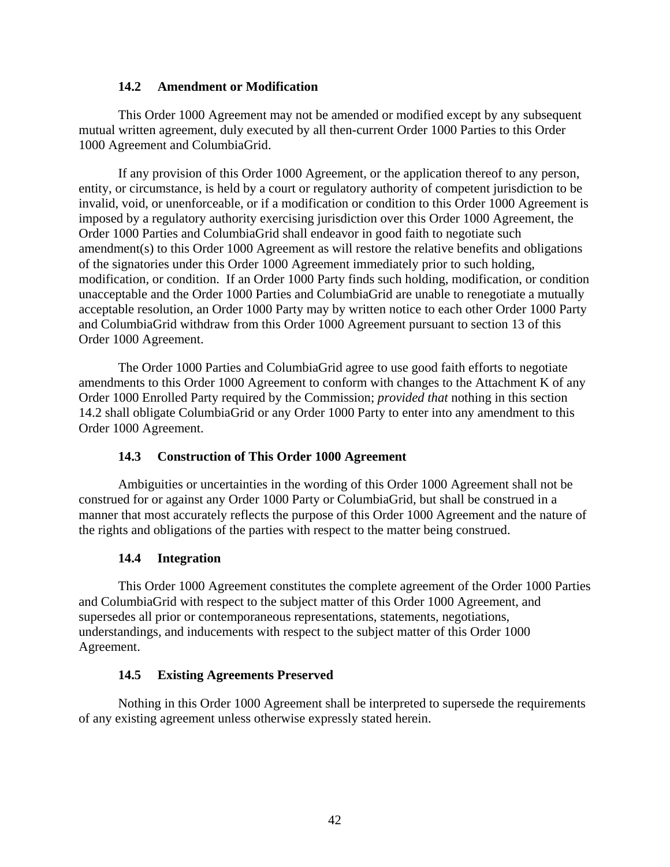#### **14.2 Amendment or Modification**

This Order 1000 Agreement may not be amended or modified except by any subsequent mutual written agreement, duly executed by all then-current Order 1000 Parties to this Order 1000 Agreement and ColumbiaGrid.

If any provision of this Order 1000 Agreement, or the application thereof to any person, entity, or circumstance, is held by a court or regulatory authority of competent jurisdiction to be invalid, void, or unenforceable, or if a modification or condition to this Order 1000 Agreement is imposed by a regulatory authority exercising jurisdiction over this Order 1000 Agreement, the Order 1000 Parties and ColumbiaGrid shall endeavor in good faith to negotiate such amendment(s) to this Order 1000 Agreement as will restore the relative benefits and obligations of the signatories under this Order 1000 Agreement immediately prior to such holding, modification, or condition. If an Order 1000 Party finds such holding, modification, or condition unacceptable and the Order 1000 Parties and ColumbiaGrid are unable to renegotiate a mutually acceptable resolution, an Order 1000 Party may by written notice to each other Order 1000 Party and ColumbiaGrid withdraw from this Order 1000 Agreement pursuant to section 13 of this Order 1000 Agreement.

The Order 1000 Parties and ColumbiaGrid agree to use good faith efforts to negotiate amendments to this Order 1000 Agreement to conform with changes to the Attachment K of any Order 1000 Enrolled Party required by the Commission; *provided that* nothing in this section 14.2 shall obligate ColumbiaGrid or any Order 1000 Party to enter into any amendment to this Order 1000 Agreement.

### **14.3 Construction of This Order 1000 Agreement**

Ambiguities or uncertainties in the wording of this Order 1000 Agreement shall not be construed for or against any Order 1000 Party or ColumbiaGrid, but shall be construed in a manner that most accurately reflects the purpose of this Order 1000 Agreement and the nature of the rights and obligations of the parties with respect to the matter being construed.

#### **14.4 Integration**

This Order 1000 Agreement constitutes the complete agreement of the Order 1000 Parties and ColumbiaGrid with respect to the subject matter of this Order 1000 Agreement, and supersedes all prior or contemporaneous representations, statements, negotiations, understandings, and inducements with respect to the subject matter of this Order 1000 Agreement.

#### **14.5 Existing Agreements Preserved**

Nothing in this Order 1000 Agreement shall be interpreted to supersede the requirements of any existing agreement unless otherwise expressly stated herein.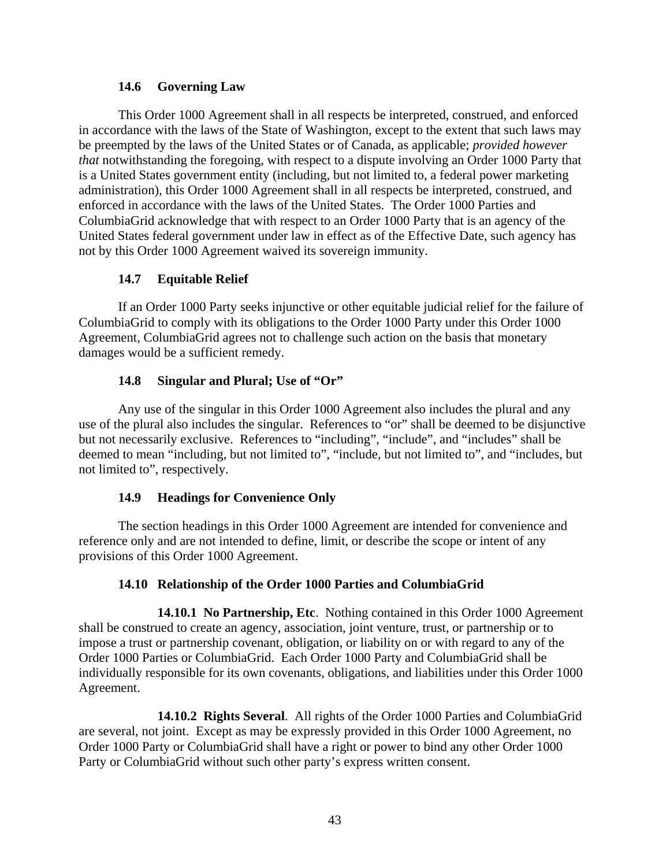#### **14.6 Governing Law**

This Order 1000 Agreement shall in all respects be interpreted, construed, and enforced in accordance with the laws of the State of Washington, except to the extent that such laws may be preempted by the laws of the United States or of Canada, as applicable; *provided however that* notwithstanding the foregoing, with respect to a dispute involving an Order 1000 Party that is a United States government entity (including, but not limited to, a federal power marketing administration), this Order 1000 Agreement shall in all respects be interpreted, construed, and enforced in accordance with the laws of the United States. The Order 1000 Parties and ColumbiaGrid acknowledge that with respect to an Order 1000 Party that is an agency of the United States federal government under law in effect as of the Effective Date, such agency has not by this Order 1000 Agreement waived its sovereign immunity.

### **14.7 Equitable Relief**

If an Order 1000 Party seeks injunctive or other equitable judicial relief for the failure of ColumbiaGrid to comply with its obligations to the Order 1000 Party under this Order 1000 Agreement, ColumbiaGrid agrees not to challenge such action on the basis that monetary damages would be a sufficient remedy.

### **14.8 Singular and Plural; Use of "Or"**

Any use of the singular in this Order 1000 Agreement also includes the plural and any use of the plural also includes the singular. References to "or" shall be deemed to be disjunctive but not necessarily exclusive. References to "including", "include", and "includes" shall be deemed to mean "including, but not limited to", "include, but not limited to", and "includes, but not limited to", respectively.

### **14.9 Headings for Convenience Only**

The section headings in this Order 1000 Agreement are intended for convenience and reference only and are not intended to define, limit, or describe the scope or intent of any provisions of this Order 1000 Agreement.

### **14.10 Relationship of the Order 1000 Parties and ColumbiaGrid**

**14.10.1 No Partnership, Etc**. Nothing contained in this Order 1000 Agreement shall be construed to create an agency, association, joint venture, trust, or partnership or to impose a trust or partnership covenant, obligation, or liability on or with regard to any of the Order 1000 Parties or ColumbiaGrid. Each Order 1000 Party and ColumbiaGrid shall be individually responsible for its own covenants, obligations, and liabilities under this Order 1000 Agreement.

**14.10.2 Rights Several**. All rights of the Order 1000 Parties and ColumbiaGrid are several, not joint. Except as may be expressly provided in this Order 1000 Agreement, no Order 1000 Party or ColumbiaGrid shall have a right or power to bind any other Order 1000 Party or ColumbiaGrid without such other party's express written consent.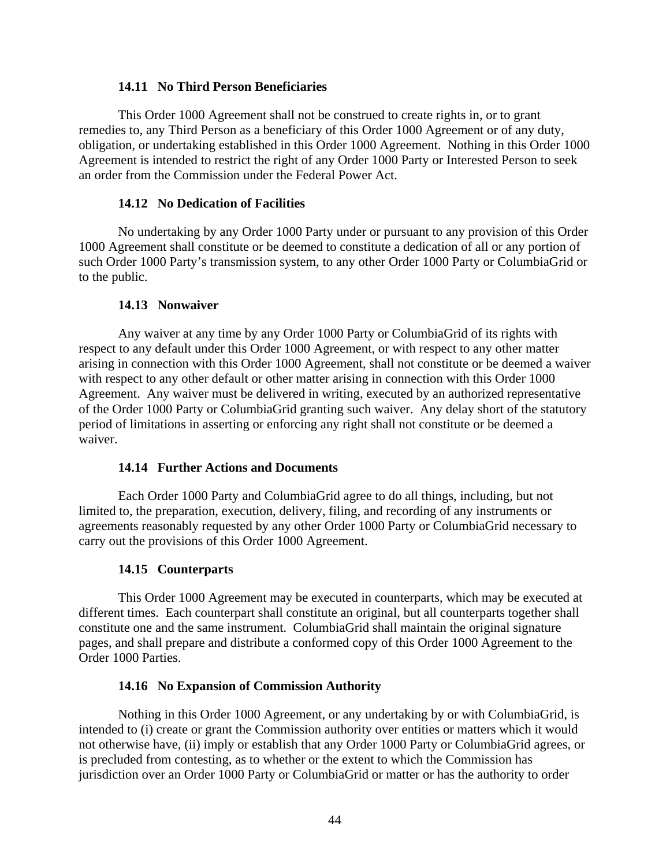#### **14.11 No Third Person Beneficiaries**

This Order 1000 Agreement shall not be construed to create rights in, or to grant remedies to, any Third Person as a beneficiary of this Order 1000 Agreement or of any duty, obligation, or undertaking established in this Order 1000 Agreement. Nothing in this Order 1000 Agreement is intended to restrict the right of any Order 1000 Party or Interested Person to seek an order from the Commission under the Federal Power Act.

#### **14.12 No Dedication of Facilities**

No undertaking by any Order 1000 Party under or pursuant to any provision of this Order 1000 Agreement shall constitute or be deemed to constitute a dedication of all or any portion of such Order 1000 Party's transmission system, to any other Order 1000 Party or ColumbiaGrid or to the public.

#### **14.13 Nonwaiver**

Any waiver at any time by any Order 1000 Party or ColumbiaGrid of its rights with respect to any default under this Order 1000 Agreement, or with respect to any other matter arising in connection with this Order 1000 Agreement, shall not constitute or be deemed a waiver with respect to any other default or other matter arising in connection with this Order 1000 Agreement. Any waiver must be delivered in writing, executed by an authorized representative of the Order 1000 Party or ColumbiaGrid granting such waiver. Any delay short of the statutory period of limitations in asserting or enforcing any right shall not constitute or be deemed a waiver.

#### **14.14 Further Actions and Documents**

Each Order 1000 Party and ColumbiaGrid agree to do all things, including, but not limited to, the preparation, execution, delivery, filing, and recording of any instruments or agreements reasonably requested by any other Order 1000 Party or ColumbiaGrid necessary to carry out the provisions of this Order 1000 Agreement.

#### **14.15 Counterparts**

This Order 1000 Agreement may be executed in counterparts, which may be executed at different times. Each counterpart shall constitute an original, but all counterparts together shall constitute one and the same instrument. ColumbiaGrid shall maintain the original signature pages, and shall prepare and distribute a conformed copy of this Order 1000 Agreement to the Order 1000 Parties.

#### **14.16 No Expansion of Commission Authority**

Nothing in this Order 1000 Agreement, or any undertaking by or with ColumbiaGrid, is intended to (i) create or grant the Commission authority over entities or matters which it would not otherwise have, (ii) imply or establish that any Order 1000 Party or ColumbiaGrid agrees, or is precluded from contesting, as to whether or the extent to which the Commission has jurisdiction over an Order 1000 Party or ColumbiaGrid or matter or has the authority to order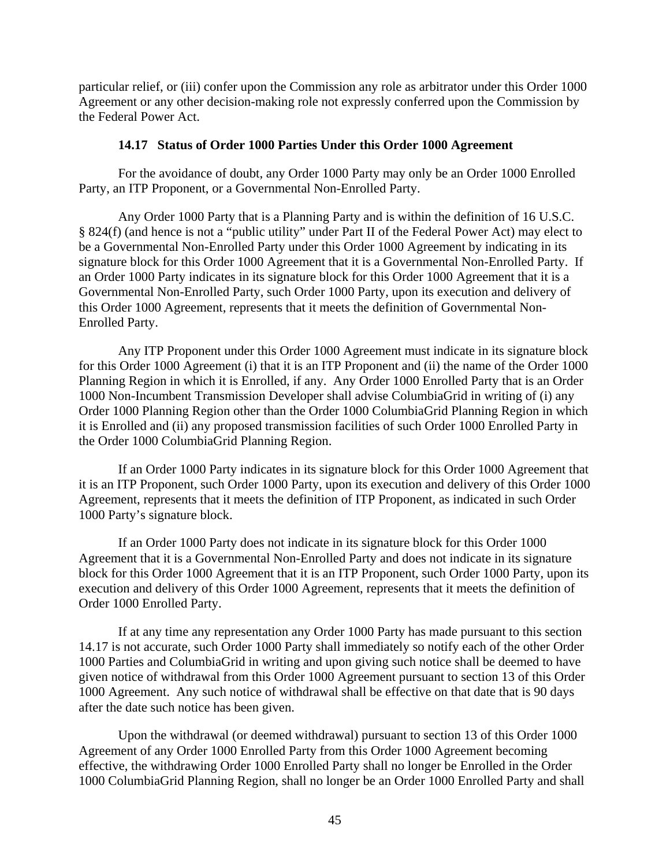particular relief, or (iii) confer upon the Commission any role as arbitrator under this Order 1000 Agreement or any other decision-making role not expressly conferred upon the Commission by the Federal Power Act.

#### **14.17 Status of Order 1000 Parties Under this Order 1000 Agreement**

For the avoidance of doubt, any Order 1000 Party may only be an Order 1000 Enrolled Party, an ITP Proponent, or a Governmental Non-Enrolled Party.

Any Order 1000 Party that is a Planning Party and is within the definition of 16 U.S.C. § 824(f) (and hence is not a "public utility" under Part II of the Federal Power Act) may elect to be a Governmental Non-Enrolled Party under this Order 1000 Agreement by indicating in its signature block for this Order 1000 Agreement that it is a Governmental Non-Enrolled Party. If an Order 1000 Party indicates in its signature block for this Order 1000 Agreement that it is a Governmental Non-Enrolled Party, such Order 1000 Party, upon its execution and delivery of this Order 1000 Agreement, represents that it meets the definition of Governmental Non-Enrolled Party.

Any ITP Proponent under this Order 1000 Agreement must indicate in its signature block for this Order 1000 Agreement (i) that it is an ITP Proponent and (ii) the name of the Order 1000 Planning Region in which it is Enrolled, if any. Any Order 1000 Enrolled Party that is an Order 1000 Non-Incumbent Transmission Developer shall advise ColumbiaGrid in writing of (i) any Order 1000 Planning Region other than the Order 1000 ColumbiaGrid Planning Region in which it is Enrolled and (ii) any proposed transmission facilities of such Order 1000 Enrolled Party in the Order 1000 ColumbiaGrid Planning Region.

If an Order 1000 Party indicates in its signature block for this Order 1000 Agreement that it is an ITP Proponent, such Order 1000 Party, upon its execution and delivery of this Order 1000 Agreement, represents that it meets the definition of ITP Proponent, as indicated in such Order 1000 Party's signature block.

If an Order 1000 Party does not indicate in its signature block for this Order 1000 Agreement that it is a Governmental Non-Enrolled Party and does not indicate in its signature block for this Order 1000 Agreement that it is an ITP Proponent, such Order 1000 Party, upon its execution and delivery of this Order 1000 Agreement, represents that it meets the definition of Order 1000 Enrolled Party.

If at any time any representation any Order 1000 Party has made pursuant to this section 14.17 is not accurate, such Order 1000 Party shall immediately so notify each of the other Order 1000 Parties and ColumbiaGrid in writing and upon giving such notice shall be deemed to have given notice of withdrawal from this Order 1000 Agreement pursuant to section 13 of this Order 1000 Agreement. Any such notice of withdrawal shall be effective on that date that is 90 days after the date such notice has been given.

Upon the withdrawal (or deemed withdrawal) pursuant to section 13 of this Order 1000 Agreement of any Order 1000 Enrolled Party from this Order 1000 Agreement becoming effective, the withdrawing Order 1000 Enrolled Party shall no longer be Enrolled in the Order 1000 ColumbiaGrid Planning Region, shall no longer be an Order 1000 Enrolled Party and shall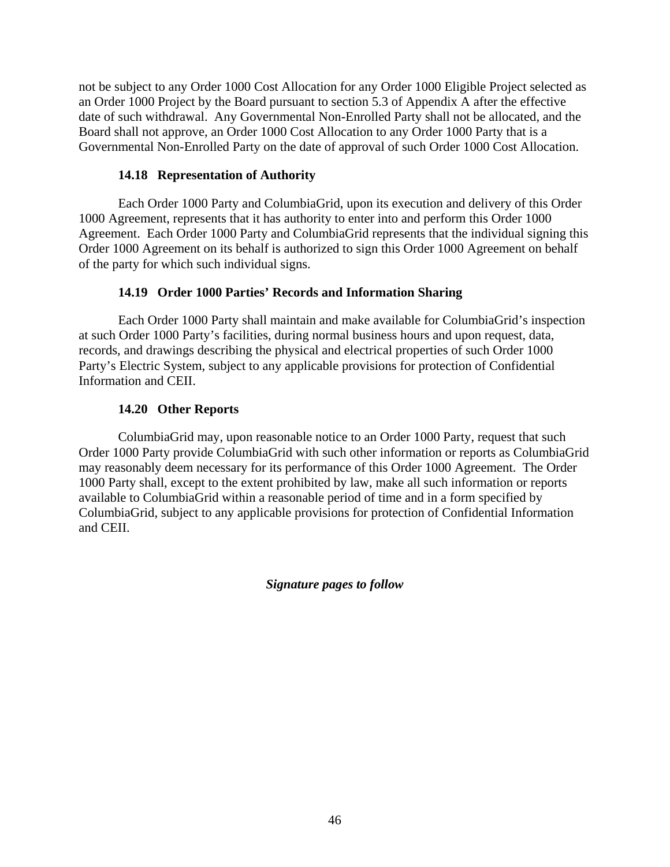not be subject to any Order 1000 Cost Allocation for any Order 1000 Eligible Project selected as an Order 1000 Project by the Board pursuant to section 5.3 of Appendix A after the effective date of such withdrawal. Any Governmental Non-Enrolled Party shall not be allocated, and the Board shall not approve, an Order 1000 Cost Allocation to any Order 1000 Party that is a Governmental Non-Enrolled Party on the date of approval of such Order 1000 Cost Allocation.

## **14.18 Representation of Authority**

Each Order 1000 Party and ColumbiaGrid, upon its execution and delivery of this Order 1000 Agreement, represents that it has authority to enter into and perform this Order 1000 Agreement. Each Order 1000 Party and ColumbiaGrid represents that the individual signing this Order 1000 Agreement on its behalf is authorized to sign this Order 1000 Agreement on behalf of the party for which such individual signs.

## **14.19 Order 1000 Parties' Records and Information Sharing**

Each Order 1000 Party shall maintain and make available for ColumbiaGrid's inspection at such Order 1000 Party's facilities, during normal business hours and upon request, data, records, and drawings describing the physical and electrical properties of such Order 1000 Party's Electric System, subject to any applicable provisions for protection of Confidential Information and CEII.

## **14.20 Other Reports**

ColumbiaGrid may, upon reasonable notice to an Order 1000 Party, request that such Order 1000 Party provide ColumbiaGrid with such other information or reports as ColumbiaGrid may reasonably deem necessary for its performance of this Order 1000 Agreement. The Order 1000 Party shall, except to the extent prohibited by law, make all such information or reports available to ColumbiaGrid within a reasonable period of time and in a form specified by ColumbiaGrid, subject to any applicable provisions for protection of Confidential Information and CEII.

*Signature pages to follow*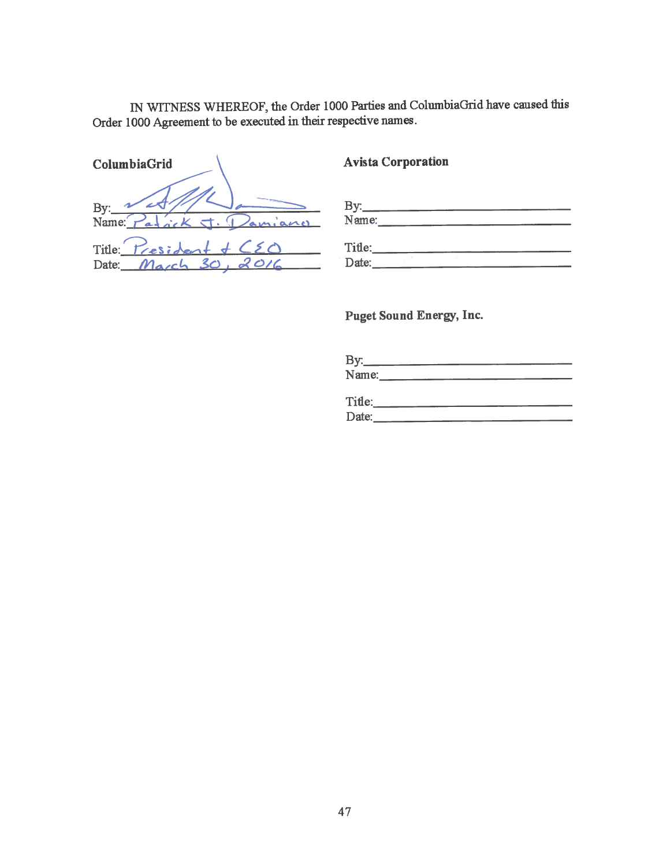IN WITNESS WHEREOF, the Order 1000 Parties and ColumbiaGrid have caused this Order 1000 Agreement to be executed in their respective names.

| ColumbiaGrid                                                           |
|------------------------------------------------------------------------|
| By: $\frac{1}{\text{Name: } \boxed{r}}$<br>$P_{a+}ik$ $\tau$ . Damiano |
| Title:<br>$Tresident + C2$                                             |
| Date: March 30, 2016                                                   |

# **Avista Corporation**

| HXT.<br>-                                     |  |  |
|-----------------------------------------------|--|--|
| Name:<br><b><i><u>Lind a district</u></i></b> |  |  |

| Tifle: |  |  |  |
|--------|--|--|--|
| Date:  |  |  |  |

**Puget Sound Energy, Inc.** 

By: $\frac{N \cdot m}{N \cdot m \cdot m}$ 

| Tifle: |  | --- |  |
|--------|--|-----|--|
| Date:  |  |     |  |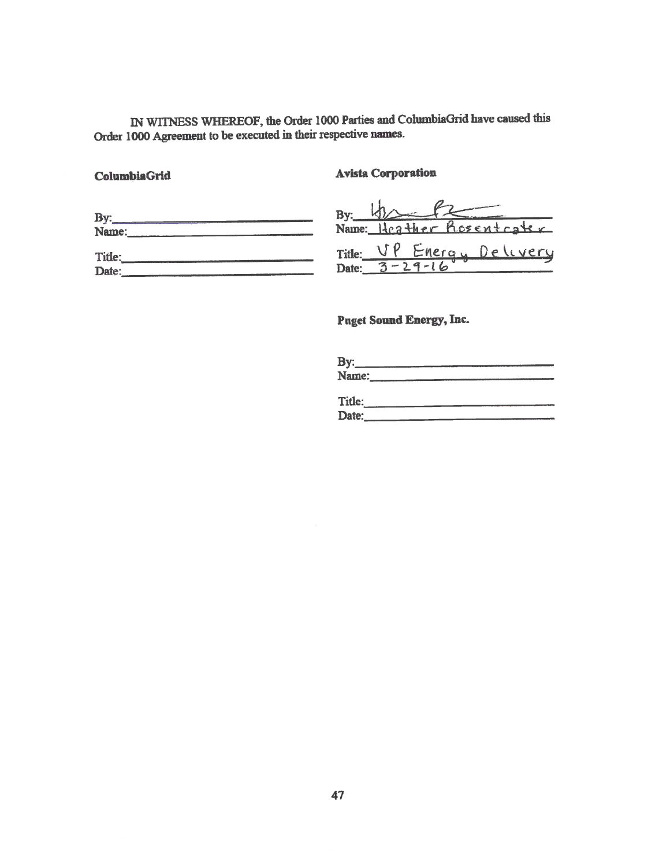IN WITNESS WHEREOF, the Order 1000 Parties and ColumbiaGrid have caused this Order 1000 Agreement to be executed in their respective names.

#### ColumbiaGrid

**Avista Corporation** 

| Name:           | Name: Heather Rosentcater        |
|-----------------|----------------------------------|
| Title:<br>Date: | Title: <u>VP Energy Delivery</u> |

**Puget Sound Energy, Inc.** 

| By:   |  |
|-------|--|
| Name: |  |

| Title: | WANTED WAS CITED AND RESIDENCE OF THE RESIDENCE OF A REPORT OF THE RESIDENCE OF THE RESIDENCE OF THE RESIDENCE OF THE RESIDENCE OF THE RESIDENCE OF THE RESIDENCE OF THE RESIDENCE OF THE RESIDENCE OF THE RESIDENCE OF THE RE |
|--------|--------------------------------------------------------------------------------------------------------------------------------------------------------------------------------------------------------------------------------|
| Date:  | the company of the second company of the second                                                                                                                                                                                |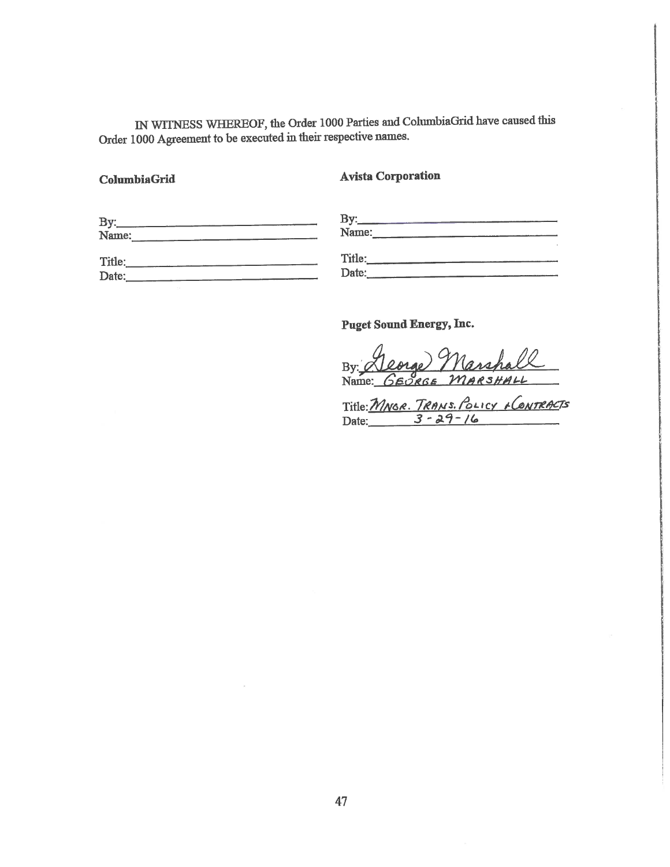IN WITNESS WHEREOF, the Order 1000 Parties and ColumbiaGrid have caused this Order 1000 Agreement to be executed in their respective names.

#### ColumbiaGrid

**Avista Corporation** 

| By:    | <b>By</b> |
|--------|-----------|
| Name:  | Name:     |
| Title: | Title:    |
| Date:  | Date:     |

Puget Sound Energy, Inc.

orge Marshal By:  $Q$ Name: GEORGE M  $RSHALL$ 

Title: MNGR. TRANS. POLICY + CONTRACTS<br>Date: 3-29-16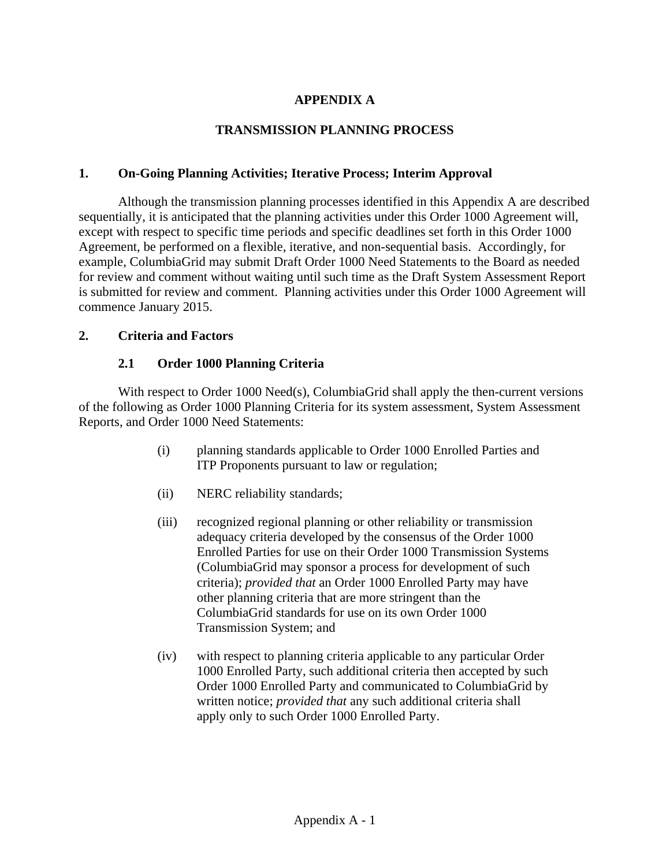# **APPENDIX A**

#### **TRANSMISSION PLANNING PROCESS**

#### **1. On-Going Planning Activities; Iterative Process; Interim Approval**

Although the transmission planning processes identified in this Appendix A are described sequentially, it is anticipated that the planning activities under this Order 1000 Agreement will, except with respect to specific time periods and specific deadlines set forth in this Order 1000 Agreement, be performed on a flexible, iterative, and non-sequential basis. Accordingly, for example, ColumbiaGrid may submit Draft Order 1000 Need Statements to the Board as needed for review and comment without waiting until such time as the Draft System Assessment Report is submitted for review and comment. Planning activities under this Order 1000 Agreement will commence January 2015.

#### **2. Criteria and Factors**

#### **2.1 Order 1000 Planning Criteria**

With respect to Order 1000 Need(s), ColumbiaGrid shall apply the then-current versions of the following as Order 1000 Planning Criteria for its system assessment, System Assessment Reports, and Order 1000 Need Statements:

- (i) planning standards applicable to Order 1000 Enrolled Parties and ITP Proponents pursuant to law or regulation;
- (ii) NERC reliability standards;
- (iii) recognized regional planning or other reliability or transmission adequacy criteria developed by the consensus of the Order 1000 Enrolled Parties for use on their Order 1000 Transmission Systems (ColumbiaGrid may sponsor a process for development of such criteria); *provided that* an Order 1000 Enrolled Party may have other planning criteria that are more stringent than the ColumbiaGrid standards for use on its own Order 1000 Transmission System; and
- (iv) with respect to planning criteria applicable to any particular Order 1000 Enrolled Party, such additional criteria then accepted by such Order 1000 Enrolled Party and communicated to ColumbiaGrid by written notice; *provided that* any such additional criteria shall apply only to such Order 1000 Enrolled Party.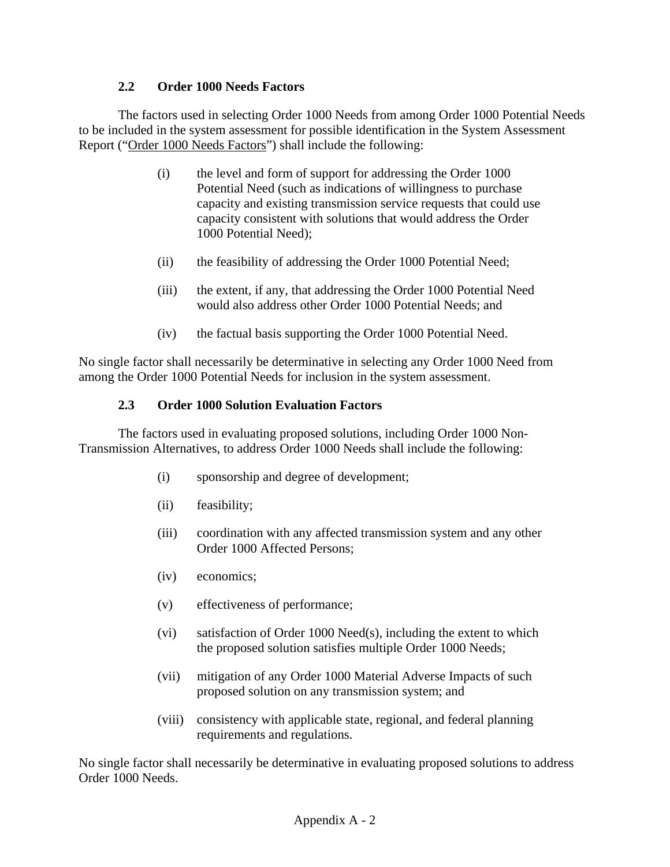## **2.2 Order 1000 Needs Factors**

The factors used in selecting Order 1000 Needs from among Order 1000 Potential Needs to be included in the system assessment for possible identification in the System Assessment Report ("Order 1000 Needs Factors") shall include the following:

- (i) the level and form of support for addressing the Order 1000 Potential Need (such as indications of willingness to purchase capacity and existing transmission service requests that could use capacity consistent with solutions that would address the Order 1000 Potential Need);
- (ii) the feasibility of addressing the Order 1000 Potential Need;
- (iii) the extent, if any, that addressing the Order 1000 Potential Need would also address other Order 1000 Potential Needs; and
- (iv) the factual basis supporting the Order 1000 Potential Need.

No single factor shall necessarily be determinative in selecting any Order 1000 Need from among the Order 1000 Potential Needs for inclusion in the system assessment.

## **2.3 Order 1000 Solution Evaluation Factors**

The factors used in evaluating proposed solutions, including Order 1000 Non-Transmission Alternatives, to address Order 1000 Needs shall include the following:

- (i) sponsorship and degree of development;
- (ii) feasibility;
- (iii) coordination with any affected transmission system and any other Order 1000 Affected Persons;
- (iv) economics;
- (v) effectiveness of performance;
- (vi) satisfaction of Order 1000 Need(s), including the extent to which the proposed solution satisfies multiple Order 1000 Needs;
- (vii) mitigation of any Order 1000 Material Adverse Impacts of such proposed solution on any transmission system; and
- (viii) consistency with applicable state, regional, and federal planning requirements and regulations.

No single factor shall necessarily be determinative in evaluating proposed solutions to address Order 1000 Needs.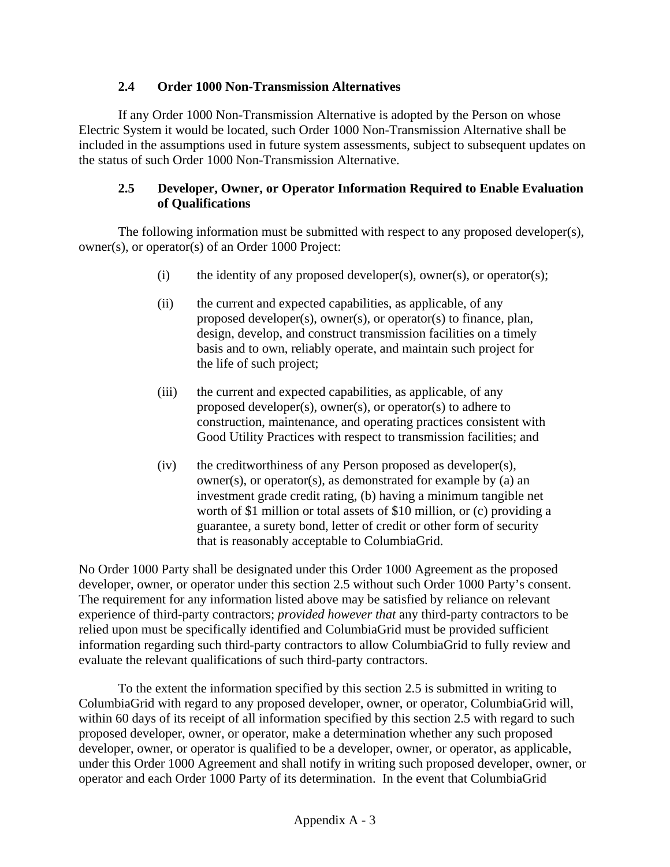## **2.4 Order 1000 Non-Transmission Alternatives**

If any Order 1000 Non-Transmission Alternative is adopted by the Person on whose Electric System it would be located, such Order 1000 Non-Transmission Alternative shall be included in the assumptions used in future system assessments, subject to subsequent updates on the status of such Order 1000 Non-Transmission Alternative.

## **2.5 Developer, Owner, or Operator Information Required to Enable Evaluation of Qualifications**

The following information must be submitted with respect to any proposed developer(s), owner(s), or operator(s) of an Order 1000 Project:

- (i) the identity of any proposed developer(s), owner(s), or operator(s);
- (ii) the current and expected capabilities, as applicable, of any proposed developer(s), owner(s), or operator(s) to finance, plan, design, develop, and construct transmission facilities on a timely basis and to own, reliably operate, and maintain such project for the life of such project;
- (iii) the current and expected capabilities, as applicable, of any proposed developer(s), owner(s), or operator(s) to adhere to construction, maintenance, and operating practices consistent with Good Utility Practices with respect to transmission facilities; and
- (iv) the creditworthiness of any Person proposed as developer(s), owner(s), or operator(s), as demonstrated for example by (a) an investment grade credit rating, (b) having a minimum tangible net worth of \$1 million or total assets of \$10 million, or (c) providing a guarantee, a surety bond, letter of credit or other form of security that is reasonably acceptable to ColumbiaGrid.

No Order 1000 Party shall be designated under this Order 1000 Agreement as the proposed developer, owner, or operator under this section 2.5 without such Order 1000 Party's consent. The requirement for any information listed above may be satisfied by reliance on relevant experience of third-party contractors; *provided however that* any third-party contractors to be relied upon must be specifically identified and ColumbiaGrid must be provided sufficient information regarding such third-party contractors to allow ColumbiaGrid to fully review and evaluate the relevant qualifications of such third-party contractors.

To the extent the information specified by this section 2.5 is submitted in writing to ColumbiaGrid with regard to any proposed developer, owner, or operator, ColumbiaGrid will, within 60 days of its receipt of all information specified by this section 2.5 with regard to such proposed developer, owner, or operator, make a determination whether any such proposed developer, owner, or operator is qualified to be a developer, owner, or operator, as applicable, under this Order 1000 Agreement and shall notify in writing such proposed developer, owner, or operator and each Order 1000 Party of its determination. In the event that ColumbiaGrid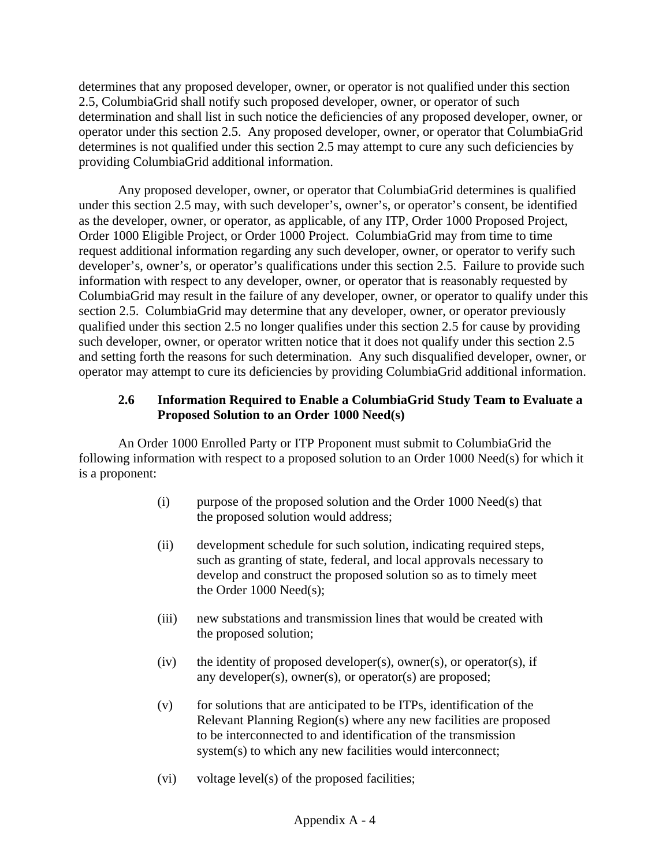determines that any proposed developer, owner, or operator is not qualified under this section 2.5, ColumbiaGrid shall notify such proposed developer, owner, or operator of such determination and shall list in such notice the deficiencies of any proposed developer, owner, or operator under this section 2.5. Any proposed developer, owner, or operator that ColumbiaGrid determines is not qualified under this section 2.5 may attempt to cure any such deficiencies by providing ColumbiaGrid additional information.

Any proposed developer, owner, or operator that ColumbiaGrid determines is qualified under this section 2.5 may, with such developer's, owner's, or operator's consent, be identified as the developer, owner, or operator, as applicable, of any ITP, Order 1000 Proposed Project, Order 1000 Eligible Project, or Order 1000 Project. ColumbiaGrid may from time to time request additional information regarding any such developer, owner, or operator to verify such developer's, owner's, or operator's qualifications under this section 2.5. Failure to provide such information with respect to any developer, owner, or operator that is reasonably requested by ColumbiaGrid may result in the failure of any developer, owner, or operator to qualify under this section 2.5. ColumbiaGrid may determine that any developer, owner, or operator previously qualified under this section 2.5 no longer qualifies under this section 2.5 for cause by providing such developer, owner, or operator written notice that it does not qualify under this section 2.5 and setting forth the reasons for such determination. Any such disqualified developer, owner, or operator may attempt to cure its deficiencies by providing ColumbiaGrid additional information.

# **2.6 Information Required to Enable a ColumbiaGrid Study Team to Evaluate a Proposed Solution to an Order 1000 Need(s)**

An Order 1000 Enrolled Party or ITP Proponent must submit to ColumbiaGrid the following information with respect to a proposed solution to an Order 1000 Need(s) for which it is a proponent:

- (i) purpose of the proposed solution and the Order 1000 Need(s) that the proposed solution would address;
- (ii) development schedule for such solution, indicating required steps, such as granting of state, federal, and local approvals necessary to develop and construct the proposed solution so as to timely meet the Order 1000 Need(s);
- (iii) new substations and transmission lines that would be created with the proposed solution;
- $(iv)$  the identity of proposed developer $(s)$ , owner $(s)$ , or operator $(s)$ , if any developer(s), owner(s), or operator(s) are proposed;
- $(v)$  for solutions that are anticipated to be ITPs, identification of the Relevant Planning Region(s) where any new facilities are proposed to be interconnected to and identification of the transmission system(s) to which any new facilities would interconnect;
- (vi) voltage level(s) of the proposed facilities;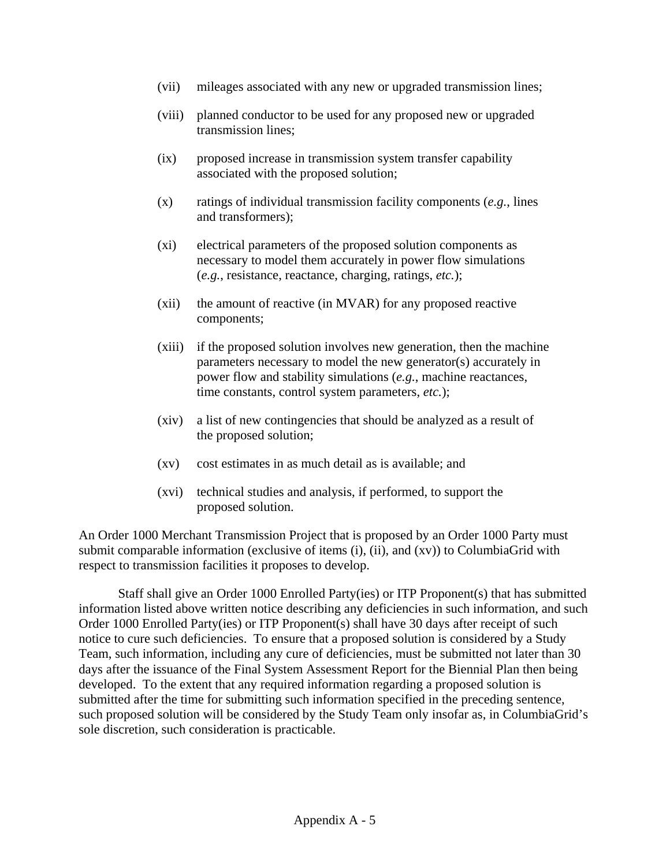- (vii) mileages associated with any new or upgraded transmission lines;
- (viii) planned conductor to be used for any proposed new or upgraded transmission lines;
- (ix) proposed increase in transmission system transfer capability associated with the proposed solution;
- (x) ratings of individual transmission facility components (*e.g.*, lines and transformers);
- (xi) electrical parameters of the proposed solution components as necessary to model them accurately in power flow simulations (*e.g.*, resistance, reactance, charging, ratings, *etc.*);
- (xii) the amount of reactive (in MVAR) for any proposed reactive components;
- (xiii) if the proposed solution involves new generation, then the machine parameters necessary to model the new generator(s) accurately in power flow and stability simulations (*e.g.*, machine reactances, time constants, control system parameters, *etc.*);
- (xiv) a list of new contingencies that should be analyzed as a result of the proposed solution;
- (xv) cost estimates in as much detail as is available; and
- (xvi) technical studies and analysis, if performed, to support the proposed solution.

An Order 1000 Merchant Transmission Project that is proposed by an Order 1000 Party must submit comparable information (exclusive of items (i), (ii), and (xv)) to ColumbiaGrid with respect to transmission facilities it proposes to develop.

Staff shall give an Order 1000 Enrolled Party(ies) or ITP Proponent(s) that has submitted information listed above written notice describing any deficiencies in such information, and such Order 1000 Enrolled Party(ies) or ITP Proponent(s) shall have 30 days after receipt of such notice to cure such deficiencies. To ensure that a proposed solution is considered by a Study Team, such information, including any cure of deficiencies, must be submitted not later than 30 days after the issuance of the Final System Assessment Report for the Biennial Plan then being developed. To the extent that any required information regarding a proposed solution is submitted after the time for submitting such information specified in the preceding sentence, such proposed solution will be considered by the Study Team only insofar as, in ColumbiaGrid's sole discretion, such consideration is practicable.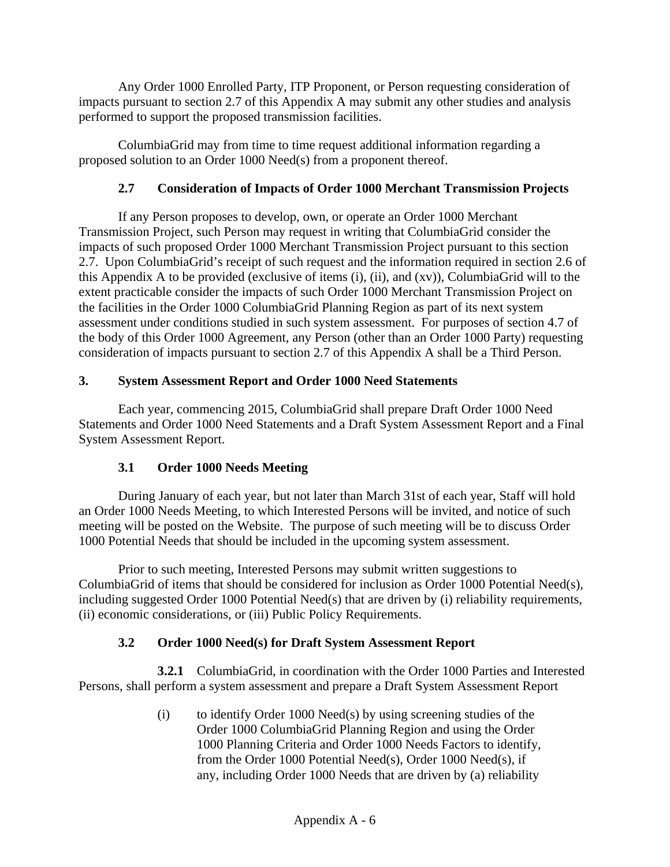Any Order 1000 Enrolled Party, ITP Proponent, or Person requesting consideration of impacts pursuant to section 2.7 of this Appendix A may submit any other studies and analysis performed to support the proposed transmission facilities.

ColumbiaGrid may from time to time request additional information regarding a proposed solution to an Order 1000 Need(s) from a proponent thereof.

# **2.7 Consideration of Impacts of Order 1000 Merchant Transmission Projects**

If any Person proposes to develop, own, or operate an Order 1000 Merchant Transmission Project, such Person may request in writing that ColumbiaGrid consider the impacts of such proposed Order 1000 Merchant Transmission Project pursuant to this section 2.7. Upon ColumbiaGrid's receipt of such request and the information required in section 2.6 of this Appendix A to be provided (exclusive of items (i), (ii), and (xv)), ColumbiaGrid will to the extent practicable consider the impacts of such Order 1000 Merchant Transmission Project on the facilities in the Order 1000 ColumbiaGrid Planning Region as part of its next system assessment under conditions studied in such system assessment. For purposes of section 4.7 of the body of this Order 1000 Agreement, any Person (other than an Order 1000 Party) requesting consideration of impacts pursuant to section 2.7 of this Appendix A shall be a Third Person.

# **3. System Assessment Report and Order 1000 Need Statements**

Each year, commencing 2015, ColumbiaGrid shall prepare Draft Order 1000 Need Statements and Order 1000 Need Statements and a Draft System Assessment Report and a Final System Assessment Report.

# **3.1 Order 1000 Needs Meeting**

During January of each year, but not later than March 31st of each year, Staff will hold an Order 1000 Needs Meeting, to which Interested Persons will be invited, and notice of such meeting will be posted on the Website. The purpose of such meeting will be to discuss Order 1000 Potential Needs that should be included in the upcoming system assessment.

Prior to such meeting, Interested Persons may submit written suggestions to ColumbiaGrid of items that should be considered for inclusion as Order 1000 Potential Need(s), including suggested Order 1000 Potential Need(s) that are driven by (i) reliability requirements, (ii) economic considerations, or (iii) Public Policy Requirements.

# **3.2 Order 1000 Need(s) for Draft System Assessment Report**

**3.2.1** ColumbiaGrid, in coordination with the Order 1000 Parties and Interested Persons, shall perform a system assessment and prepare a Draft System Assessment Report

> (i) to identify Order 1000 Need(s) by using screening studies of the Order 1000 ColumbiaGrid Planning Region and using the Order 1000 Planning Criteria and Order 1000 Needs Factors to identify, from the Order 1000 Potential Need(s), Order 1000 Need(s), if any, including Order 1000 Needs that are driven by (a) reliability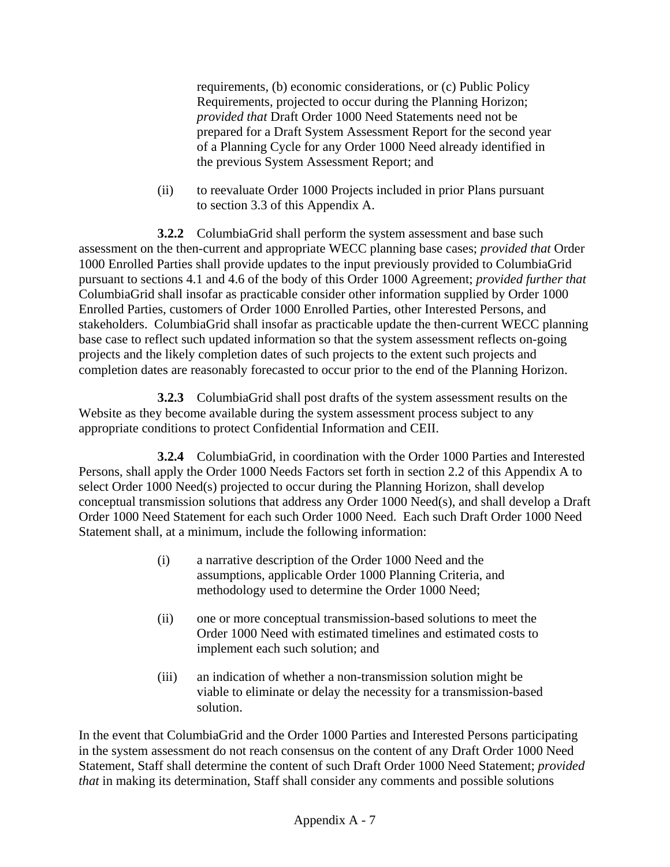requirements, (b) economic considerations, or (c) Public Policy Requirements, projected to occur during the Planning Horizon; *provided that* Draft Order 1000 Need Statements need not be prepared for a Draft System Assessment Report for the second year of a Planning Cycle for any Order 1000 Need already identified in the previous System Assessment Report; and

(ii) to reevaluate Order 1000 Projects included in prior Plans pursuant to section 3.3 of this Appendix A.

**3.2.2** ColumbiaGrid shall perform the system assessment and base such assessment on the then-current and appropriate WECC planning base cases; *provided that* Order 1000 Enrolled Parties shall provide updates to the input previously provided to ColumbiaGrid pursuant to sections 4.1 and 4.6 of the body of this Order 1000 Agreement; *provided further that*  ColumbiaGrid shall insofar as practicable consider other information supplied by Order 1000 Enrolled Parties, customers of Order 1000 Enrolled Parties, other Interested Persons, and stakeholders. ColumbiaGrid shall insofar as practicable update the then-current WECC planning base case to reflect such updated information so that the system assessment reflects on-going projects and the likely completion dates of such projects to the extent such projects and completion dates are reasonably forecasted to occur prior to the end of the Planning Horizon.

 **3.2.3** ColumbiaGrid shall post drafts of the system assessment results on the Website as they become available during the system assessment process subject to any appropriate conditions to protect Confidential Information and CEII.

 **3.2.4** ColumbiaGrid, in coordination with the Order 1000 Parties and Interested Persons, shall apply the Order 1000 Needs Factors set forth in section 2.2 of this Appendix A to select Order 1000 Need(s) projected to occur during the Planning Horizon, shall develop conceptual transmission solutions that address any Order 1000 Need(s), and shall develop a Draft Order 1000 Need Statement for each such Order 1000 Need. Each such Draft Order 1000 Need Statement shall, at a minimum, include the following information:

- (i) a narrative description of the Order 1000 Need and the assumptions, applicable Order 1000 Planning Criteria, and methodology used to determine the Order 1000 Need;
- (ii) one or more conceptual transmission-based solutions to meet the Order 1000 Need with estimated timelines and estimated costs to implement each such solution; and
- (iii) an indication of whether a non-transmission solution might be viable to eliminate or delay the necessity for a transmission-based solution.

In the event that ColumbiaGrid and the Order 1000 Parties and Interested Persons participating in the system assessment do not reach consensus on the content of any Draft Order 1000 Need Statement, Staff shall determine the content of such Draft Order 1000 Need Statement; *provided that* in making its determination, Staff shall consider any comments and possible solutions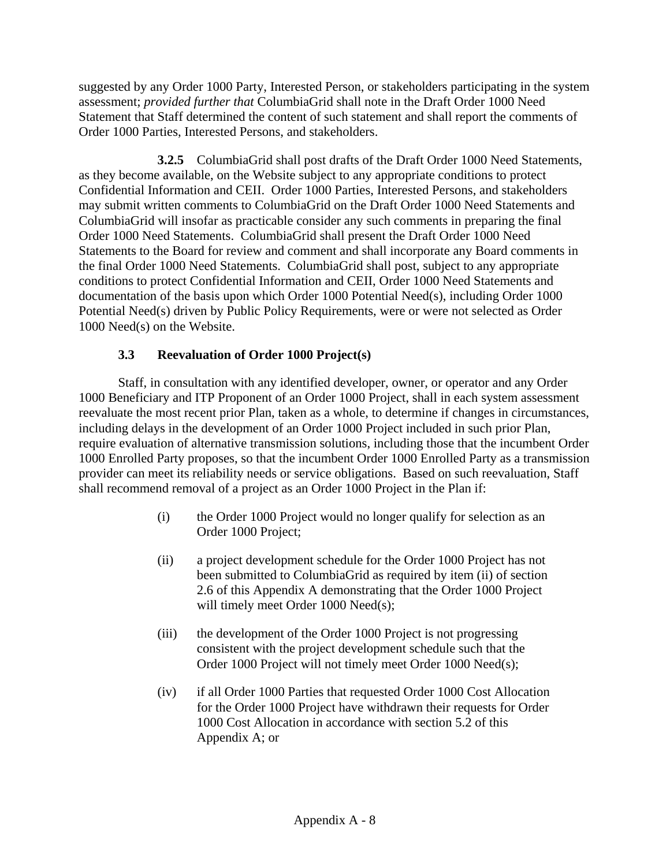suggested by any Order 1000 Party, Interested Person, or stakeholders participating in the system assessment; *provided further that* ColumbiaGrid shall note in the Draft Order 1000 Need Statement that Staff determined the content of such statement and shall report the comments of Order 1000 Parties, Interested Persons, and stakeholders.

**3.2.5** ColumbiaGrid shall post drafts of the Draft Order 1000 Need Statements, as they become available, on the Website subject to any appropriate conditions to protect Confidential Information and CEII. Order 1000 Parties, Interested Persons, and stakeholders may submit written comments to ColumbiaGrid on the Draft Order 1000 Need Statements and ColumbiaGrid will insofar as practicable consider any such comments in preparing the final Order 1000 Need Statements. ColumbiaGrid shall present the Draft Order 1000 Need Statements to the Board for review and comment and shall incorporate any Board comments in the final Order 1000 Need Statements. ColumbiaGrid shall post, subject to any appropriate conditions to protect Confidential Information and CEII, Order 1000 Need Statements and documentation of the basis upon which Order 1000 Potential Need(s), including Order 1000 Potential Need(s) driven by Public Policy Requirements, were or were not selected as Order 1000 Need(s) on the Website.

# **3.3 Reevaluation of Order 1000 Project(s)**

Staff, in consultation with any identified developer, owner, or operator and any Order 1000 Beneficiary and ITP Proponent of an Order 1000 Project, shall in each system assessment reevaluate the most recent prior Plan, taken as a whole, to determine if changes in circumstances, including delays in the development of an Order 1000 Project included in such prior Plan, require evaluation of alternative transmission solutions, including those that the incumbent Order 1000 Enrolled Party proposes, so that the incumbent Order 1000 Enrolled Party as a transmission provider can meet its reliability needs or service obligations. Based on such reevaluation, Staff shall recommend removal of a project as an Order 1000 Project in the Plan if:

- (i) the Order 1000 Project would no longer qualify for selection as an Order 1000 Project;
- (ii) a project development schedule for the Order 1000 Project has not been submitted to ColumbiaGrid as required by item (ii) of section 2.6 of this Appendix A demonstrating that the Order 1000 Project will timely meet Order 1000 Need(s);
- (iii) the development of the Order 1000 Project is not progressing consistent with the project development schedule such that the Order 1000 Project will not timely meet Order 1000 Need(s);
- (iv) if all Order 1000 Parties that requested Order 1000 Cost Allocation for the Order 1000 Project have withdrawn their requests for Order 1000 Cost Allocation in accordance with section 5.2 of this Appendix A; or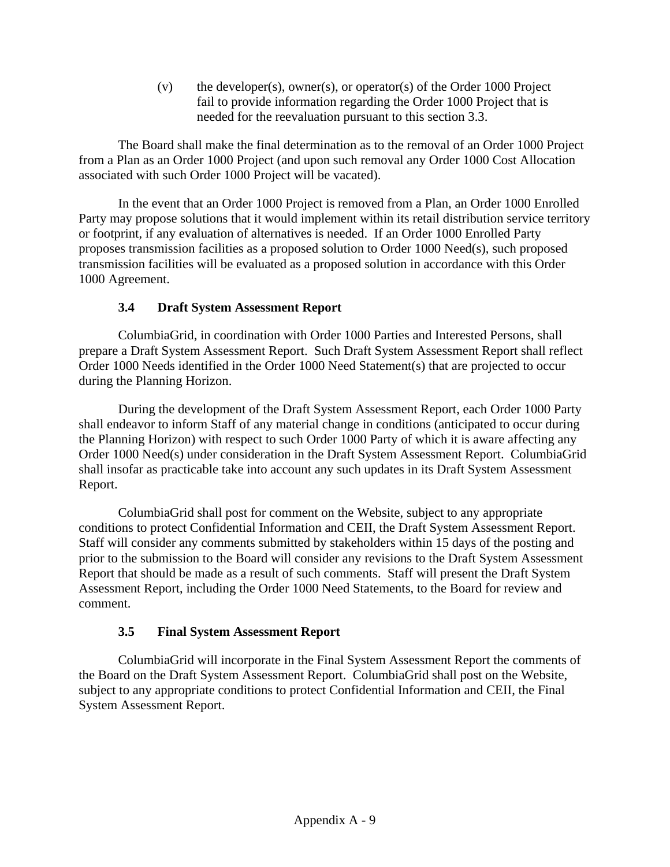(v) the developer(s), owner(s), or operator(s) of the Order 1000 Project fail to provide information regarding the Order 1000 Project that is needed for the reevaluation pursuant to this section 3.3.

The Board shall make the final determination as to the removal of an Order 1000 Project from a Plan as an Order 1000 Project (and upon such removal any Order 1000 Cost Allocation associated with such Order 1000 Project will be vacated).

In the event that an Order 1000 Project is removed from a Plan, an Order 1000 Enrolled Party may propose solutions that it would implement within its retail distribution service territory or footprint, if any evaluation of alternatives is needed. If an Order 1000 Enrolled Party proposes transmission facilities as a proposed solution to Order 1000 Need(s), such proposed transmission facilities will be evaluated as a proposed solution in accordance with this Order 1000 Agreement.

# **3.4 Draft System Assessment Report**

ColumbiaGrid, in coordination with Order 1000 Parties and Interested Persons, shall prepare a Draft System Assessment Report. Such Draft System Assessment Report shall reflect Order 1000 Needs identified in the Order 1000 Need Statement(s) that are projected to occur during the Planning Horizon.

During the development of the Draft System Assessment Report, each Order 1000 Party shall endeavor to inform Staff of any material change in conditions (anticipated to occur during the Planning Horizon) with respect to such Order 1000 Party of which it is aware affecting any Order 1000 Need(s) under consideration in the Draft System Assessment Report. ColumbiaGrid shall insofar as practicable take into account any such updates in its Draft System Assessment Report.

ColumbiaGrid shall post for comment on the Website, subject to any appropriate conditions to protect Confidential Information and CEII, the Draft System Assessment Report. Staff will consider any comments submitted by stakeholders within 15 days of the posting and prior to the submission to the Board will consider any revisions to the Draft System Assessment Report that should be made as a result of such comments. Staff will present the Draft System Assessment Report, including the Order 1000 Need Statements, to the Board for review and comment.

# **3.5 Final System Assessment Report**

ColumbiaGrid will incorporate in the Final System Assessment Report the comments of the Board on the Draft System Assessment Report. ColumbiaGrid shall post on the Website, subject to any appropriate conditions to protect Confidential Information and CEII, the Final System Assessment Report.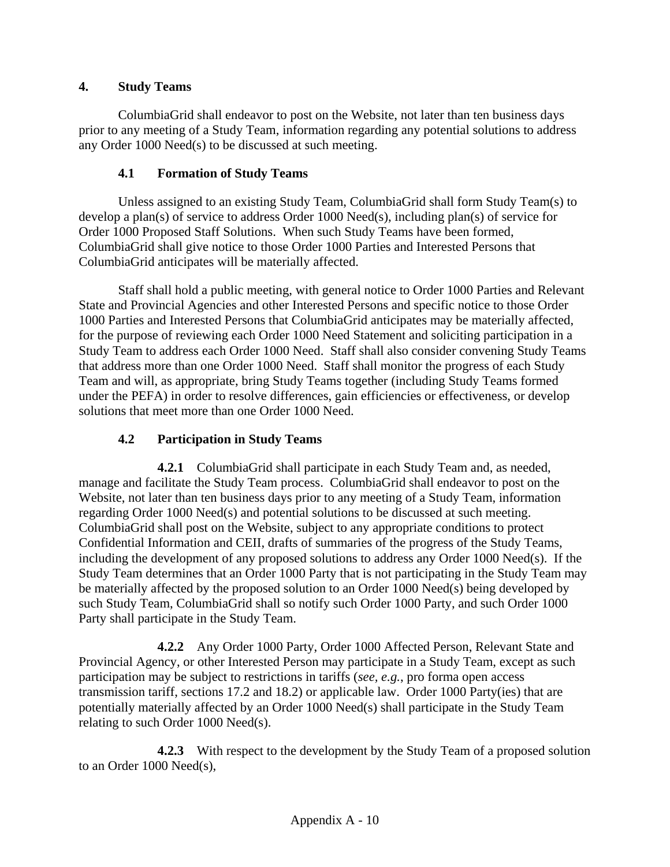# **4. Study Teams**

ColumbiaGrid shall endeavor to post on the Website, not later than ten business days prior to any meeting of a Study Team, information regarding any potential solutions to address any Order 1000 Need(s) to be discussed at such meeting.

# **4.1 Formation of Study Teams**

Unless assigned to an existing Study Team, ColumbiaGrid shall form Study Team(s) to develop a plan(s) of service to address Order 1000 Need(s), including plan(s) of service for Order 1000 Proposed Staff Solutions. When such Study Teams have been formed, ColumbiaGrid shall give notice to those Order 1000 Parties and Interested Persons that ColumbiaGrid anticipates will be materially affected.

Staff shall hold a public meeting, with general notice to Order 1000 Parties and Relevant State and Provincial Agencies and other Interested Persons and specific notice to those Order 1000 Parties and Interested Persons that ColumbiaGrid anticipates may be materially affected, for the purpose of reviewing each Order 1000 Need Statement and soliciting participation in a Study Team to address each Order 1000 Need. Staff shall also consider convening Study Teams that address more than one Order 1000 Need. Staff shall monitor the progress of each Study Team and will, as appropriate, bring Study Teams together (including Study Teams formed under the PEFA) in order to resolve differences, gain efficiencies or effectiveness, or develop solutions that meet more than one Order 1000 Need.

# **4.2 Participation in Study Teams**

**4.2.1** ColumbiaGrid shall participate in each Study Team and, as needed, manage and facilitate the Study Team process. ColumbiaGrid shall endeavor to post on the Website, not later than ten business days prior to any meeting of a Study Team, information regarding Order 1000 Need(s) and potential solutions to be discussed at such meeting. ColumbiaGrid shall post on the Website, subject to any appropriate conditions to protect Confidential Information and CEII, drafts of summaries of the progress of the Study Teams, including the development of any proposed solutions to address any Order 1000 Need(s). If the Study Team determines that an Order 1000 Party that is not participating in the Study Team may be materially affected by the proposed solution to an Order 1000 Need(s) being developed by such Study Team, ColumbiaGrid shall so notify such Order 1000 Party, and such Order 1000 Party shall participate in the Study Team.

**4.2.2** Any Order 1000 Party, Order 1000 Affected Person, Relevant State and Provincial Agency, or other Interested Person may participate in a Study Team, except as such participation may be subject to restrictions in tariffs (*see, e.g.*, pro forma open access transmission tariff, sections 17.2 and 18.2) or applicable law. Order 1000 Party(ies) that are potentially materially affected by an Order 1000 Need(s) shall participate in the Study Team relating to such Order 1000 Need(s).

**4.2.3** With respect to the development by the Study Team of a proposed solution to an Order 1000 Need(s),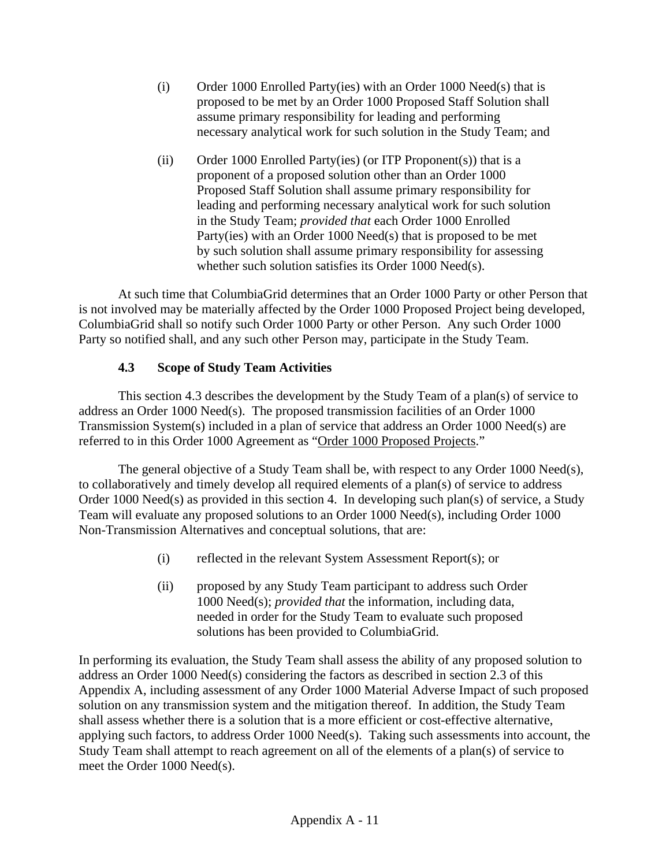- (i) Order 1000 Enrolled Party(ies) with an Order 1000 Need(s) that is proposed to be met by an Order 1000 Proposed Staff Solution shall assume primary responsibility for leading and performing necessary analytical work for such solution in the Study Team; and
- (ii) Order 1000 Enrolled Party(ies) (or ITP Proponent(s)) that is a proponent of a proposed solution other than an Order 1000 Proposed Staff Solution shall assume primary responsibility for leading and performing necessary analytical work for such solution in the Study Team; *provided that* each Order 1000 Enrolled Party(ies) with an Order 1000 Need(s) that is proposed to be met by such solution shall assume primary responsibility for assessing whether such solution satisfies its Order 1000 Need(s).

At such time that ColumbiaGrid determines that an Order 1000 Party or other Person that is not involved may be materially affected by the Order 1000 Proposed Project being developed, ColumbiaGrid shall so notify such Order 1000 Party or other Person. Any such Order 1000 Party so notified shall, and any such other Person may, participate in the Study Team.

## **4.3 Scope of Study Team Activities**

This section 4.3 describes the development by the Study Team of a plan(s) of service to address an Order 1000 Need(s). The proposed transmission facilities of an Order 1000 Transmission System(s) included in a plan of service that address an Order 1000 Need(s) are referred to in this Order 1000 Agreement as "Order 1000 Proposed Projects."

The general objective of a Study Team shall be, with respect to any Order 1000 Need(s), to collaboratively and timely develop all required elements of a plan(s) of service to address Order 1000 Need(s) as provided in this section 4. In developing such plan(s) of service, a Study Team will evaluate any proposed solutions to an Order 1000 Need(s), including Order 1000 Non-Transmission Alternatives and conceptual solutions, that are:

- (i) reflected in the relevant System Assessment Report(s); or
- (ii) proposed by any Study Team participant to address such Order 1000 Need(s); *provided that* the information, including data, needed in order for the Study Team to evaluate such proposed solutions has been provided to ColumbiaGrid.

In performing its evaluation, the Study Team shall assess the ability of any proposed solution to address an Order 1000 Need(s) considering the factors as described in section 2.3 of this Appendix A, including assessment of any Order 1000 Material Adverse Impact of such proposed solution on any transmission system and the mitigation thereof. In addition, the Study Team shall assess whether there is a solution that is a more efficient or cost-effective alternative, applying such factors, to address Order 1000 Need(s). Taking such assessments into account, the Study Team shall attempt to reach agreement on all of the elements of a plan(s) of service to meet the Order 1000 Need(s).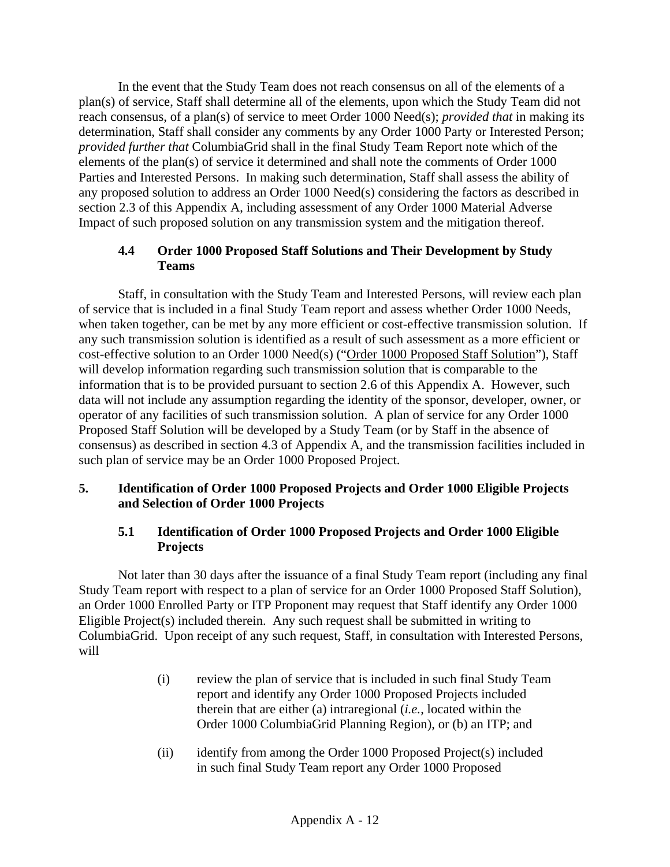In the event that the Study Team does not reach consensus on all of the elements of a plan(s) of service, Staff shall determine all of the elements, upon which the Study Team did not reach consensus, of a plan(s) of service to meet Order 1000 Need(s); *provided that* in making its determination, Staff shall consider any comments by any Order 1000 Party or Interested Person; *provided further that* ColumbiaGrid shall in the final Study Team Report note which of the elements of the plan(s) of service it determined and shall note the comments of Order 1000 Parties and Interested Persons. In making such determination, Staff shall assess the ability of any proposed solution to address an Order 1000 Need(s) considering the factors as described in section 2.3 of this Appendix A, including assessment of any Order 1000 Material Adverse Impact of such proposed solution on any transmission system and the mitigation thereof.

## **4.4 Order 1000 Proposed Staff Solutions and Their Development by Study Teams**

Staff, in consultation with the Study Team and Interested Persons, will review each plan of service that is included in a final Study Team report and assess whether Order 1000 Needs, when taken together, can be met by any more efficient or cost-effective transmission solution. If any such transmission solution is identified as a result of such assessment as a more efficient or cost-effective solution to an Order 1000 Need(s) ("Order 1000 Proposed Staff Solution"), Staff will develop information regarding such transmission solution that is comparable to the information that is to be provided pursuant to section 2.6 of this Appendix A. However, such data will not include any assumption regarding the identity of the sponsor, developer, owner, or operator of any facilities of such transmission solution. A plan of service for any Order 1000 Proposed Staff Solution will be developed by a Study Team (or by Staff in the absence of consensus) as described in section 4.3 of Appendix A, and the transmission facilities included in such plan of service may be an Order 1000 Proposed Project.

## **5. Identification of Order 1000 Proposed Projects and Order 1000 Eligible Projects and Selection of Order 1000 Projects**

## **5.1 Identification of Order 1000 Proposed Projects and Order 1000 Eligible Projects**

Not later than 30 days after the issuance of a final Study Team report (including any final Study Team report with respect to a plan of service for an Order 1000 Proposed Staff Solution), an Order 1000 Enrolled Party or ITP Proponent may request that Staff identify any Order 1000 Eligible Project(s) included therein. Any such request shall be submitted in writing to ColumbiaGrid. Upon receipt of any such request, Staff, in consultation with Interested Persons, will

- (i) review the plan of service that is included in such final Study Team report and identify any Order 1000 Proposed Projects included therein that are either (a) intraregional (*i.e.*, located within the Order 1000 ColumbiaGrid Planning Region), or (b) an ITP; and
- (ii) identify from among the Order 1000 Proposed Project(s) included in such final Study Team report any Order 1000 Proposed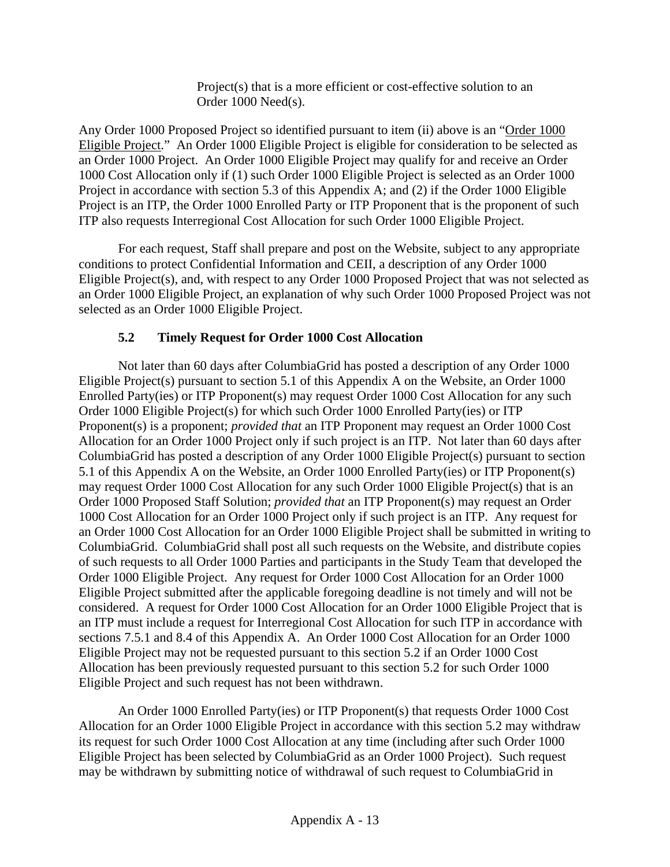Project(s) that is a more efficient or cost-effective solution to an Order 1000 Need(s).

Any Order 1000 Proposed Project so identified pursuant to item (ii) above is an "Order 1000 Eligible Project." An Order 1000 Eligible Project is eligible for consideration to be selected as an Order 1000 Project. An Order 1000 Eligible Project may qualify for and receive an Order 1000 Cost Allocation only if (1) such Order 1000 Eligible Project is selected as an Order 1000 Project in accordance with section 5.3 of this Appendix A; and (2) if the Order 1000 Eligible Project is an ITP, the Order 1000 Enrolled Party or ITP Proponent that is the proponent of such ITP also requests Interregional Cost Allocation for such Order 1000 Eligible Project.

For each request, Staff shall prepare and post on the Website, subject to any appropriate conditions to protect Confidential Information and CEII, a description of any Order 1000 Eligible Project(s), and, with respect to any Order 1000 Proposed Project that was not selected as an Order 1000 Eligible Project, an explanation of why such Order 1000 Proposed Project was not selected as an Order 1000 Eligible Project.

# **5.2 Timely Request for Order 1000 Cost Allocation**

Not later than 60 days after ColumbiaGrid has posted a description of any Order 1000 Eligible Project(s) pursuant to section 5.1 of this Appendix A on the Website, an Order 1000 Enrolled Party(ies) or ITP Proponent(s) may request Order 1000 Cost Allocation for any such Order 1000 Eligible Project(s) for which such Order 1000 Enrolled Party(ies) or ITP Proponent(s) is a proponent; *provided that* an ITP Proponent may request an Order 1000 Cost Allocation for an Order 1000 Project only if such project is an ITP. Not later than 60 days after ColumbiaGrid has posted a description of any Order 1000 Eligible Project(s) pursuant to section 5.1 of this Appendix A on the Website, an Order 1000 Enrolled Party(ies) or ITP Proponent(s) may request Order 1000 Cost Allocation for any such Order 1000 Eligible Project(s) that is an Order 1000 Proposed Staff Solution; *provided that* an ITP Proponent(s) may request an Order 1000 Cost Allocation for an Order 1000 Project only if such project is an ITP. Any request for an Order 1000 Cost Allocation for an Order 1000 Eligible Project shall be submitted in writing to ColumbiaGrid. ColumbiaGrid shall post all such requests on the Website, and distribute copies of such requests to all Order 1000 Parties and participants in the Study Team that developed the Order 1000 Eligible Project. Any request for Order 1000 Cost Allocation for an Order 1000 Eligible Project submitted after the applicable foregoing deadline is not timely and will not be considered. A request for Order 1000 Cost Allocation for an Order 1000 Eligible Project that is an ITP must include a request for Interregional Cost Allocation for such ITP in accordance with sections 7.5.1 and 8.4 of this Appendix A. An Order 1000 Cost Allocation for an Order 1000 Eligible Project may not be requested pursuant to this section 5.2 if an Order 1000 Cost Allocation has been previously requested pursuant to this section 5.2 for such Order 1000 Eligible Project and such request has not been withdrawn.

An Order 1000 Enrolled Party(ies) or ITP Proponent(s) that requests Order 1000 Cost Allocation for an Order 1000 Eligible Project in accordance with this section 5.2 may withdraw its request for such Order 1000 Cost Allocation at any time (including after such Order 1000 Eligible Project has been selected by ColumbiaGrid as an Order 1000 Project). Such request may be withdrawn by submitting notice of withdrawal of such request to ColumbiaGrid in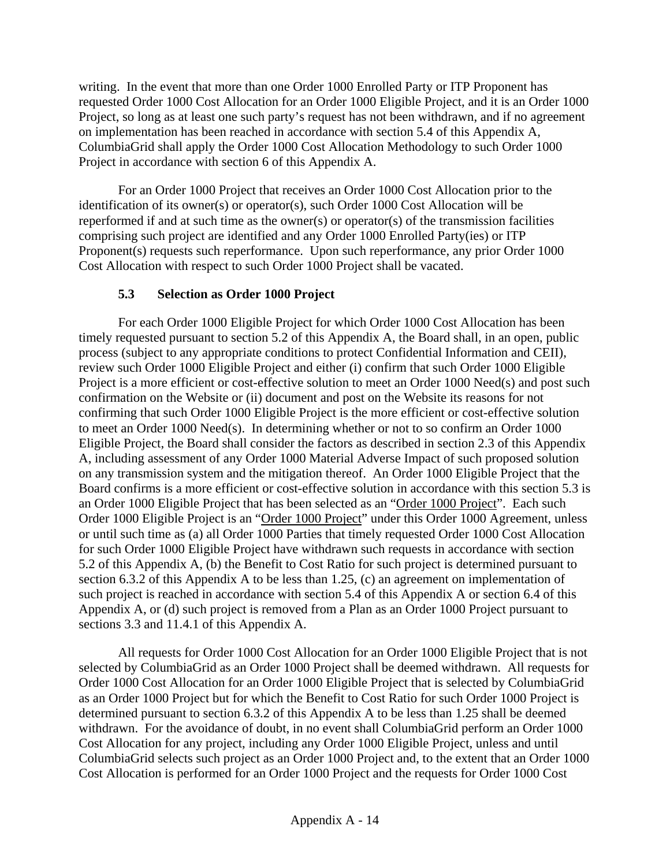writing. In the event that more than one Order 1000 Enrolled Party or ITP Proponent has requested Order 1000 Cost Allocation for an Order 1000 Eligible Project, and it is an Order 1000 Project, so long as at least one such party's request has not been withdrawn, and if no agreement on implementation has been reached in accordance with section 5.4 of this Appendix A, ColumbiaGrid shall apply the Order 1000 Cost Allocation Methodology to such Order 1000 Project in accordance with section 6 of this Appendix A.

For an Order 1000 Project that receives an Order 1000 Cost Allocation prior to the identification of its owner(s) or operator(s), such Order 1000 Cost Allocation will be reperformed if and at such time as the owner(s) or operator(s) of the transmission facilities comprising such project are identified and any Order 1000 Enrolled Party(ies) or ITP Proponent(s) requests such reperformance. Upon such reperformance, any prior Order 1000 Cost Allocation with respect to such Order 1000 Project shall be vacated.

# **5.3 Selection as Order 1000 Project**

For each Order 1000 Eligible Project for which Order 1000 Cost Allocation has been timely requested pursuant to section 5.2 of this Appendix A, the Board shall, in an open, public process (subject to any appropriate conditions to protect Confidential Information and CEII), review such Order 1000 Eligible Project and either (i) confirm that such Order 1000 Eligible Project is a more efficient or cost-effective solution to meet an Order 1000 Need(s) and post such confirmation on the Website or (ii) document and post on the Website its reasons for not confirming that such Order 1000 Eligible Project is the more efficient or cost-effective solution to meet an Order 1000 Need(s). In determining whether or not to so confirm an Order 1000 Eligible Project, the Board shall consider the factors as described in section 2.3 of this Appendix A, including assessment of any Order 1000 Material Adverse Impact of such proposed solution on any transmission system and the mitigation thereof. An Order 1000 Eligible Project that the Board confirms is a more efficient or cost-effective solution in accordance with this section 5.3 is an Order 1000 Eligible Project that has been selected as an "Order 1000 Project". Each such Order 1000 Eligible Project is an "Order 1000 Project" under this Order 1000 Agreement, unless or until such time as (a) all Order 1000 Parties that timely requested Order 1000 Cost Allocation for such Order 1000 Eligible Project have withdrawn such requests in accordance with section 5.2 of this Appendix A, (b) the Benefit to Cost Ratio for such project is determined pursuant to section 6.3.2 of this Appendix A to be less than 1.25, (c) an agreement on implementation of such project is reached in accordance with section 5.4 of this Appendix A or section 6.4 of this Appendix A, or (d) such project is removed from a Plan as an Order 1000 Project pursuant to sections 3.3 and 11.4.1 of this Appendix A.

All requests for Order 1000 Cost Allocation for an Order 1000 Eligible Project that is not selected by ColumbiaGrid as an Order 1000 Project shall be deemed withdrawn. All requests for Order 1000 Cost Allocation for an Order 1000 Eligible Project that is selected by ColumbiaGrid as an Order 1000 Project but for which the Benefit to Cost Ratio for such Order 1000 Project is determined pursuant to section 6.3.2 of this Appendix A to be less than 1.25 shall be deemed withdrawn. For the avoidance of doubt, in no event shall ColumbiaGrid perform an Order 1000 Cost Allocation for any project, including any Order 1000 Eligible Project, unless and until ColumbiaGrid selects such project as an Order 1000 Project and, to the extent that an Order 1000 Cost Allocation is performed for an Order 1000 Project and the requests for Order 1000 Cost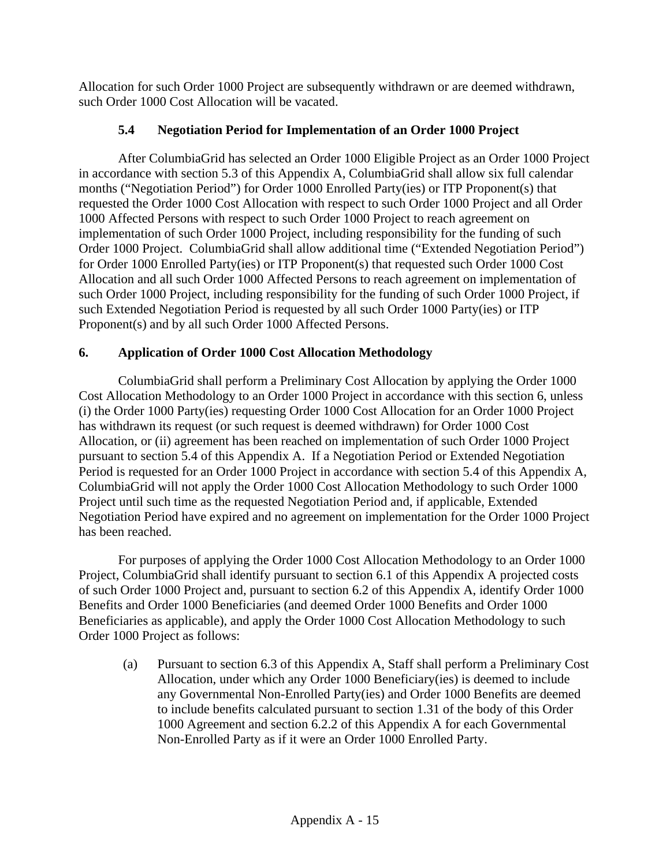Allocation for such Order 1000 Project are subsequently withdrawn or are deemed withdrawn, such Order 1000 Cost Allocation will be vacated.

# **5.4 Negotiation Period for Implementation of an Order 1000 Project**

After ColumbiaGrid has selected an Order 1000 Eligible Project as an Order 1000 Project in accordance with section 5.3 of this Appendix A, ColumbiaGrid shall allow six full calendar months ("Negotiation Period") for Order 1000 Enrolled Party(ies) or ITP Proponent(s) that requested the Order 1000 Cost Allocation with respect to such Order 1000 Project and all Order 1000 Affected Persons with respect to such Order 1000 Project to reach agreement on implementation of such Order 1000 Project, including responsibility for the funding of such Order 1000 Project. ColumbiaGrid shall allow additional time ("Extended Negotiation Period") for Order 1000 Enrolled Party(ies) or ITP Proponent(s) that requested such Order 1000 Cost Allocation and all such Order 1000 Affected Persons to reach agreement on implementation of such Order 1000 Project, including responsibility for the funding of such Order 1000 Project, if such Extended Negotiation Period is requested by all such Order 1000 Party(ies) or ITP Proponent(s) and by all such Order 1000 Affected Persons.

# **6. Application of Order 1000 Cost Allocation Methodology**

ColumbiaGrid shall perform a Preliminary Cost Allocation by applying the Order 1000 Cost Allocation Methodology to an Order 1000 Project in accordance with this section 6, unless (i) the Order 1000 Party(ies) requesting Order 1000 Cost Allocation for an Order 1000 Project has withdrawn its request (or such request is deemed withdrawn) for Order 1000 Cost Allocation, or (ii) agreement has been reached on implementation of such Order 1000 Project pursuant to section 5.4 of this Appendix A. If a Negotiation Period or Extended Negotiation Period is requested for an Order 1000 Project in accordance with section 5.4 of this Appendix A, ColumbiaGrid will not apply the Order 1000 Cost Allocation Methodology to such Order 1000 Project until such time as the requested Negotiation Period and, if applicable, Extended Negotiation Period have expired and no agreement on implementation for the Order 1000 Project has been reached.

For purposes of applying the Order 1000 Cost Allocation Methodology to an Order 1000 Project, ColumbiaGrid shall identify pursuant to section 6.1 of this Appendix A projected costs of such Order 1000 Project and, pursuant to section 6.2 of this Appendix A, identify Order 1000 Benefits and Order 1000 Beneficiaries (and deemed Order 1000 Benefits and Order 1000 Beneficiaries as applicable), and apply the Order 1000 Cost Allocation Methodology to such Order 1000 Project as follows:

(a) Pursuant to section 6.3 of this Appendix A, Staff shall perform a Preliminary Cost Allocation, under which any Order 1000 Beneficiary(ies) is deemed to include any Governmental Non-Enrolled Party(ies) and Order 1000 Benefits are deemed to include benefits calculated pursuant to section 1.31 of the body of this Order 1000 Agreement and section 6.2.2 of this Appendix A for each Governmental Non-Enrolled Party as if it were an Order 1000 Enrolled Party.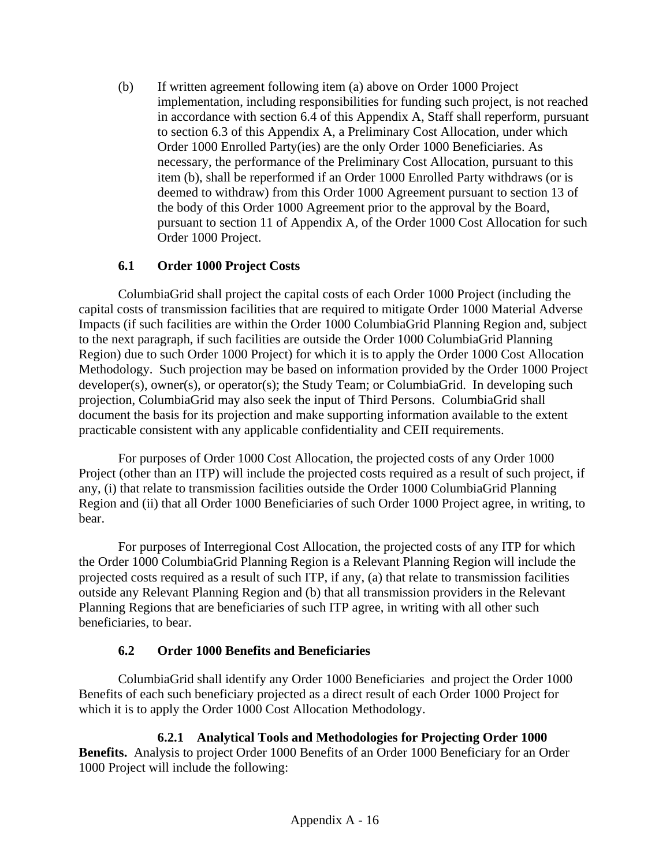(b) If written agreement following item (a) above on Order 1000 Project implementation, including responsibilities for funding such project, is not reached in accordance with section 6.4 of this Appendix A, Staff shall reperform, pursuant to section 6.3 of this Appendix A, a Preliminary Cost Allocation, under which Order 1000 Enrolled Party(ies) are the only Order 1000 Beneficiaries. As necessary, the performance of the Preliminary Cost Allocation, pursuant to this item (b), shall be reperformed if an Order 1000 Enrolled Party withdraws (or is deemed to withdraw) from this Order 1000 Agreement pursuant to section 13 of the body of this Order 1000 Agreement prior to the approval by the Board, pursuant to section 11 of Appendix A, of the Order 1000 Cost Allocation for such Order 1000 Project.

# **6.1 Order 1000 Project Costs**

ColumbiaGrid shall project the capital costs of each Order 1000 Project (including the capital costs of transmission facilities that are required to mitigate Order 1000 Material Adverse Impacts (if such facilities are within the Order 1000 ColumbiaGrid Planning Region and, subject to the next paragraph, if such facilities are outside the Order 1000 ColumbiaGrid Planning Region) due to such Order 1000 Project) for which it is to apply the Order 1000 Cost Allocation Methodology. Such projection may be based on information provided by the Order 1000 Project developer(s), owner(s), or operator(s); the Study Team; or ColumbiaGrid. In developing such projection, ColumbiaGrid may also seek the input of Third Persons. ColumbiaGrid shall document the basis for its projection and make supporting information available to the extent practicable consistent with any applicable confidentiality and CEII requirements.

For purposes of Order 1000 Cost Allocation, the projected costs of any Order 1000 Project (other than an ITP) will include the projected costs required as a result of such project, if any, (i) that relate to transmission facilities outside the Order 1000 ColumbiaGrid Planning Region and (ii) that all Order 1000 Beneficiaries of such Order 1000 Project agree, in writing, to bear.

For purposes of Interregional Cost Allocation, the projected costs of any ITP for which the Order 1000 ColumbiaGrid Planning Region is a Relevant Planning Region will include the projected costs required as a result of such ITP, if any, (a) that relate to transmission facilities outside any Relevant Planning Region and (b) that all transmission providers in the Relevant Planning Regions that are beneficiaries of such ITP agree, in writing with all other such beneficiaries, to bear.

# **6.2 Order 1000 Benefits and Beneficiaries**

ColumbiaGrid shall identify any Order 1000 Beneficiaries and project the Order 1000 Benefits of each such beneficiary projected as a direct result of each Order 1000 Project for which it is to apply the Order 1000 Cost Allocation Methodology.

**6.2.1 Analytical Tools and Methodologies for Projecting Order 1000 Benefits.** Analysis to project Order 1000 Benefits of an Order 1000 Beneficiary for an Order 1000 Project will include the following: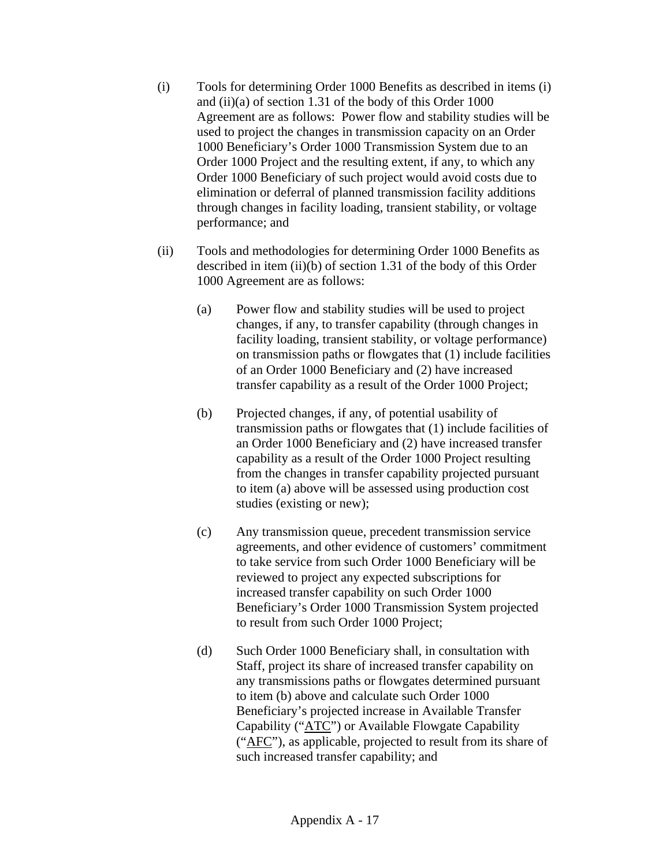- (i) Tools for determining Order 1000 Benefits as described in items (i) and (ii)(a) of section 1.31 of the body of this Order 1000 Agreement are as follows: Power flow and stability studies will be used to project the changes in transmission capacity on an Order 1000 Beneficiary's Order 1000 Transmission System due to an Order 1000 Project and the resulting extent, if any, to which any Order 1000 Beneficiary of such project would avoid costs due to elimination or deferral of planned transmission facility additions through changes in facility loading, transient stability, or voltage performance; and
- (ii) Tools and methodologies for determining Order 1000 Benefits as described in item (ii)(b) of section 1.31 of the body of this Order 1000 Agreement are as follows:
	- (a) Power flow and stability studies will be used to project changes, if any, to transfer capability (through changes in facility loading, transient stability, or voltage performance) on transmission paths or flowgates that (1) include facilities of an Order 1000 Beneficiary and (2) have increased transfer capability as a result of the Order 1000 Project;
	- (b) Projected changes, if any, of potential usability of transmission paths or flowgates that (1) include facilities of an Order 1000 Beneficiary and (2) have increased transfer capability as a result of the Order 1000 Project resulting from the changes in transfer capability projected pursuant to item (a) above will be assessed using production cost studies (existing or new);
	- (c) Any transmission queue, precedent transmission service agreements, and other evidence of customers' commitment to take service from such Order 1000 Beneficiary will be reviewed to project any expected subscriptions for increased transfer capability on such Order 1000 Beneficiary's Order 1000 Transmission System projected to result from such Order 1000 Project;
	- (d) Such Order 1000 Beneficiary shall, in consultation with Staff, project its share of increased transfer capability on any transmissions paths or flowgates determined pursuant to item (b) above and calculate such Order 1000 Beneficiary's projected increase in Available Transfer Capability ("ATC") or Available Flowgate Capability ("AFC"), as applicable, projected to result from its share of such increased transfer capability; and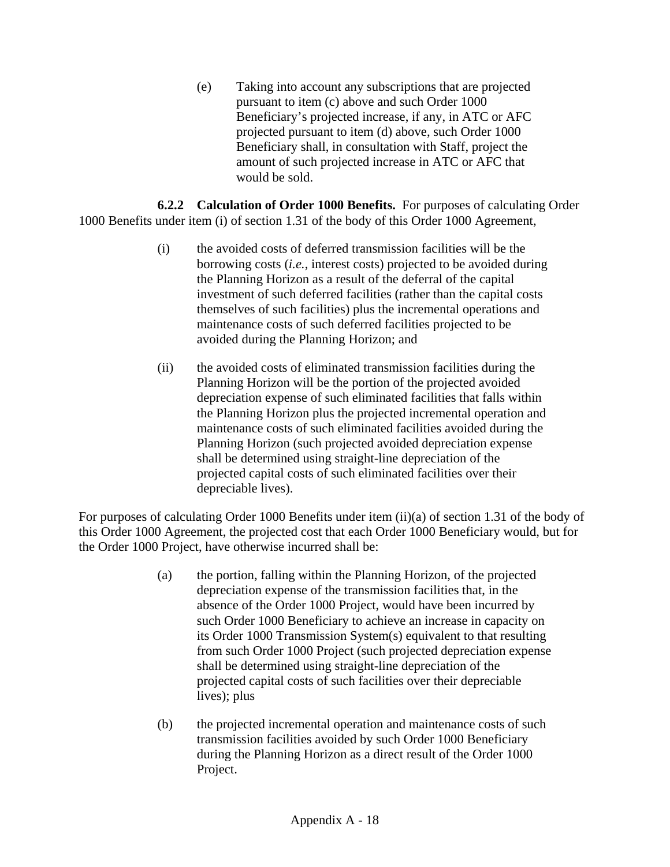(e) Taking into account any subscriptions that are projected pursuant to item (c) above and such Order 1000 Beneficiary's projected increase, if any, in ATC or AFC projected pursuant to item (d) above, such Order 1000 Beneficiary shall, in consultation with Staff, project the amount of such projected increase in ATC or AFC that would be sold.

**6.2.2 Calculation of Order 1000 Benefits.** For purposes of calculating Order 1000 Benefits under item (i) of section 1.31 of the body of this Order 1000 Agreement,

- (i) the avoided costs of deferred transmission facilities will be the borrowing costs (*i.e.*, interest costs) projected to be avoided during the Planning Horizon as a result of the deferral of the capital investment of such deferred facilities (rather than the capital costs themselves of such facilities) plus the incremental operations and maintenance costs of such deferred facilities projected to be avoided during the Planning Horizon; and
- (ii) the avoided costs of eliminated transmission facilities during the Planning Horizon will be the portion of the projected avoided depreciation expense of such eliminated facilities that falls within the Planning Horizon plus the projected incremental operation and maintenance costs of such eliminated facilities avoided during the Planning Horizon (such projected avoided depreciation expense shall be determined using straight-line depreciation of the projected capital costs of such eliminated facilities over their depreciable lives).

For purposes of calculating Order 1000 Benefits under item (ii)(a) of section 1.31 of the body of this Order 1000 Agreement, the projected cost that each Order 1000 Beneficiary would, but for the Order 1000 Project, have otherwise incurred shall be:

- (a) the portion, falling within the Planning Horizon, of the projected depreciation expense of the transmission facilities that, in the absence of the Order 1000 Project, would have been incurred by such Order 1000 Beneficiary to achieve an increase in capacity on its Order 1000 Transmission System(s) equivalent to that resulting from such Order 1000 Project (such projected depreciation expense shall be determined using straight-line depreciation of the projected capital costs of such facilities over their depreciable lives); plus
- (b) the projected incremental operation and maintenance costs of such transmission facilities avoided by such Order 1000 Beneficiary during the Planning Horizon as a direct result of the Order 1000 Project.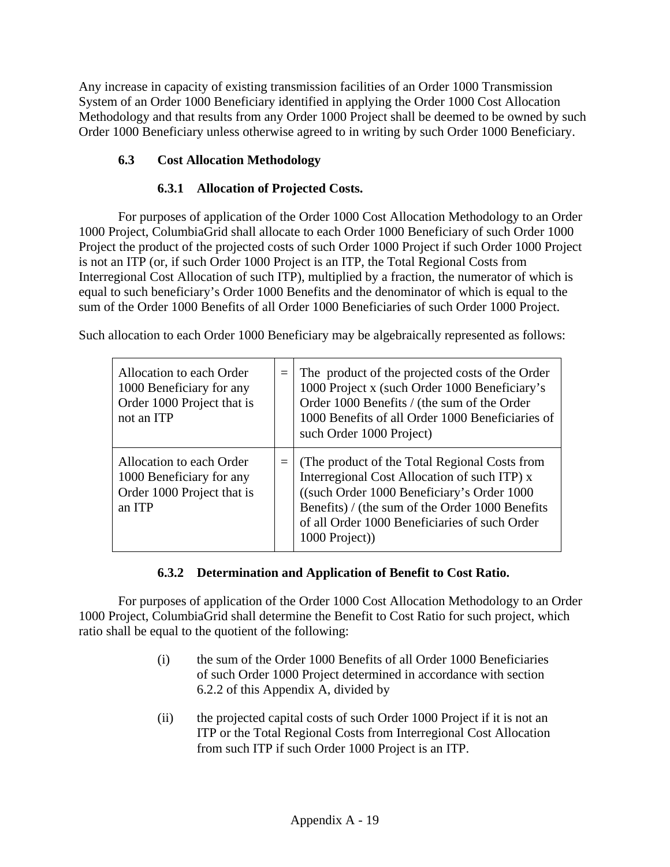Any increase in capacity of existing transmission facilities of an Order 1000 Transmission System of an Order 1000 Beneficiary identified in applying the Order 1000 Cost Allocation Methodology and that results from any Order 1000 Project shall be deemed to be owned by such Order 1000 Beneficiary unless otherwise agreed to in writing by such Order 1000 Beneficiary.

# **6.3 Cost Allocation Methodology**

# **6.3.1 Allocation of Projected Costs.**

For purposes of application of the Order 1000 Cost Allocation Methodology to an Order 1000 Project, ColumbiaGrid shall allocate to each Order 1000 Beneficiary of such Order 1000 Project the product of the projected costs of such Order 1000 Project if such Order 1000 Project is not an ITP (or, if such Order 1000 Project is an ITP, the Total Regional Costs from Interregional Cost Allocation of such ITP), multiplied by a fraction, the numerator of which is equal to such beneficiary's Order 1000 Benefits and the denominator of which is equal to the sum of the Order 1000 Benefits of all Order 1000 Beneficiaries of such Order 1000 Project.

Such allocation to each Order 1000 Beneficiary may be algebraically represented as follows:

| Allocation to each Order<br>1000 Beneficiary for any<br>Order 1000 Project that is<br>not an ITP | $=$ | The product of the projected costs of the Order<br>1000 Project x (such Order 1000 Beneficiary's<br>Order 1000 Benefits / (the sum of the Order<br>1000 Benefits of all Order 1000 Beneficiaries of<br>such Order 1000 Project)                                       |
|--------------------------------------------------------------------------------------------------|-----|-----------------------------------------------------------------------------------------------------------------------------------------------------------------------------------------------------------------------------------------------------------------------|
| Allocation to each Order<br>1000 Beneficiary for any<br>Order 1000 Project that is<br>an ITP     |     | $=$ (The product of the Total Regional Costs from<br>Interregional Cost Allocation of such ITP) x<br>((such Order 1000 Beneficiary's Order 1000)<br>Benefits) / (the sum of the Order 1000 Benefits<br>of all Order 1000 Beneficiaries of such Order<br>1000 Project) |

# **6.3.2 Determination and Application of Benefit to Cost Ratio.**

For purposes of application of the Order 1000 Cost Allocation Methodology to an Order 1000 Project, ColumbiaGrid shall determine the Benefit to Cost Ratio for such project, which ratio shall be equal to the quotient of the following:

- (i) the sum of the Order 1000 Benefits of all Order 1000 Beneficiaries of such Order 1000 Project determined in accordance with section 6.2.2 of this Appendix A, divided by
- (ii) the projected capital costs of such Order 1000 Project if it is not an ITP or the Total Regional Costs from Interregional Cost Allocation from such ITP if such Order 1000 Project is an ITP.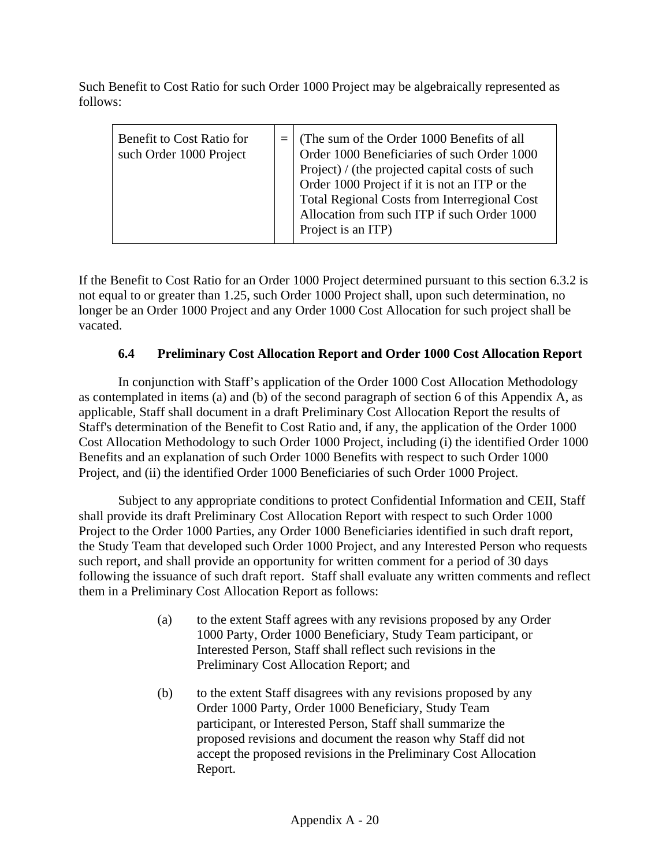Such Benefit to Cost Ratio for such Order 1000 Project may be algebraically represented as follows:

| Benefit to Cost Ratio for<br>such Order 1000 Project |  | (The sum of the Order 1000 Benefits of all<br>Order 1000 Beneficiaries of such Order 1000<br>Project) / (the projected capital costs of such<br>Order 1000 Project if it is not an ITP or the<br>Total Regional Costs from Interregional Cost<br>Allocation from such ITP if such Order 1000<br>Project is an ITP) |
|------------------------------------------------------|--|--------------------------------------------------------------------------------------------------------------------------------------------------------------------------------------------------------------------------------------------------------------------------------------------------------------------|
|------------------------------------------------------|--|--------------------------------------------------------------------------------------------------------------------------------------------------------------------------------------------------------------------------------------------------------------------------------------------------------------------|

If the Benefit to Cost Ratio for an Order 1000 Project determined pursuant to this section 6.3.2 is not equal to or greater than 1.25, such Order 1000 Project shall, upon such determination, no longer be an Order 1000 Project and any Order 1000 Cost Allocation for such project shall be vacated.

## **6.4 Preliminary Cost Allocation Report and Order 1000 Cost Allocation Report**

In conjunction with Staff's application of the Order 1000 Cost Allocation Methodology as contemplated in items (a) and (b) of the second paragraph of section 6 of this Appendix A, as applicable, Staff shall document in a draft Preliminary Cost Allocation Report the results of Staff's determination of the Benefit to Cost Ratio and, if any, the application of the Order 1000 Cost Allocation Methodology to such Order 1000 Project, including (i) the identified Order 1000 Benefits and an explanation of such Order 1000 Benefits with respect to such Order 1000 Project, and (ii) the identified Order 1000 Beneficiaries of such Order 1000 Project.

Subject to any appropriate conditions to protect Confidential Information and CEII, Staff shall provide its draft Preliminary Cost Allocation Report with respect to such Order 1000 Project to the Order 1000 Parties, any Order 1000 Beneficiaries identified in such draft report, the Study Team that developed such Order 1000 Project, and any Interested Person who requests such report, and shall provide an opportunity for written comment for a period of 30 days following the issuance of such draft report. Staff shall evaluate any written comments and reflect them in a Preliminary Cost Allocation Report as follows:

- (a) to the extent Staff agrees with any revisions proposed by any Order 1000 Party, Order 1000 Beneficiary, Study Team participant, or Interested Person, Staff shall reflect such revisions in the Preliminary Cost Allocation Report; and
- (b) to the extent Staff disagrees with any revisions proposed by any Order 1000 Party, Order 1000 Beneficiary, Study Team participant, or Interested Person, Staff shall summarize the proposed revisions and document the reason why Staff did not accept the proposed revisions in the Preliminary Cost Allocation Report.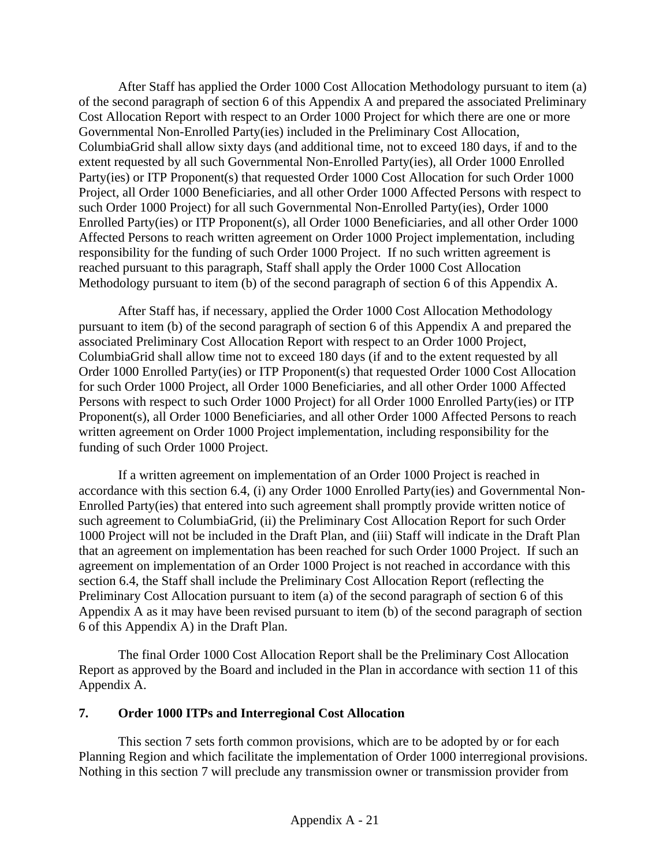After Staff has applied the Order 1000 Cost Allocation Methodology pursuant to item (a) of the second paragraph of section 6 of this Appendix A and prepared the associated Preliminary Cost Allocation Report with respect to an Order 1000 Project for which there are one or more Governmental Non-Enrolled Party(ies) included in the Preliminary Cost Allocation, ColumbiaGrid shall allow sixty days (and additional time, not to exceed 180 days, if and to the extent requested by all such Governmental Non-Enrolled Party(ies), all Order 1000 Enrolled Party(ies) or ITP Proponent(s) that requested Order 1000 Cost Allocation for such Order 1000 Project, all Order 1000 Beneficiaries, and all other Order 1000 Affected Persons with respect to such Order 1000 Project) for all such Governmental Non-Enrolled Party(ies), Order 1000 Enrolled Party(ies) or ITP Proponent(s), all Order 1000 Beneficiaries, and all other Order 1000 Affected Persons to reach written agreement on Order 1000 Project implementation, including responsibility for the funding of such Order 1000 Project. If no such written agreement is reached pursuant to this paragraph, Staff shall apply the Order 1000 Cost Allocation Methodology pursuant to item (b) of the second paragraph of section 6 of this Appendix A.

After Staff has, if necessary, applied the Order 1000 Cost Allocation Methodology pursuant to item (b) of the second paragraph of section 6 of this Appendix A and prepared the associated Preliminary Cost Allocation Report with respect to an Order 1000 Project, ColumbiaGrid shall allow time not to exceed 180 days (if and to the extent requested by all Order 1000 Enrolled Party(ies) or ITP Proponent(s) that requested Order 1000 Cost Allocation for such Order 1000 Project, all Order 1000 Beneficiaries, and all other Order 1000 Affected Persons with respect to such Order 1000 Project) for all Order 1000 Enrolled Party(ies) or ITP Proponent(s), all Order 1000 Beneficiaries, and all other Order 1000 Affected Persons to reach written agreement on Order 1000 Project implementation, including responsibility for the funding of such Order 1000 Project.

If a written agreement on implementation of an Order 1000 Project is reached in accordance with this section 6.4, (i) any Order 1000 Enrolled Party(ies) and Governmental Non-Enrolled Party(ies) that entered into such agreement shall promptly provide written notice of such agreement to ColumbiaGrid, (ii) the Preliminary Cost Allocation Report for such Order 1000 Project will not be included in the Draft Plan, and (iii) Staff will indicate in the Draft Plan that an agreement on implementation has been reached for such Order 1000 Project. If such an agreement on implementation of an Order 1000 Project is not reached in accordance with this section 6.4, the Staff shall include the Preliminary Cost Allocation Report (reflecting the Preliminary Cost Allocation pursuant to item (a) of the second paragraph of section 6 of this Appendix A as it may have been revised pursuant to item (b) of the second paragraph of section 6 of this Appendix A) in the Draft Plan.

The final Order 1000 Cost Allocation Report shall be the Preliminary Cost Allocation Report as approved by the Board and included in the Plan in accordance with section 11 of this Appendix A.

### **7. Order 1000 ITPs and Interregional Cost Allocation**

This section 7 sets forth common provisions, which are to be adopted by or for each Planning Region and which facilitate the implementation of Order 1000 interregional provisions. Nothing in this section 7 will preclude any transmission owner or transmission provider from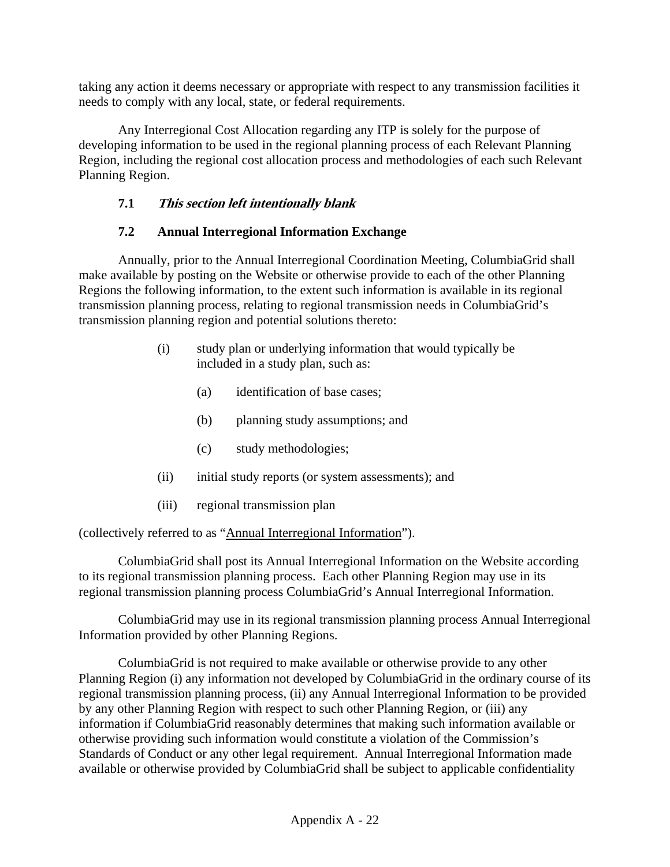taking any action it deems necessary or appropriate with respect to any transmission facilities it needs to comply with any local, state, or federal requirements.

Any Interregional Cost Allocation regarding any ITP is solely for the purpose of developing information to be used in the regional planning process of each Relevant Planning Region, including the regional cost allocation process and methodologies of each such Relevant Planning Region.

## **7.1 This section left intentionally blank**

## **7.2 Annual Interregional Information Exchange**

Annually, prior to the Annual Interregional Coordination Meeting, ColumbiaGrid shall make available by posting on the Website or otherwise provide to each of the other Planning Regions the following information, to the extent such information is available in its regional transmission planning process, relating to regional transmission needs in ColumbiaGrid's transmission planning region and potential solutions thereto:

- (i) study plan or underlying information that would typically be included in a study plan, such as:
	- (a) identification of base cases;
	- (b) planning study assumptions; and
	- (c) study methodologies;
- (ii) initial study reports (or system assessments); and
- (iii) regional transmission plan

(collectively referred to as "Annual Interregional Information").

ColumbiaGrid shall post its Annual Interregional Information on the Website according to its regional transmission planning process. Each other Planning Region may use in its regional transmission planning process ColumbiaGrid's Annual Interregional Information.

ColumbiaGrid may use in its regional transmission planning process Annual Interregional Information provided by other Planning Regions.

ColumbiaGrid is not required to make available or otherwise provide to any other Planning Region (i) any information not developed by ColumbiaGrid in the ordinary course of its regional transmission planning process, (ii) any Annual Interregional Information to be provided by any other Planning Region with respect to such other Planning Region, or (iii) any information if ColumbiaGrid reasonably determines that making such information available or otherwise providing such information would constitute a violation of the Commission's Standards of Conduct or any other legal requirement. Annual Interregional Information made available or otherwise provided by ColumbiaGrid shall be subject to applicable confidentiality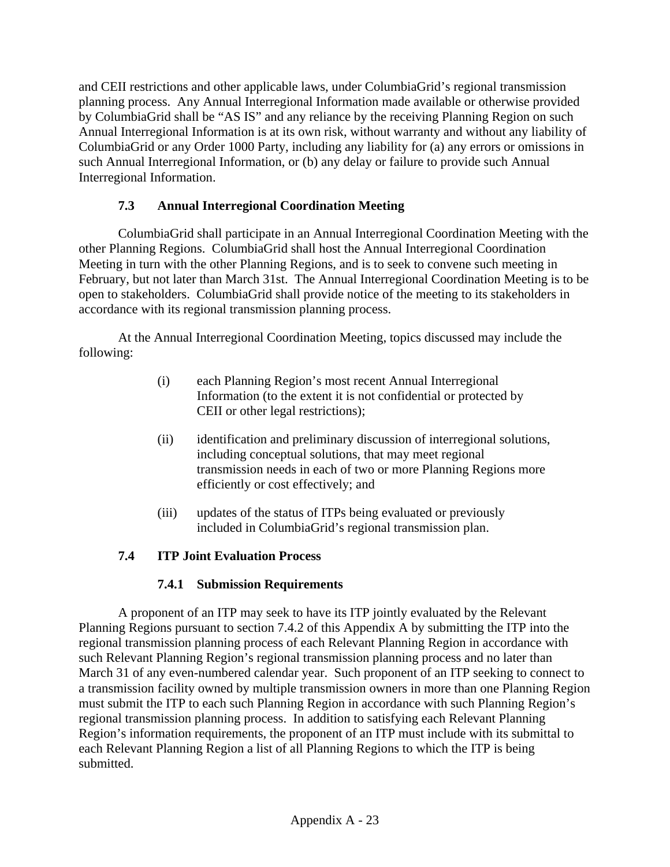and CEII restrictions and other applicable laws, under ColumbiaGrid's regional transmission planning process. Any Annual Interregional Information made available or otherwise provided by ColumbiaGrid shall be "AS IS" and any reliance by the receiving Planning Region on such Annual Interregional Information is at its own risk, without warranty and without any liability of ColumbiaGrid or any Order 1000 Party, including any liability for (a) any errors or omissions in such Annual Interregional Information, or (b) any delay or failure to provide such Annual Interregional Information.

## **7.3 Annual Interregional Coordination Meeting**

ColumbiaGrid shall participate in an Annual Interregional Coordination Meeting with the other Planning Regions. ColumbiaGrid shall host the Annual Interregional Coordination Meeting in turn with the other Planning Regions, and is to seek to convene such meeting in February, but not later than March 31st. The Annual Interregional Coordination Meeting is to be open to stakeholders. ColumbiaGrid shall provide notice of the meeting to its stakeholders in accordance with its regional transmission planning process.

At the Annual Interregional Coordination Meeting, topics discussed may include the following:

- (i) each Planning Region's most recent Annual Interregional Information (to the extent it is not confidential or protected by CEII or other legal restrictions);
- (ii) identification and preliminary discussion of interregional solutions, including conceptual solutions, that may meet regional transmission needs in each of two or more Planning Regions more efficiently or cost effectively; and
- (iii) updates of the status of ITPs being evaluated or previously included in ColumbiaGrid's regional transmission plan.

# **7.4 ITP Joint Evaluation Process**

## **7.4.1 Submission Requirements**

A proponent of an ITP may seek to have its ITP jointly evaluated by the Relevant Planning Regions pursuant to section 7.4.2 of this Appendix A by submitting the ITP into the regional transmission planning process of each Relevant Planning Region in accordance with such Relevant Planning Region's regional transmission planning process and no later than March 31 of any even-numbered calendar year. Such proponent of an ITP seeking to connect to a transmission facility owned by multiple transmission owners in more than one Planning Region must submit the ITP to each such Planning Region in accordance with such Planning Region's regional transmission planning process. In addition to satisfying each Relevant Planning Region's information requirements, the proponent of an ITP must include with its submittal to each Relevant Planning Region a list of all Planning Regions to which the ITP is being submitted.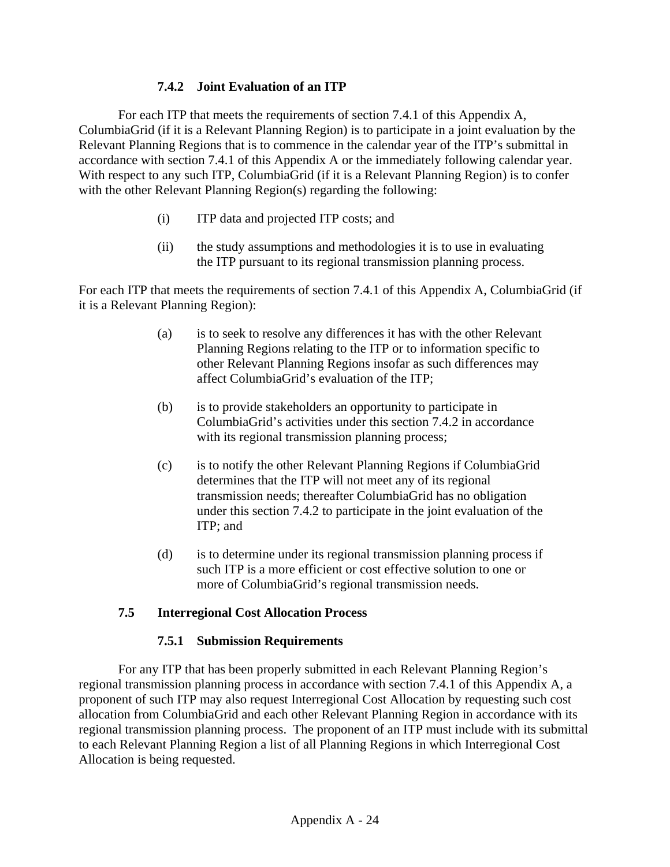### **7.4.2 Joint Evaluation of an ITP**

For each ITP that meets the requirements of section 7.4.1 of this Appendix A, ColumbiaGrid (if it is a Relevant Planning Region) is to participate in a joint evaluation by the Relevant Planning Regions that is to commence in the calendar year of the ITP's submittal in accordance with section 7.4.1 of this Appendix A or the immediately following calendar year. With respect to any such ITP, ColumbiaGrid (if it is a Relevant Planning Region) is to confer with the other Relevant Planning Region(s) regarding the following:

- (i) ITP data and projected ITP costs; and
- (ii) the study assumptions and methodologies it is to use in evaluating the ITP pursuant to its regional transmission planning process.

For each ITP that meets the requirements of section 7.4.1 of this Appendix A, ColumbiaGrid (if it is a Relevant Planning Region):

- (a) is to seek to resolve any differences it has with the other Relevant Planning Regions relating to the ITP or to information specific to other Relevant Planning Regions insofar as such differences may affect ColumbiaGrid's evaluation of the ITP;
- (b) is to provide stakeholders an opportunity to participate in ColumbiaGrid's activities under this section 7.4.2 in accordance with its regional transmission planning process;
- (c) is to notify the other Relevant Planning Regions if ColumbiaGrid determines that the ITP will not meet any of its regional transmission needs; thereafter ColumbiaGrid has no obligation under this section 7.4.2 to participate in the joint evaluation of the ITP; and
- (d) is to determine under its regional transmission planning process if such ITP is a more efficient or cost effective solution to one or more of ColumbiaGrid's regional transmission needs.

#### **7.5 Interregional Cost Allocation Process**

#### **7.5.1 Submission Requirements**

For any ITP that has been properly submitted in each Relevant Planning Region's regional transmission planning process in accordance with section 7.4.1 of this Appendix A, a proponent of such ITP may also request Interregional Cost Allocation by requesting such cost allocation from ColumbiaGrid and each other Relevant Planning Region in accordance with its regional transmission planning process. The proponent of an ITP must include with its submittal to each Relevant Planning Region a list of all Planning Regions in which Interregional Cost Allocation is being requested.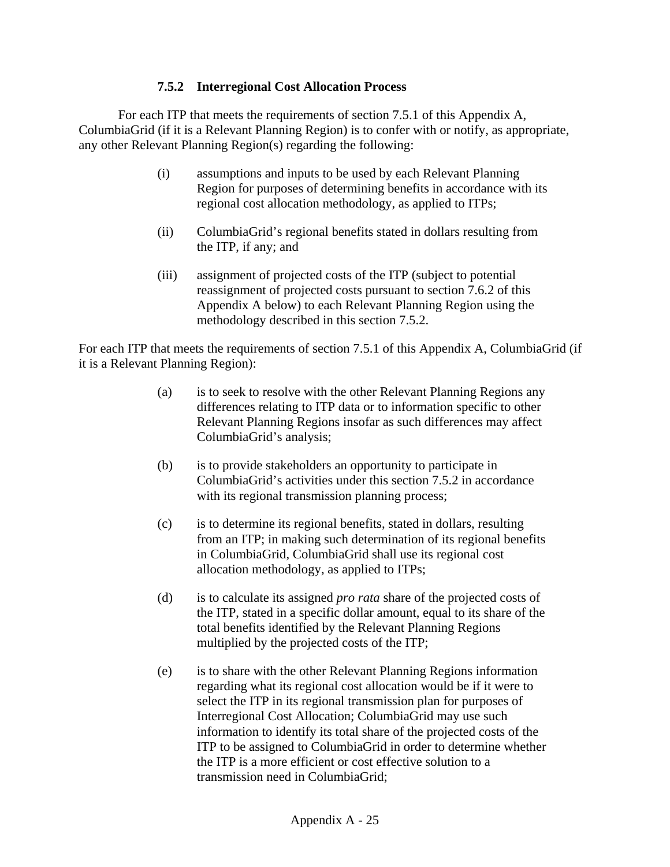#### **7.5.2 Interregional Cost Allocation Process**

For each ITP that meets the requirements of section 7.5.1 of this Appendix A, ColumbiaGrid (if it is a Relevant Planning Region) is to confer with or notify, as appropriate, any other Relevant Planning Region(s) regarding the following:

- (i) assumptions and inputs to be used by each Relevant Planning Region for purposes of determining benefits in accordance with its regional cost allocation methodology, as applied to ITPs;
- (ii) ColumbiaGrid's regional benefits stated in dollars resulting from the ITP, if any; and
- (iii) assignment of projected costs of the ITP (subject to potential reassignment of projected costs pursuant to section 7.6.2 of this Appendix A below) to each Relevant Planning Region using the methodology described in this section 7.5.2.

For each ITP that meets the requirements of section 7.5.1 of this Appendix A, ColumbiaGrid (if it is a Relevant Planning Region):

- (a) is to seek to resolve with the other Relevant Planning Regions any differences relating to ITP data or to information specific to other Relevant Planning Regions insofar as such differences may affect ColumbiaGrid's analysis;
- (b) is to provide stakeholders an opportunity to participate in ColumbiaGrid's activities under this section 7.5.2 in accordance with its regional transmission planning process;
- (c) is to determine its regional benefits, stated in dollars, resulting from an ITP; in making such determination of its regional benefits in ColumbiaGrid, ColumbiaGrid shall use its regional cost allocation methodology, as applied to ITPs;
- (d) is to calculate its assigned *pro rata* share of the projected costs of the ITP, stated in a specific dollar amount, equal to its share of the total benefits identified by the Relevant Planning Regions multiplied by the projected costs of the ITP;
- (e) is to share with the other Relevant Planning Regions information regarding what its regional cost allocation would be if it were to select the ITP in its regional transmission plan for purposes of Interregional Cost Allocation; ColumbiaGrid may use such information to identify its total share of the projected costs of the ITP to be assigned to ColumbiaGrid in order to determine whether the ITP is a more efficient or cost effective solution to a transmission need in ColumbiaGrid;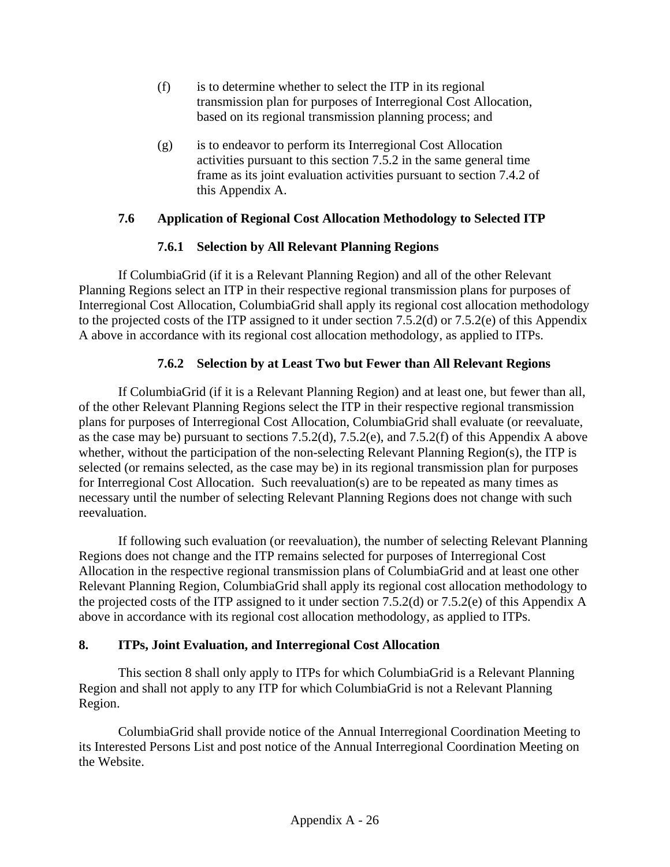- (f) is to determine whether to select the ITP in its regional transmission plan for purposes of Interregional Cost Allocation, based on its regional transmission planning process; and
- (g) is to endeavor to perform its Interregional Cost Allocation activities pursuant to this section 7.5.2 in the same general time frame as its joint evaluation activities pursuant to section 7.4.2 of this Appendix A.

### **7.6 Application of Regional Cost Allocation Methodology to Selected ITP**

### **7.6.1 Selection by All Relevant Planning Regions**

If ColumbiaGrid (if it is a Relevant Planning Region) and all of the other Relevant Planning Regions select an ITP in their respective regional transmission plans for purposes of Interregional Cost Allocation, ColumbiaGrid shall apply its regional cost allocation methodology to the projected costs of the ITP assigned to it under section 7.5.2(d) or 7.5.2(e) of this Appendix A above in accordance with its regional cost allocation methodology, as applied to ITPs.

### **7.6.2 Selection by at Least Two but Fewer than All Relevant Regions**

If ColumbiaGrid (if it is a Relevant Planning Region) and at least one, but fewer than all, of the other Relevant Planning Regions select the ITP in their respective regional transmission plans for purposes of Interregional Cost Allocation, ColumbiaGrid shall evaluate (or reevaluate, as the case may be) pursuant to sections 7.5.2(d), 7.5.2(e), and 7.5.2(f) of this Appendix A above whether, without the participation of the non-selecting Relevant Planning Region(s), the ITP is selected (or remains selected, as the case may be) in its regional transmission plan for purposes for Interregional Cost Allocation. Such reevaluation(s) are to be repeated as many times as necessary until the number of selecting Relevant Planning Regions does not change with such reevaluation.

If following such evaluation (or reevaluation), the number of selecting Relevant Planning Regions does not change and the ITP remains selected for purposes of Interregional Cost Allocation in the respective regional transmission plans of ColumbiaGrid and at least one other Relevant Planning Region, ColumbiaGrid shall apply its regional cost allocation methodology to the projected costs of the ITP assigned to it under section 7.5.2(d) or 7.5.2(e) of this Appendix A above in accordance with its regional cost allocation methodology, as applied to ITPs.

## **8. ITPs, Joint Evaluation, and Interregional Cost Allocation**

This section 8 shall only apply to ITPs for which ColumbiaGrid is a Relevant Planning Region and shall not apply to any ITP for which ColumbiaGrid is not a Relevant Planning Region.

ColumbiaGrid shall provide notice of the Annual Interregional Coordination Meeting to its Interested Persons List and post notice of the Annual Interregional Coordination Meeting on the Website.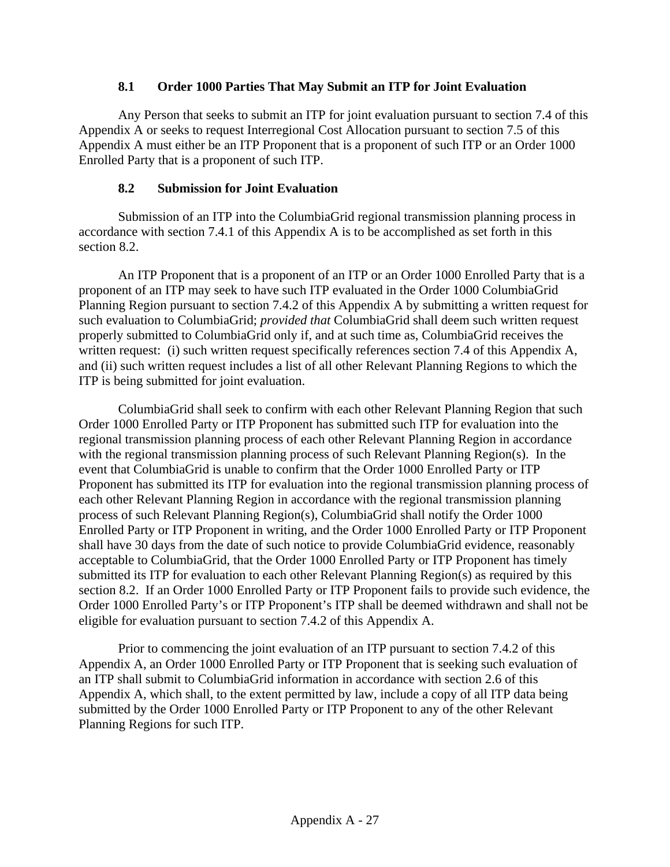#### **8.1 Order 1000 Parties That May Submit an ITP for Joint Evaluation**

Any Person that seeks to submit an ITP for joint evaluation pursuant to section 7.4 of this Appendix A or seeks to request Interregional Cost Allocation pursuant to section 7.5 of this Appendix A must either be an ITP Proponent that is a proponent of such ITP or an Order 1000 Enrolled Party that is a proponent of such ITP.

#### **8.2 Submission for Joint Evaluation**

Submission of an ITP into the ColumbiaGrid regional transmission planning process in accordance with section 7.4.1 of this Appendix A is to be accomplished as set forth in this section 8.2.

An ITP Proponent that is a proponent of an ITP or an Order 1000 Enrolled Party that is a proponent of an ITP may seek to have such ITP evaluated in the Order 1000 ColumbiaGrid Planning Region pursuant to section 7.4.2 of this Appendix A by submitting a written request for such evaluation to ColumbiaGrid; *provided that* ColumbiaGrid shall deem such written request properly submitted to ColumbiaGrid only if, and at such time as, ColumbiaGrid receives the written request: (i) such written request specifically references section 7.4 of this Appendix A, and (ii) such written request includes a list of all other Relevant Planning Regions to which the ITP is being submitted for joint evaluation.

ColumbiaGrid shall seek to confirm with each other Relevant Planning Region that such Order 1000 Enrolled Party or ITP Proponent has submitted such ITP for evaluation into the regional transmission planning process of each other Relevant Planning Region in accordance with the regional transmission planning process of such Relevant Planning Region(s). In the event that ColumbiaGrid is unable to confirm that the Order 1000 Enrolled Party or ITP Proponent has submitted its ITP for evaluation into the regional transmission planning process of each other Relevant Planning Region in accordance with the regional transmission planning process of such Relevant Planning Region(s), ColumbiaGrid shall notify the Order 1000 Enrolled Party or ITP Proponent in writing, and the Order 1000 Enrolled Party or ITP Proponent shall have 30 days from the date of such notice to provide ColumbiaGrid evidence, reasonably acceptable to ColumbiaGrid, that the Order 1000 Enrolled Party or ITP Proponent has timely submitted its ITP for evaluation to each other Relevant Planning Region(s) as required by this section 8.2. If an Order 1000 Enrolled Party or ITP Proponent fails to provide such evidence, the Order 1000 Enrolled Party's or ITP Proponent's ITP shall be deemed withdrawn and shall not be eligible for evaluation pursuant to section 7.4.2 of this Appendix A.

Prior to commencing the joint evaluation of an ITP pursuant to section 7.4.2 of this Appendix A, an Order 1000 Enrolled Party or ITP Proponent that is seeking such evaluation of an ITP shall submit to ColumbiaGrid information in accordance with section 2.6 of this Appendix A, which shall, to the extent permitted by law, include a copy of all ITP data being submitted by the Order 1000 Enrolled Party or ITP Proponent to any of the other Relevant Planning Regions for such ITP.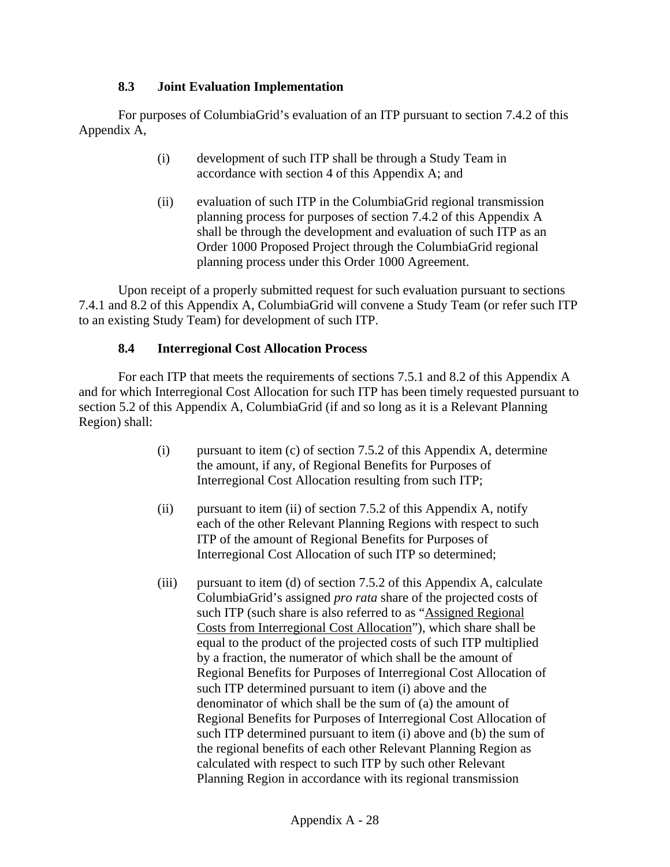### **8.3 Joint Evaluation Implementation**

For purposes of ColumbiaGrid's evaluation of an ITP pursuant to section 7.4.2 of this Appendix A,

- (i) development of such ITP shall be through a Study Team in accordance with section 4 of this Appendix A; and
- (ii) evaluation of such ITP in the ColumbiaGrid regional transmission planning process for purposes of section 7.4.2 of this Appendix A shall be through the development and evaluation of such ITP as an Order 1000 Proposed Project through the ColumbiaGrid regional planning process under this Order 1000 Agreement.

Upon receipt of a properly submitted request for such evaluation pursuant to sections 7.4.1 and 8.2 of this Appendix A, ColumbiaGrid will convene a Study Team (or refer such ITP to an existing Study Team) for development of such ITP.

## **8.4 Interregional Cost Allocation Process**

For each ITP that meets the requirements of sections 7.5.1 and 8.2 of this Appendix A and for which Interregional Cost Allocation for such ITP has been timely requested pursuant to section 5.2 of this Appendix A, ColumbiaGrid (if and so long as it is a Relevant Planning Region) shall:

- (i) pursuant to item  $(c)$  of section 7.5.2 of this Appendix A, determine the amount, if any, of Regional Benefits for Purposes of Interregional Cost Allocation resulting from such ITP;
- (ii) pursuant to item (ii) of section 7.5.2 of this Appendix A, notify each of the other Relevant Planning Regions with respect to such ITP of the amount of Regional Benefits for Purposes of Interregional Cost Allocation of such ITP so determined;
- (iii) pursuant to item (d) of section 7.5.2 of this Appendix A, calculate ColumbiaGrid's assigned *pro rata* share of the projected costs of such ITP (such share is also referred to as "Assigned Regional Costs from Interregional Cost Allocation"), which share shall be equal to the product of the projected costs of such ITP multiplied by a fraction, the numerator of which shall be the amount of Regional Benefits for Purposes of Interregional Cost Allocation of such ITP determined pursuant to item (i) above and the denominator of which shall be the sum of (a) the amount of Regional Benefits for Purposes of Interregional Cost Allocation of such ITP determined pursuant to item (i) above and (b) the sum of the regional benefits of each other Relevant Planning Region as calculated with respect to such ITP by such other Relevant Planning Region in accordance with its regional transmission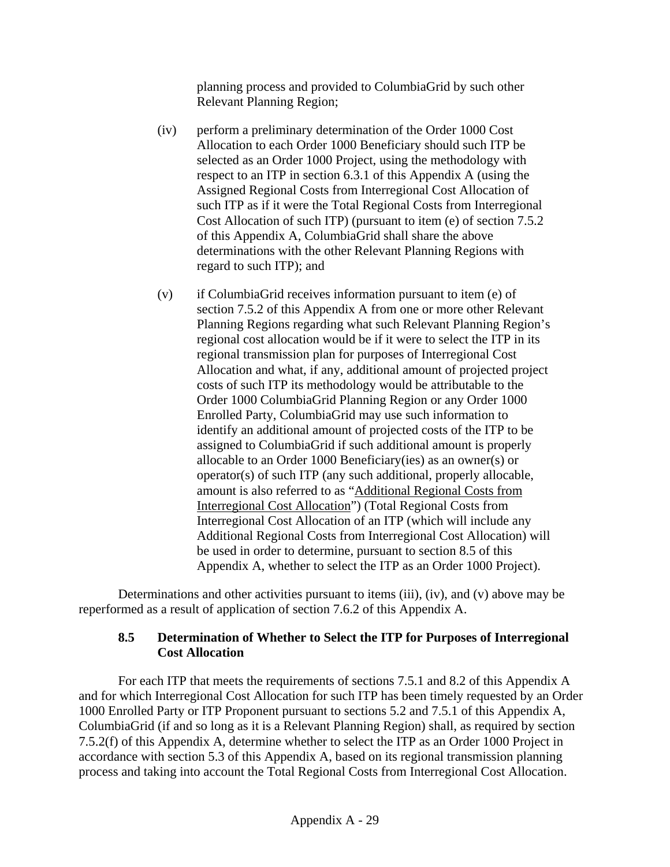planning process and provided to ColumbiaGrid by such other Relevant Planning Region;

- (iv) perform a preliminary determination of the Order 1000 Cost Allocation to each Order 1000 Beneficiary should such ITP be selected as an Order 1000 Project, using the methodology with respect to an ITP in section 6.3.1 of this Appendix A (using the Assigned Regional Costs from Interregional Cost Allocation of such ITP as if it were the Total Regional Costs from Interregional Cost Allocation of such ITP) (pursuant to item (e) of section 7.5.2 of this Appendix A, ColumbiaGrid shall share the above determinations with the other Relevant Planning Regions with regard to such ITP); and
- (v) if ColumbiaGrid receives information pursuant to item (e) of section 7.5.2 of this Appendix A from one or more other Relevant Planning Regions regarding what such Relevant Planning Region's regional cost allocation would be if it were to select the ITP in its regional transmission plan for purposes of Interregional Cost Allocation and what, if any, additional amount of projected project costs of such ITP its methodology would be attributable to the Order 1000 ColumbiaGrid Planning Region or any Order 1000 Enrolled Party, ColumbiaGrid may use such information to identify an additional amount of projected costs of the ITP to be assigned to ColumbiaGrid if such additional amount is properly allocable to an Order 1000 Beneficiary(ies) as an owner(s) or operator(s) of such ITP (any such additional, properly allocable, amount is also referred to as "Additional Regional Costs from Interregional Cost Allocation") (Total Regional Costs from Interregional Cost Allocation of an ITP (which will include any Additional Regional Costs from Interregional Cost Allocation) will be used in order to determine, pursuant to section 8.5 of this Appendix A, whether to select the ITP as an Order 1000 Project).

Determinations and other activities pursuant to items (iii), (iv), and (v) above may be reperformed as a result of application of section 7.6.2 of this Appendix A.

### **8.5 Determination of Whether to Select the ITP for Purposes of Interregional Cost Allocation**

For each ITP that meets the requirements of sections 7.5.1 and 8.2 of this Appendix A and for which Interregional Cost Allocation for such ITP has been timely requested by an Order 1000 Enrolled Party or ITP Proponent pursuant to sections 5.2 and 7.5.1 of this Appendix A, ColumbiaGrid (if and so long as it is a Relevant Planning Region) shall, as required by section 7.5.2(f) of this Appendix A, determine whether to select the ITP as an Order 1000 Project in accordance with section 5.3 of this Appendix A, based on its regional transmission planning process and taking into account the Total Regional Costs from Interregional Cost Allocation.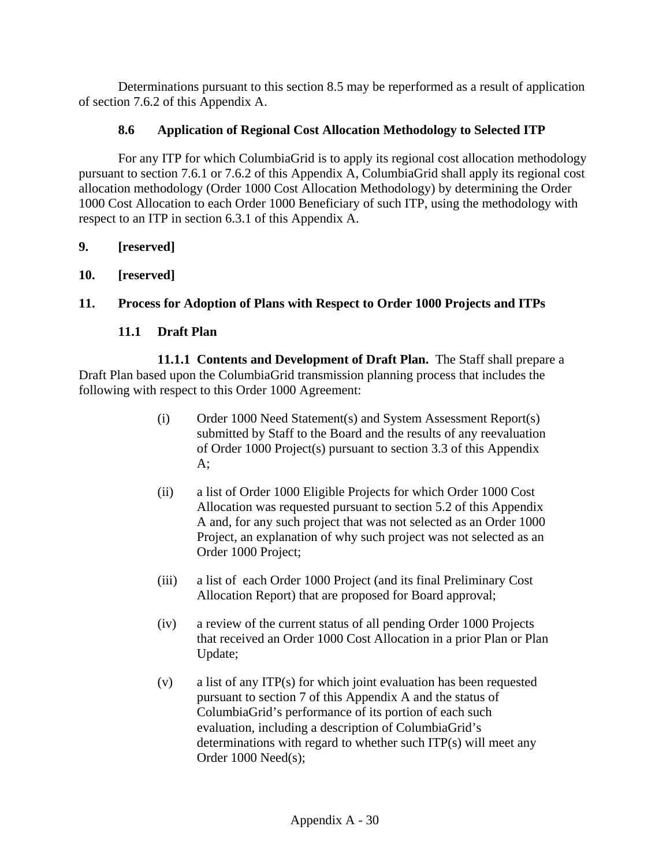Determinations pursuant to this section 8.5 may be reperformed as a result of application of section 7.6.2 of this Appendix A.

## **8.6 Application of Regional Cost Allocation Methodology to Selected ITP**

For any ITP for which ColumbiaGrid is to apply its regional cost allocation methodology pursuant to section 7.6.1 or 7.6.2 of this Appendix A, ColumbiaGrid shall apply its regional cost allocation methodology (Order 1000 Cost Allocation Methodology) by determining the Order 1000 Cost Allocation to each Order 1000 Beneficiary of such ITP, using the methodology with respect to an ITP in section 6.3.1 of this Appendix A.

- **9. [reserved]**
- **10. [reserved]**

## **11. Process for Adoption of Plans with Respect to Order 1000 Projects and ITPs**

### **11.1 Draft Plan**

**11.1.1 Contents and Development of Draft Plan.** The Staff shall prepare a Draft Plan based upon the ColumbiaGrid transmission planning process that includes the following with respect to this Order 1000 Agreement:

- (i) Order 1000 Need Statement(s) and System Assessment Report(s) submitted by Staff to the Board and the results of any reevaluation of Order 1000 Project(s) pursuant to section 3.3 of this Appendix A;
- (ii) a list of Order 1000 Eligible Projects for which Order 1000 Cost Allocation was requested pursuant to section 5.2 of this Appendix A and, for any such project that was not selected as an Order 1000 Project, an explanation of why such project was not selected as an Order 1000 Project;
- (iii) a list of each Order 1000 Project (and its final Preliminary Cost Allocation Report) that are proposed for Board approval;
- (iv) a review of the current status of all pending Order 1000 Projects that received an Order 1000 Cost Allocation in a prior Plan or Plan Update;
- (v) a list of any ITP(s) for which joint evaluation has been requested pursuant to section 7 of this Appendix A and the status of ColumbiaGrid's performance of its portion of each such evaluation, including a description of ColumbiaGrid's determinations with regard to whether such ITP(s) will meet any Order 1000 Need(s);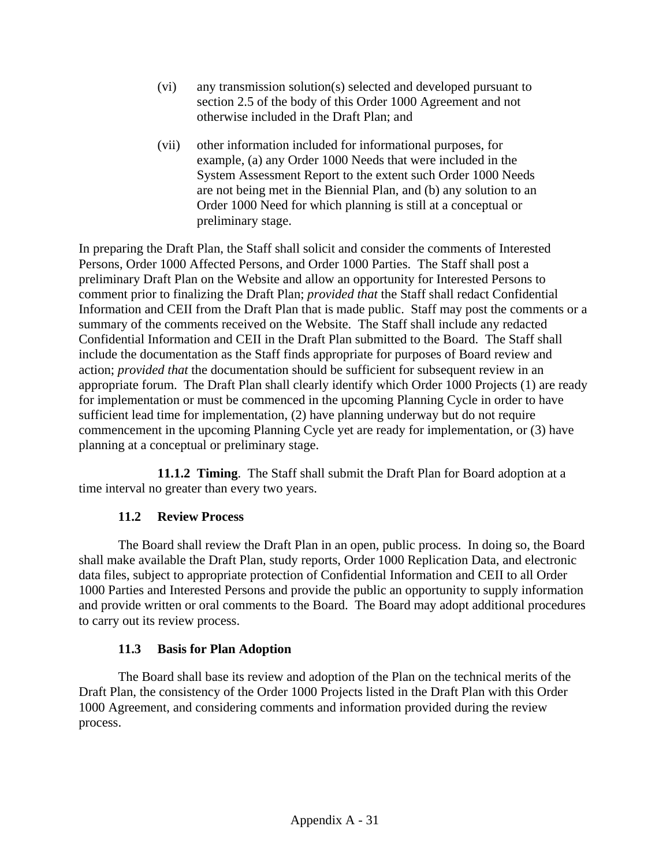- (vi) any transmission solution(s) selected and developed pursuant to section 2.5 of the body of this Order 1000 Agreement and not otherwise included in the Draft Plan; and
- (vii) other information included for informational purposes, for example, (a) any Order 1000 Needs that were included in the System Assessment Report to the extent such Order 1000 Needs are not being met in the Biennial Plan, and (b) any solution to an Order 1000 Need for which planning is still at a conceptual or preliminary stage.

In preparing the Draft Plan, the Staff shall solicit and consider the comments of Interested Persons, Order 1000 Affected Persons, and Order 1000 Parties. The Staff shall post a preliminary Draft Plan on the Website and allow an opportunity for Interested Persons to comment prior to finalizing the Draft Plan; *provided that* the Staff shall redact Confidential Information and CEII from the Draft Plan that is made public. Staff may post the comments or a summary of the comments received on the Website. The Staff shall include any redacted Confidential Information and CEII in the Draft Plan submitted to the Board. The Staff shall include the documentation as the Staff finds appropriate for purposes of Board review and action; *provided that* the documentation should be sufficient for subsequent review in an appropriate forum. The Draft Plan shall clearly identify which Order 1000 Projects (1) are ready for implementation or must be commenced in the upcoming Planning Cycle in order to have sufficient lead time for implementation, (2) have planning underway but do not require commencement in the upcoming Planning Cycle yet are ready for implementation, or (3) have planning at a conceptual or preliminary stage.

**11.1.2 Timing**. The Staff shall submit the Draft Plan for Board adoption at a time interval no greater than every two years.

## **11.2 Review Process**

The Board shall review the Draft Plan in an open, public process. In doing so, the Board shall make available the Draft Plan, study reports, Order 1000 Replication Data, and electronic data files, subject to appropriate protection of Confidential Information and CEII to all Order 1000 Parties and Interested Persons and provide the public an opportunity to supply information and provide written or oral comments to the Board. The Board may adopt additional procedures to carry out its review process.

## **11.3 Basis for Plan Adoption**

The Board shall base its review and adoption of the Plan on the technical merits of the Draft Plan, the consistency of the Order 1000 Projects listed in the Draft Plan with this Order 1000 Agreement, and considering comments and information provided during the review process.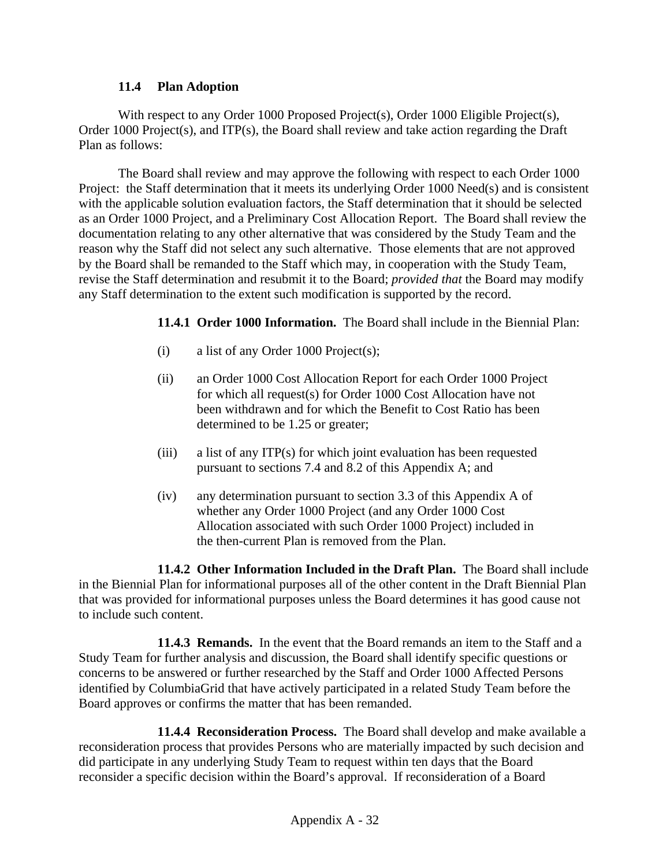#### **11.4 Plan Adoption**

With respect to any Order 1000 Proposed Project(s), Order 1000 Eligible Project(s), Order 1000 Project(s), and ITP(s), the Board shall review and take action regarding the Draft Plan as follows:

The Board shall review and may approve the following with respect to each Order 1000 Project: the Staff determination that it meets its underlying Order 1000 Need(s) and is consistent with the applicable solution evaluation factors, the Staff determination that it should be selected as an Order 1000 Project, and a Preliminary Cost Allocation Report. The Board shall review the documentation relating to any other alternative that was considered by the Study Team and the reason why the Staff did not select any such alternative. Those elements that are not approved by the Board shall be remanded to the Staff which may, in cooperation with the Study Team, revise the Staff determination and resubmit it to the Board; *provided that* the Board may modify any Staff determination to the extent such modification is supported by the record.

 **11.4.1 Order 1000 Information.** The Board shall include in the Biennial Plan:

- (i) a list of any Order 1000 Project(s);
- (ii) an Order 1000 Cost Allocation Report for each Order 1000 Project for which all request(s) for Order 1000 Cost Allocation have not been withdrawn and for which the Benefit to Cost Ratio has been determined to be 1.25 or greater;
- (iii) a list of any ITP(s) for which joint evaluation has been requested pursuant to sections 7.4 and 8.2 of this Appendix A; and
- (iv) any determination pursuant to section 3.3 of this Appendix A of whether any Order 1000 Project (and any Order 1000 Cost Allocation associated with such Order 1000 Project) included in the then-current Plan is removed from the Plan.

 **11.4.2 Other Information Included in the Draft Plan.** The Board shall include in the Biennial Plan for informational purposes all of the other content in the Draft Biennial Plan that was provided for informational purposes unless the Board determines it has good cause not to include such content.

 **11.4.3 Remands.** In the event that the Board remands an item to the Staff and a Study Team for further analysis and discussion, the Board shall identify specific questions or concerns to be answered or further researched by the Staff and Order 1000 Affected Persons identified by ColumbiaGrid that have actively participated in a related Study Team before the Board approves or confirms the matter that has been remanded.

 **11.4.4 Reconsideration Process.** The Board shall develop and make available a reconsideration process that provides Persons who are materially impacted by such decision and did participate in any underlying Study Team to request within ten days that the Board reconsider a specific decision within the Board's approval. If reconsideration of a Board